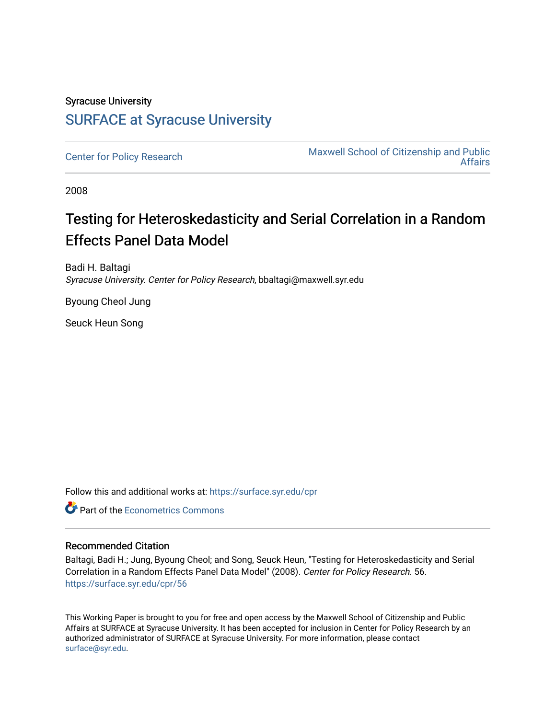# Syracuse University [SURFACE at Syracuse University](https://surface.syr.edu/)

[Center for Policy Research](https://surface.syr.edu/cpr) Maxwell School of Citizenship and Public [Affairs](https://surface.syr.edu/maxwell) 

2008

# Testing for Heteroskedasticity and Serial Correlation in a Random Effects Panel Data Model

Badi H. Baltagi Syracuse University. Center for Policy Research, bbaltagi@maxwell.syr.edu

Byoung Cheol Jung

Seuck Heun Song

Follow this and additional works at: [https://surface.syr.edu/cpr](https://surface.syr.edu/cpr?utm_source=surface.syr.edu%2Fcpr%2F56&utm_medium=PDF&utm_campaign=PDFCoverPages) 

**C** Part of the [Econometrics Commons](http://network.bepress.com/hgg/discipline/342?utm_source=surface.syr.edu%2Fcpr%2F56&utm_medium=PDF&utm_campaign=PDFCoverPages)

#### Recommended Citation

Baltagi, Badi H.; Jung, Byoung Cheol; and Song, Seuck Heun, "Testing for Heteroskedasticity and Serial Correlation in a Random Effects Panel Data Model" (2008). Center for Policy Research. 56. [https://surface.syr.edu/cpr/56](https://surface.syr.edu/cpr/56?utm_source=surface.syr.edu%2Fcpr%2F56&utm_medium=PDF&utm_campaign=PDFCoverPages) 

This Working Paper is brought to you for free and open access by the Maxwell School of Citizenship and Public Affairs at SURFACE at Syracuse University. It has been accepted for inclusion in Center for Policy Research by an authorized administrator of SURFACE at Syracuse University. For more information, please contact [surface@syr.edu.](mailto:surface@syr.edu)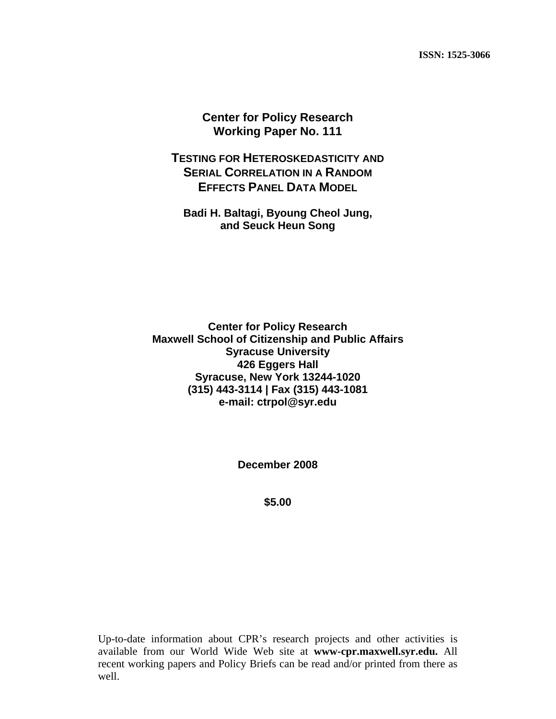**ISSN: 1525-3066** 

**Center for Policy Research Working Paper No. 111**

**TESTING FOR HETEROSKEDASTICITY AND SERIAL CORRELATION IN A RANDOM EFFECTS PANEL DATA MODEL**

**Badi H. Baltagi, Byoung Cheol Jung, and Seuck Heun Song** 

**Center for Policy Research Maxwell School of Citizenship and Public Affairs Syracuse University 426 Eggers Hall Syracuse, New York 13244-1020 (315) 443-3114 | Fax (315) 443-1081 e-mail: ctrpol@syr.edu** 

**December 2008** 

**\$5.00** 

Up-to-date information about CPR's research projects and other activities is available from our World Wide Web site at **www-cpr.maxwell.syr.edu.** All recent working papers and Policy Briefs can be read and/or printed from there as well.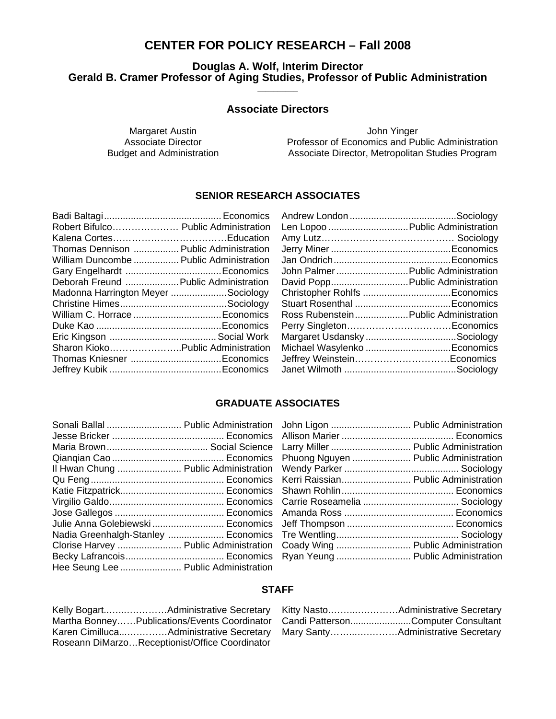### **CENTER FOR POLICY RESEARCH – Fall 2008**

# **Douglas A. Wolf, Interim Director**  Gerald B. Cramer Professor of Aging Studies, Professor of Public Administration

#### **Associate Directors**

Margaret Austin **Margaret Austin** John Yinger Associate Director **Professor of Economics and Public Administration**<br>Budget and Administration **Professor Associate Director, Metropolitan Studies Program** Associate Director, Metropolitan Studies Program

### **SENIOR RESEARCH ASSOCIATES**

| Robert Bifulco Public Administration    |  |
|-----------------------------------------|--|
|                                         |  |
| Thomas Dennison  Public Administration  |  |
| William Duncombe  Public Administration |  |
|                                         |  |
| Deborah Freund  Public Administration   |  |
| Madonna Harrington Meyer Sociology      |  |
|                                         |  |
|                                         |  |
|                                         |  |
|                                         |  |
| Sharon Kioko Public Administration      |  |
|                                         |  |
|                                         |  |
|                                         |  |

| Len Lopoo  Public Administration     |  |
|--------------------------------------|--|
|                                      |  |
|                                      |  |
|                                      |  |
| John Palmer Public Administration    |  |
| David Popp Public Administration     |  |
|                                      |  |
|                                      |  |
| Ross RubensteinPublic Administration |  |
|                                      |  |
| Margaret Usdansky Sociology          |  |
| Michael Wasylenko Economics          |  |
| Jeffrey WeinsteinEconomics           |  |
|                                      |  |
|                                      |  |

#### **GRADUATE ASSOCIATES**

| Sonali Ballal  Public Administration  |  |
|---------------------------------------|--|
|                                       |  |
|                                       |  |
|                                       |  |
| Il Hwan Chung  Public Administration  |  |
|                                       |  |
|                                       |  |
|                                       |  |
|                                       |  |
| Julie Anna Golebiewski Economics      |  |
| Nadia Greenhalgh-Stanley  Economics   |  |
| Clorise Harvey  Public Administration |  |
|                                       |  |
| Hee Seung Lee  Public Administration  |  |

| John Ligon  Public Administration    |                                   |
|--------------------------------------|-----------------------------------|
|                                      |                                   |
| Larry Miller  Public Administration  |                                   |
| Phuong Nguyen  Public Administration |                                   |
|                                      |                                   |
| Kerri Raissian Public Administration |                                   |
|                                      |                                   |
|                                      |                                   |
|                                      |                                   |
|                                      |                                   |
|                                      |                                   |
|                                      | Coady Wing  Public Administration |
|                                      | Ryan Yeung  Public Administration |
|                                      |                                   |

#### **STAFF**

| Martha BonneyPublications/Events Coordinator   |
|------------------------------------------------|
|                                                |
| Roseann DiMarzoReceptionist/Office Coordinator |

| Candi PattersonComputer Consultant |
|------------------------------------|
|                                    |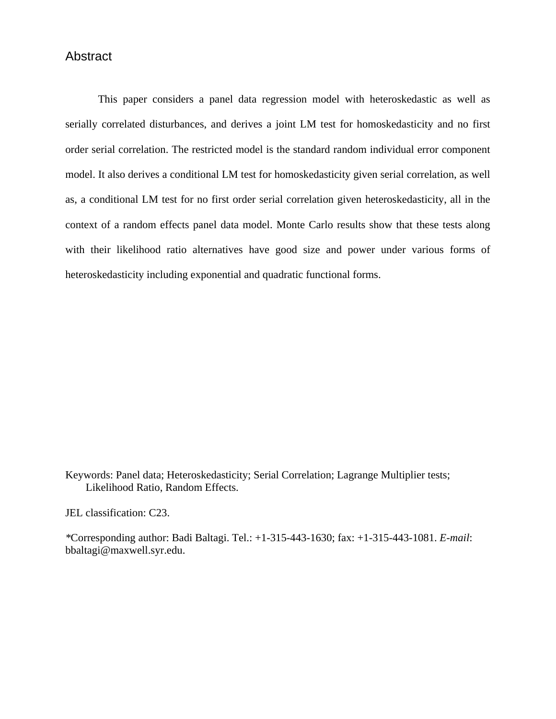#### Abstract

This paper considers a panel data regression model with heteroskedastic as well as serially correlated disturbances, and derives a joint LM test for homoskedasticity and no first order serial correlation. The restricted model is the standard random individual error component model. It also derives a conditional LM test for homoskedasticity given serial correlation, as well as, a conditional LM test for no first order serial correlation given heteroskedasticity, all in the context of a random effects panel data model. Monte Carlo results show that these tests along with their likelihood ratio alternatives have good size and power under various forms of heteroskedasticity including exponential and quadratic functional forms.

Keywords: Panel data; Heteroskedasticity; Serial Correlation; Lagrange Multiplier tests; Likelihood Ratio, Random Effects.

JEL classification: C23.

*\**Corresponding author: Badi Baltagi. Tel.: +1-315-443-1630; fax: +1-315-443-1081. *E-mail*: bbaltagi@maxwell.syr.edu.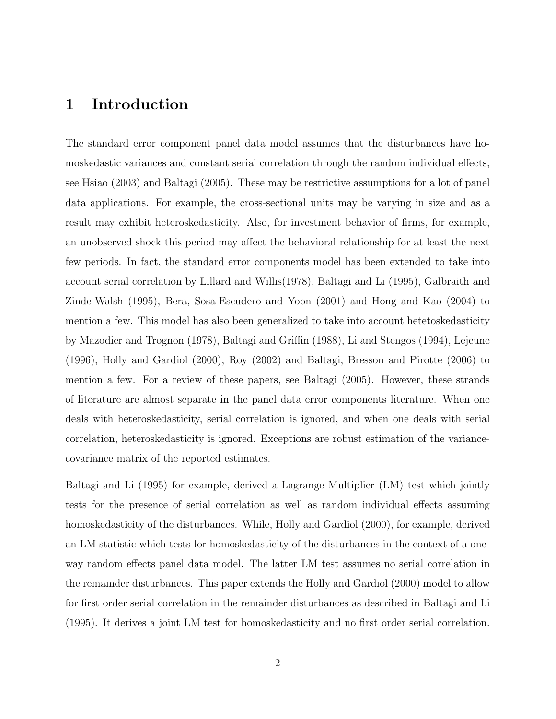# 1 Introduction

The standard error component panel data model assumes that the disturbances have homoskedastic variances and constant serial correlation through the random individual effects, see Hsiao (2003) and Baltagi (2005). These may be restrictive assumptions for a lot of panel data applications. For example, the cross-sectional units may be varying in size and as a result may exhibit heteroskedasticity. Also, for investment behavior of firms, for example, an unobserved shock this period may affect the behavioral relationship for at least the next few periods. In fact, the standard error components model has been extended to take into account serial correlation by Lillard and Willis(1978), Baltagi and Li (1995), Galbraith and Zinde-Walsh (1995), Bera, Sosa-Escudero and Yoon (2001) and Hong and Kao (2004) to mention a few. This model has also been generalized to take into account hetetoskedasticity by Mazodier and Trognon (1978), Baltagi and Griffin (1988), Li and Stengos (1994), Lejeune (1996), Holly and Gardiol (2000), Roy (2002) and Baltagi, Bresson and Pirotte (2006) to mention a few. For a review of these papers, see Baltagi (2005). However, these strands of literature are almost separate in the panel data error components literature. When one deals with heteroskedasticity, serial correlation is ignored, and when one deals with serial correlation, heteroskedasticity is ignored. Exceptions are robust estimation of the variancecovariance matrix of the reported estimates.

Baltagi and Li (1995) for example, derived a Lagrange Multiplier (LM) test which jointly tests for the presence of serial correlation as well as random individual effects assuming homoskedasticity of the disturbances. While, Holly and Gardiol (2000), for example, derived an LM statistic which tests for homoskedasticity of the disturbances in the context of a oneway random effects panel data model. The latter LM test assumes no serial correlation in the remainder disturbances. This paper extends the Holly and Gardiol (2000) model to allow for first order serial correlation in the remainder disturbances as described in Baltagi and Li (1995). It derives a joint LM test for homoskedasticity and no first order serial correlation.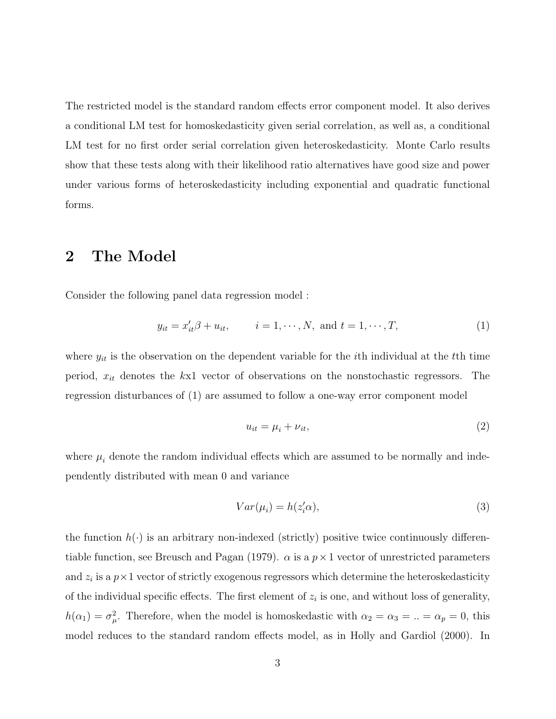The restricted model is the standard random effects error component model. It also derives a conditional LM test for homoskedasticity given serial correlation, as well as, a conditional LM test for no first order serial correlation given heteroskedasticity. Monte Carlo results show that these tests along with their likelihood ratio alternatives have good size and power under various forms of heteroskedasticity including exponential and quadratic functional forms.

# 2 The Model

Consider the following panel data regression model :

$$
y_{it} = x'_{it}\beta + u_{it},
$$
   
  $i = 1, \dots, N,$  and  $t = 1, \dots, T,$  (1)

where  $y_{it}$  is the observation on the dependent variable for the *i*th individual at the *t*<sup>th</sup> time period,  $x_{it}$  denotes the kx1 vector of observations on the nonstochastic regressors. The regression disturbances of (1) are assumed to follow a one-way error component model

$$
u_{it} = \mu_i + \nu_{it},\tag{2}
$$

where  $\mu_i$  denote the random individual effects which are assumed to be normally and independently distributed with mean 0 and variance

$$
Var(\mu_i) = h(z_i' \alpha), \tag{3}
$$

the function  $h(\cdot)$  is an arbitrary non-indexed (strictly) positive twice continuously differentiable function, see Breusch and Pagan (1979).  $\alpha$  is a  $p \times 1$  vector of unrestricted parameters and  $z_i$  is a  $p \times 1$  vector of strictly exogenous regressors which determine the heteroskedasticity of the individual specific effects. The first element of  $z_i$  is one, and without loss of generality,  $h(\alpha_1) = \sigma_\mu^2$ . Therefore, when the model is homoskedastic with  $\alpha_2 = \alpha_3 = ... = \alpha_p = 0$ , this model reduces to the standard random effects model, as in Holly and Gardiol (2000). In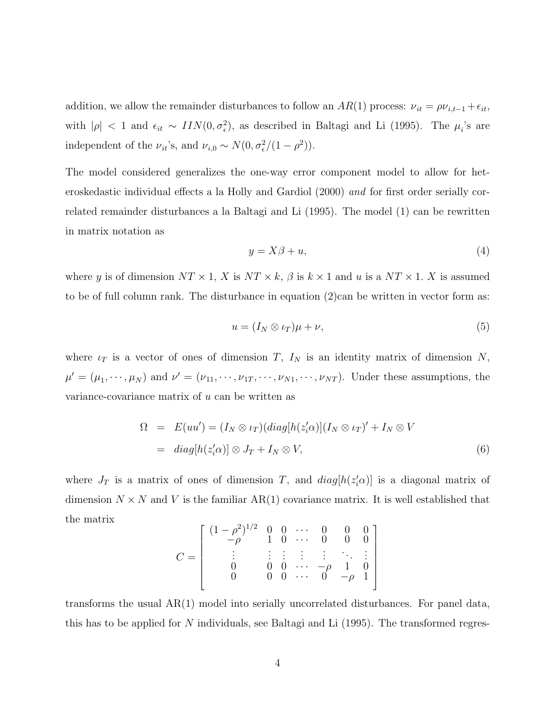addition, we allow the remainder disturbances to follow an  $AR(1)$  process:  $\nu_{it} = \rho \nu_{i,t-1} + \epsilon_{it}$ , with  $|\rho|$  < 1 and  $\epsilon_{it} \sim \text{IIN}(0, \sigma_{\epsilon}^2)$ , as described in Baltagi and Li (1995). The  $\mu_i$ 's are independent of the  $\nu_{it}$ 's, and  $\nu_{i,0} \sim N(0, \sigma_{\epsilon}^2/(1-\rho^2)).$ 

The model considered generalizes the one-way error component model to allow for heteroskedastic individual effects a la Holly and Gardiol (2000) and for first order serially correlated remainder disturbances a la Baltagi and Li (1995). The model (1) can be rewritten in matrix notation as

$$
y = X\beta + u,\tag{4}
$$

where y is of dimension  $NT \times 1$ , X is  $NT \times k$ ,  $\beta$  is  $k \times 1$  and u is a  $NT \times 1$ . X is assumed to be of full column rank. The disturbance in equation  $(2)$ can be written in vector form as:

$$
u = (I_N \otimes \iota_T)\mu + \nu,\tag{5}
$$

where  $\iota_T$  is a vector of ones of dimension T,  $I_N$  is an identity matrix of dimension N,  $\mu' = (\mu_1, \dots, \mu_N)$  and  $\nu' = (\nu_{11}, \dots, \nu_{1T}, \dots, \nu_{N1}, \dots, \nu_{NT})$ . Under these assumptions, the variance-covariance matrix of u can be written as

$$
\Omega = E(uu') = (I_N \otimes \iota_T)(diag[h(z_i'\alpha)](I_N \otimes \iota_T)' + I_N \otimes V
$$
  
= diag[h(z\_i'\alpha)] \otimes J\_T + I\_N \otimes V, (6)

where  $J_T$  is a matrix of ones of dimension T, and  $diag[h(z_i'\alpha)]$  is a diagonal matrix of dimension  $N \times N$  and V is the familiar AR(1) covariance matrix. It is well established that the matrix  $\overline{a}$  $\overline{a}$ 

$$
C = \left[ \begin{array}{ccccc} (1-\rho^2)^{1/2} & 0 & 0 & \cdots & 0 & 0 & 0 \\ -\rho & 1 & 0 & \cdots & 0 & 0 & 0 \\ \vdots & \vdots & \vdots & \vdots & \vdots & \ddots & \vdots \\ 0 & 0 & 0 & \cdots & -\rho & 1 & 0 \\ 0 & 0 & 0 & \cdots & 0 & -\rho & 1 \end{array} \right]
$$

transforms the usual  $AR(1)$  model into serially uncorrelated disturbances. For panel data, this has to be applied for  $N$  individuals, see Baltagi and Li (1995). The transformed regres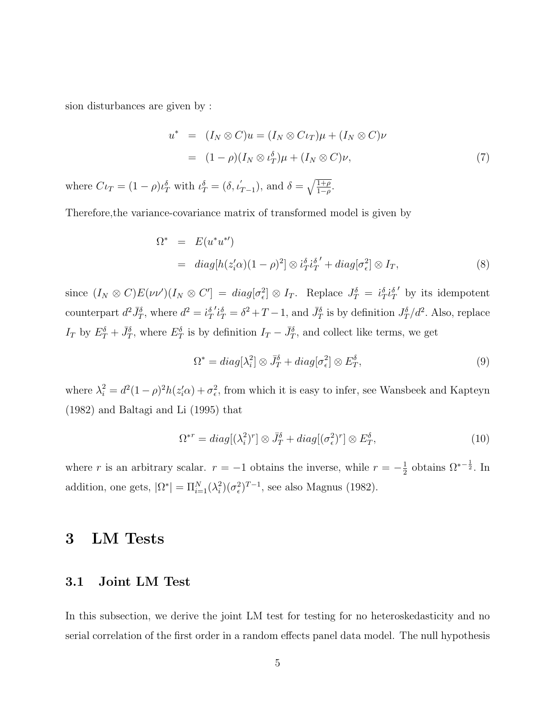sion disturbances are given by :

$$
u^* = (I_N \otimes C)u = (I_N \otimes C\iota_T)\mu + (I_N \otimes C)\nu
$$
  
= 
$$
(1 - \rho)(I_N \otimes \iota_T^{\delta})\mu + (I_N \otimes C)\nu,
$$
 (7)

where  $C\iota_T = (1 - \rho)\iota_T^{\delta}$  with  $\iota_T^{\delta} = (\delta, \iota_{T-1}^{'})$ , and  $\delta = \sqrt{\frac{1+\rho}{1-\rho}}$  $rac{1+\rho}{1-\rho}$ .

Therefore,the variance-covariance matrix of transformed model is given by

$$
\Omega^* = E(u^*u^{*})
$$
  
= diag[h(z'<sub>i</sub>\alpha)(1 - \rho)<sup>2</sup>]  $\otimes i_T^{\delta}i_T^{\delta'}$  + diag[\sigma\_{\epsilon}^2]  $\otimes I_T$ , (8)

since  $(I_N \otimes C)E(\nu\nu')(I_N \otimes C') = diag[\sigma_{\epsilon}^2] \otimes I_T$ . Replace  $J_T^{\delta} = i_T^{\delta}i_T^{\delta}$  $\prime$  by its idempotent counterpart  $d^2 \bar{J}_T^{\delta}$ , where  $d^2 = \dot{\iota}_T^{\delta}$  $\int_{T}^{i} i_{T}^{s} = \delta^{2} + T - 1$ , and  $\bar{J}_{T}^{\delta}$  is by definition  $J_{T}^{\delta}/d^{2}$ . Also, replace  $I_T$  by  $E_T^{\delta} + \bar{J}_T^{\delta}$ , where  $E_T^{\delta}$  is by definition  $I_T - \bar{J}_T^{\delta}$ , and collect like terms, we get

$$
\Omega^* = diag[\lambda_i^2] \otimes \bar{J}_T^{\delta} + diag[\sigma_{\epsilon}^2] \otimes E_T^{\delta}, \qquad (9)
$$

where  $\lambda_i^2 = d^2(1-\rho)^2 h(z_i'\alpha) + \sigma_{\epsilon}^2$ , from which it is easy to infer, see Wansbeek and Kapteyn (1982) and Baltagi and Li (1995) that

$$
\Omega^{*r} = diag[(\lambda_i^2)^r] \otimes \bar{J}_T^{\delta} + diag[(\sigma_\epsilon^2)^r] \otimes E_T^{\delta}, \qquad (10)
$$

where r is an arbitrary scalar.  $r = -1$  obtains the inverse, while  $r = -\frac{1}{2}$  $\frac{1}{2}$  obtains  $\Omega^{*- \frac{1}{2}}$ . In addition, one gets,  $|\Omega^*| = \Pi_{i=1}^N(\lambda_i^2)$  $\binom{2}{i} (\sigma_{\epsilon}^2)^{T-1}$ , see also Magnus (1982).

# 3 LM Tests

#### 3.1 Joint LM Test

In this subsection, we derive the joint LM test for testing for no heteroskedasticity and no serial correlation of the first order in a random effects panel data model. The null hypothesis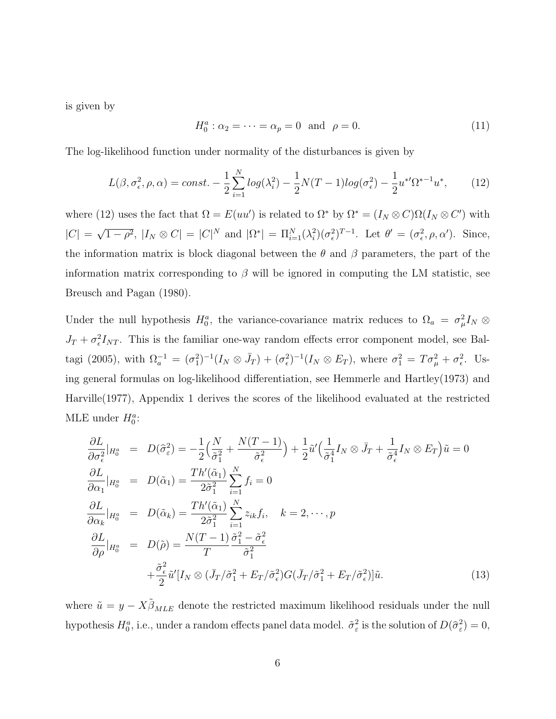is given by

$$
H_0^a: \alpha_2 = \dots = \alpha_p = 0 \text{ and } \rho = 0. \tag{11}
$$

The log-likelihood function under normality of the disturbances is given by

$$
L(\beta, \sigma_{\epsilon}^2, \rho, \alpha) = const. - \frac{1}{2} \sum_{i=1}^{N} \log(\lambda_i^2) - \frac{1}{2} N(T-1) \log(\sigma_{\epsilon}^2) - \frac{1}{2} u^{*T} \Omega^{*-1} u^*,
$$
 (12)

where (12) uses the fact that  $\Omega = E(uu')$  is related to  $\Omega^*$  by  $\Omega^* = (I_N \otimes C)\Omega(I_N \otimes C')$  with  $|C| =$ √  $\overline{1-\rho^2}$ ,  $|I_N \otimes C| = |C|^N$  and  $|\Omega^*| = \Pi_{i=1}^N(\lambda_i^2)$  $i^2(\sigma_\epsilon^2)^{T-1}$ . Let  $\theta' = (\sigma_\epsilon^2, \rho, \alpha')$ . Since, the information matrix is block diagonal between the  $\theta$  and  $\beta$  parameters, the part of the information matrix corresponding to  $\beta$  will be ignored in computing the LM statistic, see Breusch and Pagan (1980).

Under the null hypothesis  $H_0^a$ , the variance-covariance matrix reduces to  $\Omega_a = \sigma_\mu^2 I_N \otimes$  $J_T + \sigma_\epsilon^2 I_{NT}$ . This is the familiar one-way random effects error component model, see Baltagi (2005), with  $\Omega_a^{-1} = (\sigma_1^2)^{-1}(I_N \otimes \bar{J}_T) + (\sigma_\epsilon^2)^{-1}(I_N \otimes E_T)$ , where  $\sigma_1^2 = T\sigma_\mu^2 + \sigma_\epsilon^2$ . Using general formulas on log-likelihood differentiation, see Hemmerle and Hartley(1973) and Harville(1977), Appendix 1 derives the scores of the likelihood evaluated at the restricted MLE under  $H_0^a$ :

$$
\frac{\partial L}{\partial \sigma_{\epsilon}^{2}}|_{H_{0}^{\alpha}} = D(\hat{\sigma}_{\epsilon}^{2}) = -\frac{1}{2} \Big( \frac{N}{\tilde{\sigma}_{1}^{2}} + \frac{N(T-1)}{\tilde{\sigma}_{\epsilon}^{2}} \Big) + \frac{1}{2} \tilde{u}' \Big( \frac{1}{\tilde{\sigma}_{1}^{4}} I_{N} \otimes \bar{J}_{T} + \frac{1}{\tilde{\sigma}_{\epsilon}^{4}} I_{N} \otimes E_{T} \Big) \tilde{u} = 0
$$
\n
$$
\frac{\partial L}{\partial \alpha_{1}}|_{H_{0}^{\alpha}} = D(\tilde{\alpha}_{1}) = \frac{Th'(\tilde{\alpha}_{1})}{2\tilde{\sigma}_{1}^{2}} \sum_{i=1}^{N} f_{i} = 0
$$
\n
$$
\frac{\partial L}{\partial \alpha_{k}}|_{H_{0}^{\alpha}} = D(\tilde{\alpha}_{k}) = \frac{Th'(\tilde{\alpha}_{1})}{2\tilde{\sigma}_{1}^{2}} \sum_{i=1}^{N} z_{ik} f_{i}, \quad k = 2, \cdots, p
$$
\n
$$
\frac{\partial L}{\partial \rho}|_{H_{0}^{\alpha}} = D(\tilde{\rho}) = \frac{N(T-1)}{T} \frac{\tilde{\sigma}_{1}^{2} - \tilde{\sigma}_{\epsilon}^{2}}{\tilde{\sigma}_{1}^{2}}
$$
\n
$$
+ \frac{\tilde{\sigma}_{\epsilon}^{2}}{2} \tilde{u}' [I_{N} \otimes (\bar{J}_{T}/\tilde{\sigma}_{1}^{2} + E_{T}/\tilde{\sigma}_{\epsilon}^{2}) G(\bar{J}_{T}/\tilde{\sigma}_{1}^{2} + E_{T}/\tilde{\sigma}_{\epsilon}^{2})] \tilde{u}.
$$
\n(13)

where  $\tilde{u} = y - X \tilde{\beta}_{MLE}$  denote the restricted maximum likelihood residuals under the null hypothesis  $H_0^a$ , i.e., under a random effects panel data model.  $\tilde{\sigma}_{\varepsilon}^2$  is the solution of  $D(\hat{\sigma}_{\varepsilon}^2)=0$ ,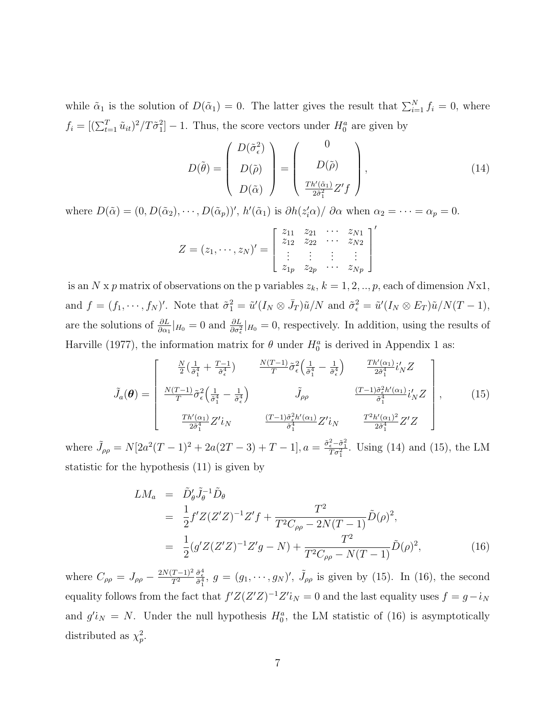while  $\tilde{\alpha}_1$  is the solution of  $D(\tilde{\alpha}_1) = 0$ . The latter gives the result that  $\sum_{i=1}^{N} f_i = 0$ , where  $f_i = [(\sum_{t=1}^T \tilde{u}_{it})^2 / T \tilde{\sigma}_1^2] - 1$ . Thus, the score vectors under  $H_0^a$  are given by

$$
D(\tilde{\theta}) = \begin{pmatrix} D(\tilde{\sigma}_{\epsilon}^2) \\ D(\tilde{\rho}) \\ D(\tilde{\alpha}) \end{pmatrix} = \begin{pmatrix} 0 \\ D(\tilde{\rho}) \\ \frac{Th'(\tilde{\alpha}_1)}{2\tilde{\sigma}_1^2} Z'f \end{pmatrix},
$$
(14)

 $\prime$ 

where  $D(\tilde{\alpha}) = (0, D(\tilde{\alpha}_2), \cdots, D(\tilde{\alpha}_p))'$ ,  $h'(\tilde{\alpha}_1)$  is  $\partial h(z'_i\alpha)/\partial \alpha$  when  $\alpha_2 = \cdots = \alpha_p = 0$ .

$$
Z = (z_1, \cdots, z_N)' = \begin{bmatrix} z_{11} & z_{21} & \cdots & z_{N1} \\ z_{12} & z_{22} & \cdots & z_{N2} \\ \vdots & \vdots & \vdots & \vdots \\ z_{1p} & z_{2p} & \cdots & z_{Np} \end{bmatrix}
$$

is an N x p matrix of observations on the p variables  $z_k$ ,  $k = 1, 2, ..., p$ , each of dimension Nx1, and  $f = (f_1, \dots, f_N)'$ . Note that  $\tilde{\sigma}_1^2 = \tilde{u}'(I_N \otimes \bar{J}_T)\tilde{u}/N$  and  $\tilde{\sigma}_\epsilon^2 = \tilde{u}'(I_N \otimes E_T)\tilde{u}/N(T-1)$ , are the solutions of  $\frac{\partial L}{\partial \alpha_1}|_{H_0} = 0$  and  $\frac{\partial L}{\partial \sigma_{\epsilon}^2}|_{H_0} = 0$ , respectively. In addition, using the results of Harville (1977), the information matrix for  $\theta$  under  $H_0^a$  is derived in Appendix 1 as:

$$
\tilde{J}_a(\theta) = \begin{bmatrix}\n\frac{N}{2} \left( \frac{1}{\tilde{\sigma}_1^4} + \frac{T-1}{\tilde{\sigma}_\epsilon^4} \right) & \frac{N(T-1)}{T} \tilde{\sigma}_\epsilon^2 \left( \frac{1}{\tilde{\sigma}_1^4} - \frac{1}{\tilde{\sigma}_\epsilon^4} \right) & \frac{Th'(\alpha_1)}{2\tilde{\sigma}_1^4} i'_N Z \\
\frac{N(T-1)}{T} \tilde{\sigma}_\epsilon^2 \left( \frac{1}{\tilde{\sigma}_1^4} - \frac{1}{\tilde{\sigma}_\epsilon^4} \right) & \tilde{J}_{\rho \rho} & \frac{(T-1)\tilde{\sigma}_\epsilon^2 h'(\alpha_1)}{\tilde{\sigma}_1^4} i'_N Z \\
\frac{Th'(\alpha_1)}{2\tilde{\sigma}_1^4} Z' i_N & \frac{(T-1)\tilde{\sigma}_\epsilon^2 h'(\alpha_1)}{\tilde{\sigma}_1^4} Z' i_N & \frac{T^2 h'(\alpha_1)^2}{2\tilde{\sigma}_1^4} Z' Z\n\end{bmatrix},
$$
\n(15)

where  $\tilde{J}_{\rho\rho} = N[2a^2(T-1)^2 + 2a(2T-3) + T - 1], a = \frac{\tilde{\sigma}_e^2 - \tilde{\sigma}_1^2}{T\sigma_1^2}$ . Using (14) and (15), the LM statistic for the hypothesis (11) is given by

$$
LM_a = \tilde{D}'_{\theta} \tilde{J}_{\theta}^{-1} \tilde{D}_{\theta}
$$
  
=  $\frac{1}{2} f' Z (Z'Z)^{-1} Z' f + \frac{T^2}{T^2 C_{\rho \rho} - 2N(T - 1)} \tilde{D}(\rho)^2$ ,  
=  $\frac{1}{2} (g' Z (Z'Z)^{-1} Z' g - N) + \frac{T^2}{T^2 C_{\rho \rho} - N(T - 1)} \tilde{D}(\rho)^2$ , (16)

where  $C_{\rho\rho} = J_{\rho\rho} - \frac{2N(T-1)^2}{T^2}$  $\overline{T^2}$  $\frac{\tilde{\sigma}_{\epsilon}^4}{\tilde{\sigma}_{1}^4}$ ,  $g = (g_1, \dots, g_N)'$ ,  $\tilde{J}_{\rho \rho}$  is given by (15). In (16), the second equality follows from the fact that  $f'Z(Z'Z)^{-1}Z' i_N = 0$  and the last equality uses  $f = g - i_N$ and  $g'_{N} = N$ . Under the null hypothesis  $H_0^a$ , the LM statistic of (16) is asymptotically distributed as  $\chi_p^2$ .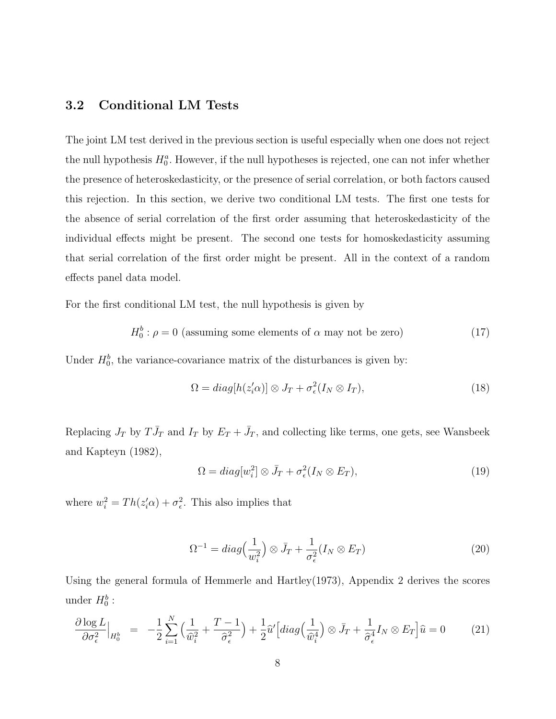### 3.2 Conditional LM Tests

The joint LM test derived in the previous section is useful especially when one does not reject the null hypothesis  $H_0^a$ . However, if the null hypotheses is rejected, one can not infer whether the presence of heteroskedasticity, or the presence of serial correlation, or both factors caused this rejection. In this section, we derive two conditional LM tests. The first one tests for the absence of serial correlation of the first order assuming that heteroskedasticity of the individual effects might be present. The second one tests for homoskedasticity assuming that serial correlation of the first order might be present. All in the context of a random effects panel data model.

For the first conditional LM test, the null hypothesis is given by

$$
H_0^b: \rho = 0 \text{ (assuming some elements of } \alpha \text{ may not be zero)} \tag{17}
$$

Under  $H_0^b$ , the variance-covariance matrix of the disturbances is given by:

$$
\Omega = diag[h(z_i'\alpha)] \otimes J_T + \sigma_\epsilon^2(I_N \otimes I_T), \qquad (18)
$$

Replacing  $J_T$  by  $T\bar{J}_T$  and  $I_T$  by  $E_T + \bar{J}_T$ , and collecting like terms, one gets, see Wansbeek and Kapteyn (1982),

$$
\Omega = diag[w_i^2] \otimes \bar{J}_T + \sigma_\epsilon^2(I_N \otimes E_T), \tag{19}
$$

where  $w_i^2 = Th(z_i'\alpha) + \sigma_{\epsilon}^2$ . This also implies that

$$
\Omega^{-1} = diag\left(\frac{1}{w_i^2}\right) \otimes \bar{J}_T + \frac{1}{\sigma_\epsilon^2} (I_N \otimes E_T) \tag{20}
$$

Using the general formula of Hemmerle and Hartley(1973), Appendix 2 derives the scores under  $H_0^b$ :

$$
\frac{\partial \log L}{\partial \sigma_{\epsilon}^2}\Big|_{H_0^b} = -\frac{1}{2} \sum_{i=1}^N \left( \frac{1}{\hat{w}_i^2} + \frac{T-1}{\hat{\sigma}_{\epsilon}^2} \right) + \frac{1}{2} \hat{u}' \Big[ diag\Big(\frac{1}{\hat{w}_i^4}\Big) \otimes \bar{J}_T + \frac{1}{\hat{\sigma}_{\epsilon}^4} I_N \otimes E_T \Big] \hat{u} = 0 \tag{21}
$$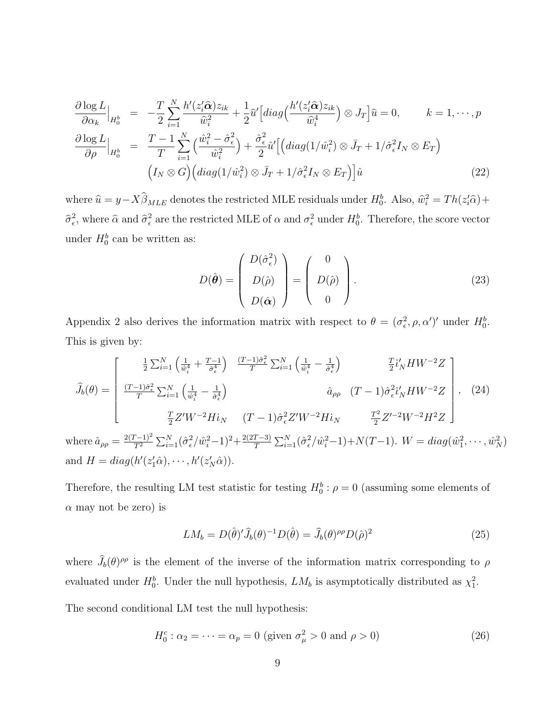$$
\frac{\partial \log L}{\partial \alpha_k}\Big|_{H_0^b} = -\frac{T}{2} \sum_{i=1}^N \frac{h'(z_i' \hat{\alpha}) z_{ik}}{\hat{w}_i^2} + \frac{1}{2} \hat{u}' \Big[ diag\Big(\frac{h'(z_i' \hat{\alpha}) z_{ik}}{\hat{w}_i^4}\Big) \otimes J_T \Big] \hat{u} = 0, \qquad k = 1, \cdots, p
$$
  

$$
\frac{\partial \log L}{\partial \rho}\Big|_{H_0^b} = \frac{T-1}{T} \sum_{i=1}^N \Big(\frac{\hat{w}_i^2 - \hat{\sigma}_\epsilon^2}{\hat{w}_i^2}\Big) + \frac{\hat{\sigma}_\epsilon^2}{2} \hat{u}' \Big[ \Big( diag(1/\hat{w}_i^2) \otimes \bar{J}_T + 1/\hat{\sigma}_\epsilon^2 I_N \otimes E_T \Big)
$$
  

$$
\Big(I_N \otimes G\Big) \Big( diag(1/\hat{w}_i^2) \otimes \bar{J}_T + 1/\hat{\sigma}_\epsilon^2 I_N \otimes E_T \Big) \Big] \hat{u}
$$
(22)

where  $\hat{u} = y - X\hat{\beta}_{MLE}$  denotes the restricted MLE residuals under  $H_0^b$ . Also,  $\hat{w}_i^2 = Th(z_i'\hat{\alpha}) +$  $\hat{\sigma}_{\epsilon}^2$ , where  $\hat{\alpha}$  and  $\hat{\sigma}_{\epsilon}^2$  are the restricted MLE of  $\alpha$  and  $\sigma_{\epsilon}^2$  under  $H_0^b$ . Therefore, the score vector under  $H_0^b$  can be written as:

$$
D(\hat{\boldsymbol{\theta}}) = \begin{pmatrix} D(\hat{\sigma}_{\epsilon}^2) \\ D(\hat{\rho}) \\ D(\hat{\alpha}) \end{pmatrix} = \begin{pmatrix} 0 \\ D(\hat{\rho}) \\ 0 \end{pmatrix}.
$$
 (23)

Appendix 2 also derives the information matrix with respect to  $\theta = (\sigma_{\epsilon}^2, \rho, \alpha')'$  under  $H_0^b$ . This is given by:

$$
\hat{J}_{b}(\theta) = \begin{bmatrix}\n\frac{1}{2} \sum_{i=1}^{N} \left( \frac{1}{\hat{w}_{i}^{4}} + \frac{T-1}{\hat{\sigma}_{\epsilon}^{4}} \right) & \frac{(T-1)\hat{\sigma}_{\epsilon}^{2}}{T} \sum_{i=1}^{N} \left( \frac{1}{\hat{w}_{i}^{4}} - \frac{1}{\hat{\sigma}_{\epsilon}^{4}} \right) & \frac{T}{2} i'_{N} H W^{-2} Z \\
\frac{(T-1)\hat{\sigma}_{\epsilon}^{2}}{T} \sum_{i=1}^{N} \left( \frac{1}{\hat{w}_{i}^{4}} - \frac{1}{\hat{\sigma}_{\epsilon}^{4}} \right) & \hat{a}_{\rho\rho} & (T-1)\hat{\sigma}_{\epsilon}^{2} i'_{N} H W^{-2} Z \\
\frac{T}{2} Z' W^{-2} H i_{N} & (T-1)\hat{\sigma}_{\epsilon}^{2} Z' W^{-2} H i_{N} & \frac{T^{2}}{2} Z'^{-2} W^{-2} H^{2} Z\n\end{bmatrix}, (24)
$$
\nwhere  $\hat{a}_{\rho\rho} = \frac{2(T-1)^{2}}{T^{2}} \sum_{i=1}^{N} (\hat{\sigma}_{\epsilon}^{2} / \hat{w}_{i}^{2} - 1)^{2} + \frac{2(2T-3)}{T} \sum_{i=1}^{N} (\hat{\sigma}_{\epsilon}^{2} / \hat{w}_{i}^{2} - 1) + N(T-1)$ .  $W = diag(\hat{w}_{1}^{2}, \dots, \hat{w}_{N}^{2})$   
\nand  $H = diag(h'(z_{1}^{\prime}\hat{\alpha}), \dots, h'(z_{N}^{\prime}\hat{\alpha}))$ .

Therefore, the resulting LM test statistic for testing  $H_0^b: \rho = 0$  (assuming some elements of  $\alpha$  may not be zero) is

$$
LM_b = D(\hat{\theta})' \hat{J}_b(\theta)^{-1} D(\hat{\theta}) = \hat{J}_b(\theta)^{\rho \rho} D(\hat{\rho})^2
$$
\n(25)

where  $\hat{J}_b(\theta)$ <sup> $\rho\rho$ </sup> is the element of the inverse of the information matrix corresponding to  $\rho$ evaluated under  $H_0^b$ . Under the null hypothesis,  $LM_b$  is asymptotically distributed as  $\chi_1^2$ .

The second conditional LM test the null hypothesis:

$$
H_0^c: \alpha_2 = \dots = \alpha_p = 0 \text{ (given } \sigma_\mu^2 > 0 \text{ and } \rho > 0)
$$
 (26)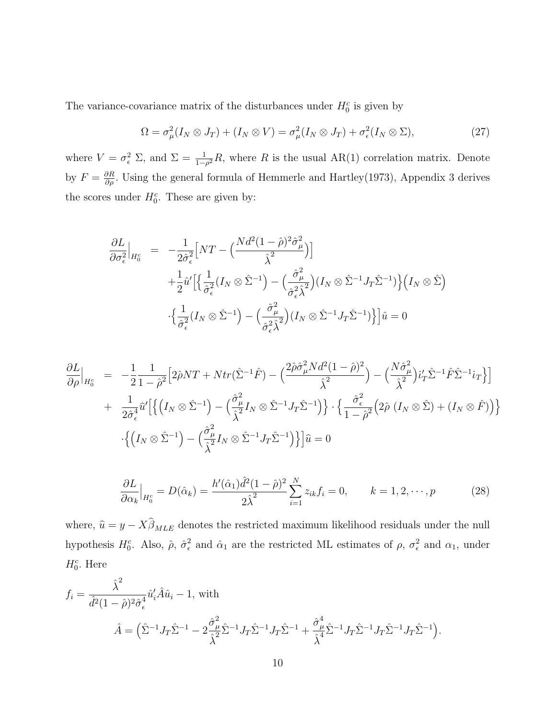The variance-covariance matrix of the disturbances under  $H_0^c$  is given by

$$
\Omega = \sigma_{\mu}^{2}(I_{N} \otimes J_{T}) + (I_{N} \otimes V) = \sigma_{\mu}^{2}(I_{N} \otimes J_{T}) + \sigma_{\epsilon}^{2}(I_{N} \otimes \Sigma), \qquad (27)
$$

where  $V = \sigma_{\epsilon}^2 \Sigma$ , and  $\Sigma = \frac{1}{1-\rho^2}R$ , where R is the usual AR(1) correlation matrix. Denote by  $F = \frac{\partial R}{\partial \rho}$ . Using the general formula of Hemmerle and Hartley(1973), Appendix 3 derives the scores under  $H_0^c$ . These are given by:

$$
\frac{\partial L}{\partial \sigma_{\epsilon}^{2}}\Big|_{H_{0}^{c}} = -\frac{1}{2\hat{\sigma}_{\epsilon}^{2}} \Big[ NT - \Big(\frac{Nd^{2}(1-\hat{\rho})^{2}\hat{\sigma}_{\mu}^{2}}{\hat{\lambda}^{2}}\Big) \Big] \n+ \frac{1}{2}\hat{u}' \Big[ \Big\{ \frac{1}{\hat{\sigma}_{\epsilon}^{2}} (I_{N} \otimes \hat{\Sigma}^{-1}) - \Big(\frac{\hat{\sigma}_{\mu}^{2}}{\hat{\sigma}_{\epsilon}^{2}\hat{\lambda}^{2}}\Big) (I_{N} \otimes \hat{\Sigma}^{-1} J_{T} \hat{\Sigma}^{-1}) \Big\} \Big( I_{N} \otimes \hat{\Sigma} \Big) \n+ \frac{1}{2}\hat{u}' \Big[ \Big\{ \frac{1}{\hat{\sigma}_{\epsilon}^{2}} (I_{N} \otimes \hat{\Sigma}^{-1}) - \Big(\frac{\hat{\sigma}_{\mu}^{2}}{\hat{\sigma}_{\epsilon}^{2}\hat{\lambda}^{2}}\Big) (I_{N} \otimes \hat{\Sigma}^{-1} J_{T} \hat{\Sigma}^{-1}) \Big\} \Big] \hat{u} = 0
$$

$$
\frac{\partial L}{\partial \rho}\Big|_{H_0^c} = -\frac{1}{2} \frac{1}{1 - \hat{\rho}^2} \Big[ 2\hat{\rho}NT + Ntr(\hat{\Sigma}^{-1}\hat{F}) - \Big(\frac{2\hat{\rho}\hat{\sigma}_{\mu}^2 Nd^2 (1 - \hat{\rho})^2}{\hat{\lambda}^2} \Big) - \Big(\frac{N\hat{\sigma}_{\mu}^2}{\hat{\lambda}^2}\Big)i'_T \hat{\Sigma}^{-1}\hat{F}\hat{\Sigma}^{-1}i_T \Big\} \Big] \n+ \frac{1}{2\hat{\sigma}_{\epsilon}^4} \hat{u}' \Big[ \Big\{ \Big(I_N \otimes \hat{\Sigma}^{-1}\Big) - \Big(\frac{\hat{\sigma}_{\mu}^2}{\hat{\lambda}^2} I_N \otimes \hat{\Sigma}^{-1} J_T \hat{\Sigma}^{-1} \Big) \Big\} \cdot \Big\{ \frac{\hat{\sigma}_{\epsilon}^2}{1 - \hat{\rho}^2} \Big( 2\hat{\rho} \ (I_N \otimes \hat{\Sigma}) + (I_N \otimes \hat{F}) \Big) \Big\} \n- \Big\{ \Big(I_N \otimes \hat{\Sigma}^{-1}\Big) - \Big(\frac{\hat{\sigma}_{\mu}^2}{\hat{\lambda}^2} I_N \otimes \hat{\Sigma}^{-1} J_T \hat{\Sigma}^{-1} \Big) \Big\} \Big] \hat{u} = 0
$$

$$
\frac{\partial L}{\partial \alpha_k}\Big|_{H_0^c} = D(\hat{\alpha}_k) = \frac{h'(\hat{\alpha}_1)\hat{d}^2(1-\hat{\rho})^2}{2\hat{\lambda}^2} \sum_{i=1}^N z_{ik} f_i = 0, \qquad k = 1, 2, \cdots, p
$$
\n(28)

where,  $\hat{u} = y - X\hat{\beta}_{MLE}$  denotes the restricted maximum likelihood residuals under the null hypothesis  $H_0^c$ . Also,  $\hat{\rho}$ ,  $\hat{\sigma}_{\epsilon}^2$ <sup>2</sup>/<sub> $\epsilon$ </sub> and  $\hat{\alpha}_1$  are the restricted ML estimates of  $\rho$ ,  $\sigma_{\epsilon}^2$  and  $\alpha_1$ , under  $H_0^c$ . Here

$$
f_i = \frac{\hat{\lambda}^2}{\hat{d}^2 (1 - \hat{\rho})^2 \hat{\sigma}_{\epsilon}^4} \hat{u}'_i \hat{A} \hat{u}_i - 1, \text{ with}
$$
  

$$
\hat{A} = \left(\hat{\Sigma}^{-1} J_T \hat{\Sigma}^{-1} - 2 \frac{\hat{\sigma}_{\mu}^2}{\hat{\lambda}^2} \hat{\Sigma}^{-1} J_T \hat{\Sigma}^{-1} J_T \hat{\Sigma}^{-1} + \frac{\hat{\sigma}_{\mu}^4}{\hat{\lambda}^4} \hat{\Sigma}^{-1} J_T \hat{\Sigma}^{-1} J_T \hat{\Sigma}^{-1} J_T \hat{\Sigma}^{-1} \right).
$$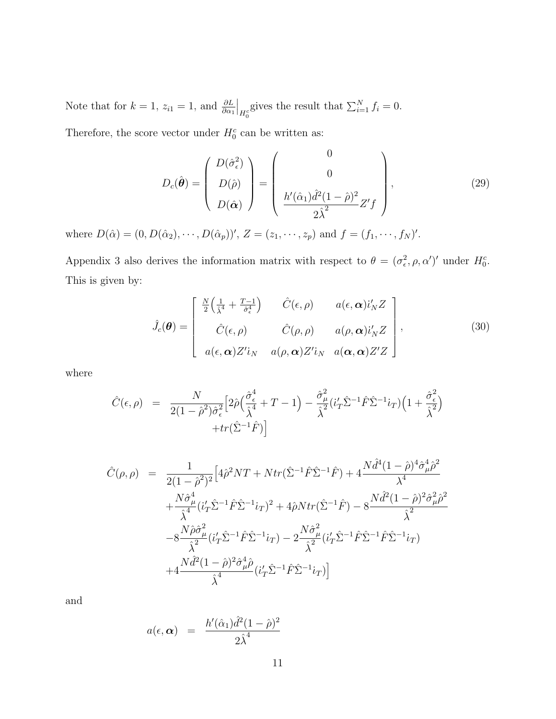Note that for  $k = 1$ ,  $z_{i1} = 1$ , and  $\frac{\partial L}{\partial \alpha_1}$  $\Big|_{H_0^c}$ gives the result that  $\sum_{i=1}^{N} f_i = 0$ .

Therefore, the score vector under  $H_0^c$  can be written as:

$$
D_c(\hat{\boldsymbol{\theta}}) = \begin{pmatrix} D(\hat{\sigma}_\epsilon^2) \\ D(\hat{\rho}) \\ D(\hat{\alpha}) \end{pmatrix} = \begin{pmatrix} 0 \\ 0 \\ \frac{h'(\hat{\alpha}_1)\hat{d}^2(1-\hat{\rho})^2}{2\hat{\lambda}^2} Z'f \end{pmatrix},
$$
(29)

where  $D(\hat{\alpha}) = (0, D(\hat{\alpha}_2), \cdots, D(\hat{\alpha}_p))'$ ,  $Z = (z_1, \cdots, z_p)$  and  $f = (f_1, \cdots, f_N)'$ .

Appendix 3 also derives the information matrix with respect to  $\theta = (\sigma_{\epsilon}^2, \rho, \alpha')'$  under  $H_0^c$ . This is given by:

$$
\hat{J}_{c}(\boldsymbol{\theta}) = \begin{bmatrix} \frac{N}{2} \left( \frac{1}{\hat{\lambda}^{4}} + \frac{T-1}{\hat{\sigma}_{\epsilon}^{4}} \right) & \hat{C}(\epsilon, \rho) & a(\epsilon, \boldsymbol{\alpha}) i'_{N} Z \\ \hat{C}(\epsilon, \rho) & \hat{C}(\rho, \rho) & a(\rho, \boldsymbol{\alpha}) i'_{N} Z \\ a(\epsilon, \boldsymbol{\alpha}) Z' i_{N} & a(\rho, \boldsymbol{\alpha}) Z' i_{N} & a(\boldsymbol{\alpha}, \boldsymbol{\alpha}) Z' Z \end{bmatrix},
$$
\n(30)

where

$$
\hat{C}(\epsilon,\rho) = \frac{N}{2(1-\hat{\rho}^2)\hat{\sigma}_{\epsilon}^2} \Big[ 2\hat{\rho} \Big(\frac{\hat{\sigma}_{\epsilon}^4}{\hat{\lambda}^4} + T - 1\Big) - \frac{\hat{\sigma}_{\mu}^2}{\hat{\lambda}^2} (i_T'\hat{\Sigma}^{-1}\hat{F}\hat{\Sigma}^{-1}i_T) \Big(1 + \frac{\hat{\sigma}_{\epsilon}^2}{\hat{\lambda}^2}\Big) + tr(\hat{\Sigma}^{-1}\hat{F}) \Big]
$$

$$
\hat{C}(\rho,\rho) = \frac{1}{2(1-\hat{\rho}^2)^2} \Big[ 4\hat{\rho}^2 NT + Ntr(\hat{\Sigma}^{-1}\hat{F}\hat{\Sigma}^{-1}\hat{F}) + 4\frac{N\hat{d}^4(1-\hat{\rho})^4\hat{\sigma}_{\mu}^4\hat{\rho}^2}{\lambda^4} \n+ \frac{N\hat{\sigma}_{\mu}^4}{\hat{\lambda}^4} (i_T'\hat{\Sigma}^{-1}\hat{F}\hat{\Sigma}^{-1}i_T)^2 + 4\hat{\rho}Ntr(\hat{\Sigma}^{-1}\hat{F}) - 8\frac{N\hat{d}^2(1-\hat{\rho})^2\hat{\sigma}_{\mu}^2\hat{\rho}^2}{\hat{\lambda}^2} \n- 8\frac{N\hat{\rho}\hat{\sigma}_{\mu}^2}{\hat{\lambda}^2} (i_T'\hat{\Sigma}^{-1}\hat{F}\hat{\Sigma}^{-1}i_T) - 2\frac{N\hat{\sigma}_{\mu}^2}{\hat{\lambda}^2} (i_T'\hat{\Sigma}^{-1}\hat{F}\hat{\Sigma}^{-1}\hat{F}\hat{\Sigma}^{-1}i_T) \n+ 4\frac{N\hat{d}^2(1-\hat{\rho})^2\hat{\sigma}_{\mu}^4\hat{\rho}}{\hat{\lambda}^4} (i_T'\hat{\Sigma}^{-1}\hat{F}\hat{\Sigma}^{-1}i_T) \Big]
$$

and

$$
a(\epsilon, \alpha) = \frac{h'(\hat{\alpha}_1)\hat{d}^2(1-\hat{\rho})^2}{2\hat{\lambda}^4}
$$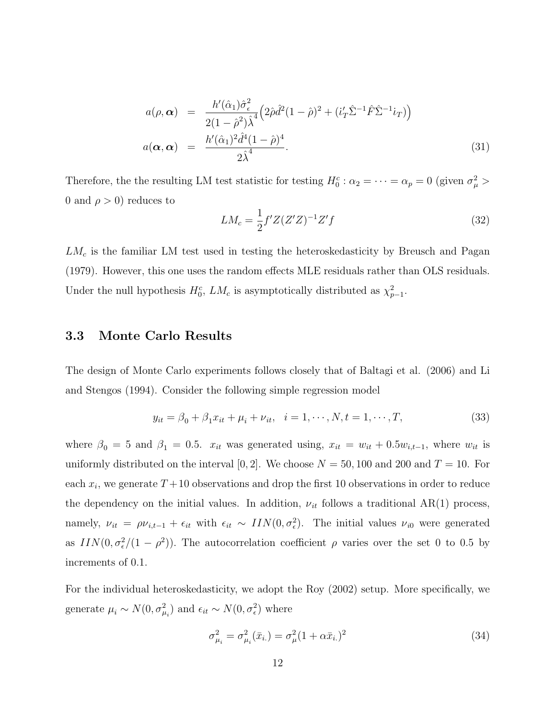$$
a(\rho, \alpha) = \frac{h'(\hat{\alpha}_1)\hat{\sigma}_{\epsilon}^2}{2(1-\hat{\rho}^2)\hat{\lambda}^4} \Big(2\hat{\rho}\hat{d}^2(1-\hat{\rho})^2 + (i'_T\hat{\Sigma}^{-1}\hat{F}\hat{\Sigma}^{-1}i_T)\Big)
$$
  
\n
$$
a(\alpha, \alpha) = \frac{h'(\hat{\alpha}_1)^2\hat{d}^4(1-\hat{\rho})^4}{2\hat{\lambda}^4}.
$$
\n(31)

Therefore, the the resulting LM test statistic for testing  $H_0^c: \alpha_2 = \cdots = \alpha_p = 0$  (given  $\sigma_\mu^2$ ) 0 and  $\rho > 0$ ) reduces to

$$
LM_c = \frac{1}{2} f' Z (Z'Z)^{-1} Z' f \tag{32}
$$

 $LM<sub>c</sub>$  is the familiar LM test used in testing the heteroskedasticity by Breusch and Pagan (1979). However, this one uses the random effects MLE residuals rather than OLS residuals. Under the null hypothesis  $H_0^c$ ,  $LM_c$  is asymptotically distributed as  $\chi^2_{p-1}$ .

#### 3.3 Monte Carlo Results

The design of Monte Carlo experiments follows closely that of Baltagi et al. (2006) and Li and Stengos (1994). Consider the following simple regression model

$$
y_{it} = \beta_0 + \beta_1 x_{it} + \mu_i + \nu_{it}, \quad i = 1, \cdots, N, t = 1, \cdots, T,
$$
\n(33)

where  $\beta_0 = 5$  and  $\beta_1 = 0.5$ .  $x_{it}$  was generated using,  $x_{it} = w_{it} + 0.5w_{i,t-1}$ , where  $w_{it}$  is uniformly distributed on the interval [0, 2]. We choose  $N = 50, 100$  and 200 and  $T = 10$ . For each  $x_i$ , we generate  $T+10$  observations and drop the first 10 observations in order to reduce the dependency on the initial values. In addition,  $\nu_{it}$  follows a traditional AR(1) process, namely,  $\nu_{it} = \rho \nu_{i,t-1} + \epsilon_{it}$  with  $\epsilon_{it} \sim \text{IIN}(0, \sigma_{\epsilon}^2)$ . The initial values  $\nu_{i0}$  were generated as  $IN(0, \sigma_{\epsilon}^2/(1-\rho^2))$ . The autocorrelation coefficient  $\rho$  varies over the set 0 to 0.5 by increments of 0.1.

For the individual heteroskedasticity, we adopt the Roy (2002) setup. More specifically, we generate  $\mu_i \sim N(0, \sigma_{\mu_i}^2)$  and  $\epsilon_{it} \sim N(0, \sigma_{\epsilon}^2)$  where

$$
\sigma_{\mu_i}^2 = \sigma_{\mu_i}^2(\bar{x}_{i.}) = \sigma_{\mu}^2 (1 + \alpha \bar{x}_{i.})^2
$$
\n(34)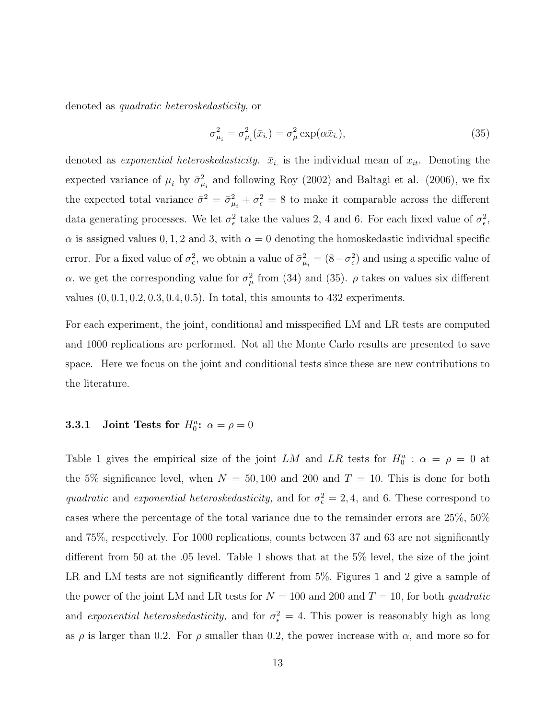denoted as quadratic heteroskedasticity, or

$$
\sigma_{\mu_i}^2 = \sigma_{\mu_i}^2(\bar{x}_{i.}) = \sigma_{\mu}^2 \exp(\alpha \bar{x}_{i.}),
$$
\n(35)

denoted as *exponential heteroskedasticity.*  $\bar{x}_i$  is the individual mean of  $x_{it}$ . Denoting the expected variance of  $\mu_i$  by  $\bar{\sigma}^2_{\mu_i}$  and following Roy (2002) and Baltagi et al. (2006), we fix the expected total variance  $\bar{\sigma}^2 = \bar{\sigma}_{\mu_i}^2 + \sigma_{\epsilon}^2 = 8$  to make it comparable across the different data generating processes. We let  $\sigma_{\epsilon}^2$  take the values 2, 4 and 6. For each fixed value of  $\sigma_{\epsilon}^2$ ,  $\alpha$  is assigned values 0, 1, 2 and 3, with  $\alpha = 0$  denoting the homoskedastic individual specific error. For a fixed value of  $\sigma_{\epsilon}^2$ , we obtain a value of  $\bar{\sigma}_{\mu_i}^2 = (8 - \sigma_{\epsilon}^2)$  and using a specific value of α, we get the corresponding value for  $\sigma_{\mu}^{2}$  from (34) and (35).  $\rho$  takes on values six different values  $(0, 0.1, 0.2, 0.3, 0.4, 0.5)$ . In total, this amounts to 432 experiments.

For each experiment, the joint, conditional and misspecified LM and LR tests are computed and 1000 replications are performed. Not all the Monte Carlo results are presented to save space. Here we focus on the joint and conditional tests since these are new contributions to the literature.

### **3.3.1** Joint Tests for  $H_0^a$ :  $\alpha = \rho = 0$

Table 1 gives the empirical size of the joint LM and LR tests for  $H_0^a$ :  $\alpha = \rho = 0$  at the 5% significance level, when  $N = 50,100$  and 200 and  $T = 10$ . This is done for both quadratic and exponential heteroskedasticity, and for  $\sigma_{\epsilon}^2 = 2, 4$ , and 6. These correspond to cases where the percentage of the total variance due to the remainder errors are 25%, 50% and 75%, respectively. For 1000 replications, counts between 37 and 63 are not significantly different from 50 at the .05 level. Table 1 shows that at the 5% level, the size of the joint LR and LM tests are not significantly different from 5%. Figures 1 and 2 give a sample of the power of the joint LM and LR tests for  $N = 100$  and 200 and  $T = 10$ , for both quadratic and exponential heteroskedasticity, and for  $\sigma_{\epsilon}^2 = 4$ . This power is reasonably high as long as  $\rho$  is larger than 0.2. For  $\rho$  smaller than 0.2, the power increase with  $\alpha$ , and more so for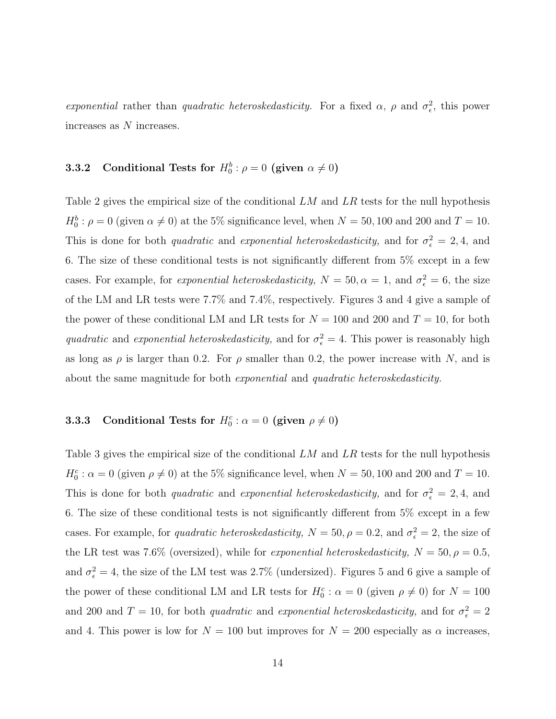exponential rather than quadratic heteroskedasticity. For a fixed  $\alpha$ ,  $\rho$  and  $\sigma_{\epsilon}^2$ , this power increases as N increases.

### **3.3.2** Conditional Tests for  $H_0^b: \rho = 0$  (given  $\alpha \neq 0$ )

Table 2 gives the empirical size of the conditional LM and LR tests for the null hypothesis  $H_0^b$ :  $\rho = 0$  (given  $\alpha \neq 0$ ) at the 5% significance level, when  $N = 50, 100$  and 200 and  $T = 10$ . This is done for both *quadratic* and *exponential heteroskedasticity*, and for  $\sigma_{\epsilon}^2 = 2, 4$ , and 6. The size of these conditional tests is not significantly different from 5% except in a few cases. For example, for *exponential heteroskedasticity*,  $N = 50, \alpha = 1$ , and  $\sigma_{\epsilon}^2 = 6$ , the size of the LM and LR tests were 7.7% and 7.4%, respectively. Figures 3 and 4 give a sample of the power of these conditional LM and LR tests for  $N = 100$  and 200 and  $T = 10$ , for both quadratic and exponential heteroskedasticity, and for  $\sigma_{\epsilon}^2 = 4$ . This power is reasonably high as long as  $\rho$  is larger than 0.2. For  $\rho$  smaller than 0.2, the power increase with N, and is about the same magnitude for both exponential and quadratic heteroskedasticity.

### **3.3.3** Conditional Tests for  $H_0^c$ :  $\alpha = 0$  (given  $\rho \neq 0$ )

Table 3 gives the empirical size of the conditional LM and LR tests for the null hypothesis  $H_0^c$ :  $\alpha = 0$  (given  $\rho \neq 0$ ) at the 5% significance level, when  $N = 50, 100$  and 200 and  $T = 10$ . This is done for both *quadratic* and *exponential heteroskedasticity*, and for  $\sigma_{\epsilon}^2 = 2, 4$ , and 6. The size of these conditional tests is not significantly different from 5% except in a few cases. For example, for *quadratic heteroskedasticity*,  $N = 50$ ,  $\rho = 0.2$ , and  $\sigma_{\epsilon}^2 = 2$ , the size of the LR test was 7.6% (oversized), while for *exponential heteroskedasticity*,  $N = 50, \rho = 0.5$ , and  $\sigma_{\epsilon}^2 = 4$ , the size of the LM test was 2.7% (undersized). Figures 5 and 6 give a sample of the power of these conditional LM and LR tests for  $H_0^c$ :  $\alpha = 0$  (given  $\rho \neq 0$ ) for  $N = 100$ and 200 and  $T = 10$ , for both *quadratic* and *exponential heteroskedasticity*, and for  $\sigma_{\epsilon}^2 = 2$ and 4. This power is low for  $N = 100$  but improves for  $N = 200$  especially as  $\alpha$  increases,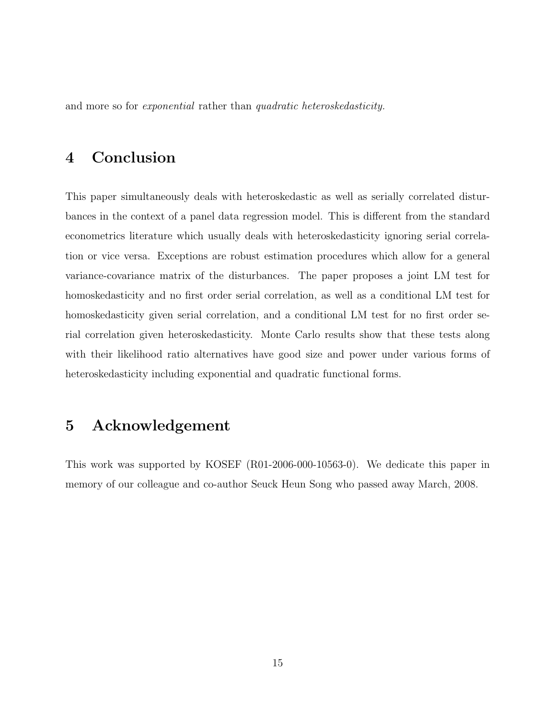and more so for exponential rather than quadratic heteroskedasticity.

# 4 Conclusion

This paper simultaneously deals with heteroskedastic as well as serially correlated disturbances in the context of a panel data regression model. This is different from the standard econometrics literature which usually deals with heteroskedasticity ignoring serial correlation or vice versa. Exceptions are robust estimation procedures which allow for a general variance-covariance matrix of the disturbances. The paper proposes a joint LM test for homoskedasticity and no first order serial correlation, as well as a conditional LM test for homoskedasticity given serial correlation, and a conditional LM test for no first order serial correlation given heteroskedasticity. Monte Carlo results show that these tests along with their likelihood ratio alternatives have good size and power under various forms of heteroskedasticity including exponential and quadratic functional forms.

# 5 Acknowledgement

This work was supported by KOSEF (R01-2006-000-10563-0). We dedicate this paper in memory of our colleague and co-author Seuck Heun Song who passed away March, 2008.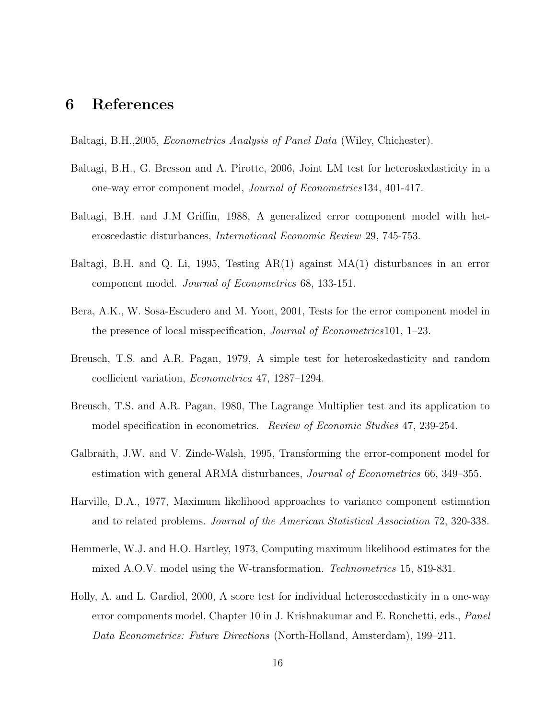# 6 References

Baltagi, B.H.,2005, Econometrics Analysis of Panel Data (Wiley, Chichester).

- Baltagi, B.H., G. Bresson and A. Pirotte, 2006, Joint LM test for heteroskedasticity in a one-way error component model, Journal of Econometrics134, 401-417.
- Baltagi, B.H. and J.M Griffin, 1988, A generalized error component model with heteroscedastic disturbances, International Economic Review 29, 745-753.
- Baltagi, B.H. and Q. Li, 1995, Testing AR(1) against MA(1) disturbances in an error component model. Journal of Econometrics 68, 133-151.
- Bera, A.K., W. Sosa-Escudero and M. Yoon, 2001, Tests for the error component model in the presence of local misspecification, Journal of Econometrics101, 1–23.
- Breusch, T.S. and A.R. Pagan, 1979, A simple test for heteroskedasticity and random coefficient variation, Econometrica 47, 1287–1294.
- Breusch, T.S. and A.R. Pagan, 1980, The Lagrange Multiplier test and its application to model specification in econometrics. Review of Economic Studies 47, 239-254.
- Galbraith, J.W. and V. Zinde-Walsh, 1995, Transforming the error-component model for estimation with general ARMA disturbances, Journal of Econometrics 66, 349–355.
- Harville, D.A., 1977, Maximum likelihood approaches to variance component estimation and to related problems. Journal of the American Statistical Association 72, 320-338.
- Hemmerle, W.J. and H.O. Hartley, 1973, Computing maximum likelihood estimates for the mixed A.O.V. model using the W-transformation. Technometrics 15, 819-831.
- Holly, A. and L. Gardiol, 2000, A score test for individual heteroscedasticity in a one-way error components model, Chapter 10 in J. Krishnakumar and E. Ronchetti, eds., Panel Data Econometrics: Future Directions (North-Holland, Amsterdam), 199–211.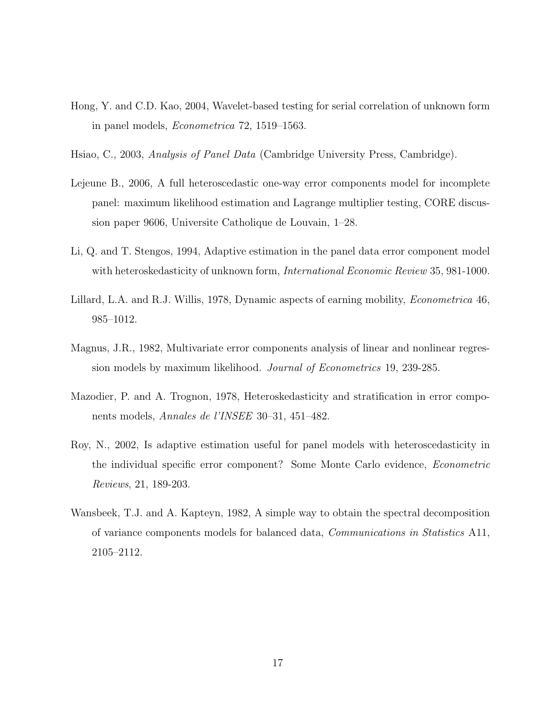- Hong, Y. and C.D. Kao, 2004, Wavelet-based testing for serial correlation of unknown form in panel models, Econometrica 72, 1519–1563.
- Hsiao, C., 2003, Analysis of Panel Data (Cambridge University Press, Cambridge).
- Lejeune B., 2006, A full heteroscedastic one-way error components model for incomplete panel: maximum likelihood estimation and Lagrange multiplier testing, CORE discussion paper 9606, Universite Catholique de Louvain, 1–28.
- Li, Q. and T. Stengos, 1994, Adaptive estimation in the panel data error component model with heteroskedasticity of unknown form, *International Economic Review* 35, 981-1000.
- Lillard, L.A. and R.J. Willis, 1978, Dynamic aspects of earning mobility, Econometrica 46, 985–1012.
- Magnus, J.R., 1982, Multivariate error components analysis of linear and nonlinear regression models by maximum likelihood. Journal of Econometrics 19, 239-285.
- Mazodier, P. and A. Trognon, 1978, Heteroskedasticity and stratification in error components models, Annales de l'INSEE 30–31, 451–482.
- Roy, N., 2002, Is adaptive estimation useful for panel models with heteroscedasticity in the individual specific error component? Some Monte Carlo evidence, Econometric Reviews, 21, 189-203.
- Wansbeek, T.J. and A. Kapteyn, 1982, A simple way to obtain the spectral decomposition of variance components models for balanced data, Communications in Statistics A11, 2105–2112.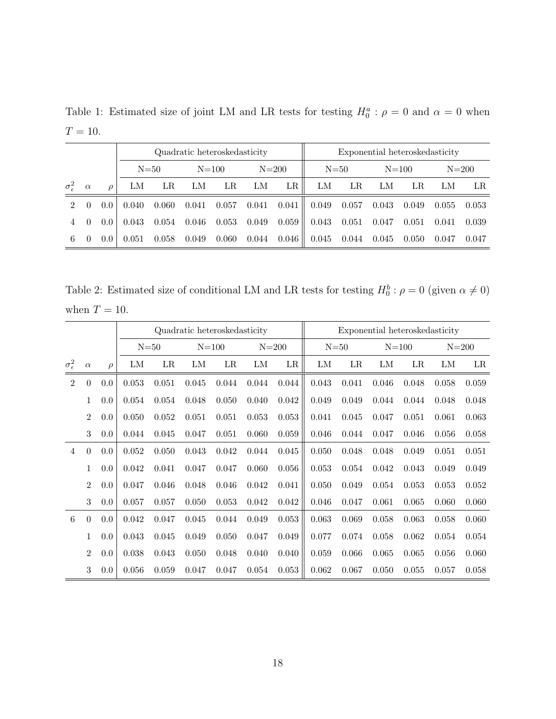|                             |          |          |       |          | Quadratic heteroskedasticity |       |           | Exponential heteroskedasticity |          |       |           |       |           |       |
|-----------------------------|----------|----------|-------|----------|------------------------------|-------|-----------|--------------------------------|----------|-------|-----------|-------|-----------|-------|
|                             |          |          |       | $N = 50$ | $N = 100$                    |       | $N = 200$ |                                | $N = 50$ |       | $N = 100$ |       | $N = 200$ |       |
| $\sigma_{\epsilon}^2$       | $\alpha$ | $\Omega$ | LM    | LR       | LМ                           | LR    | LM        | LR                             | LM       | LR    | LМ        | LR    | LM        | LR    |
| $\mathcal{D}_{\mathcal{L}}$ | $\theta$ | $0.0^-$  | 0.040 | 0.060    | 0.041                        | 0.057 | 0.041     | 0.041                          | 0.049    | 0.057 | 0.043     | 0.049 | 0.055     | 0.053 |
|                             | $\Omega$ | $0.0^-$  | 0.043 | 0.054    | 0.046                        | 0.053 | 0.049     | 0.059                          | 0.043    | 0.051 | 0.047     | 0.051 | 0.041     | 0.039 |
| 6                           | $\Omega$ | $0.0^-$  | 0.051 | 0.058    | 0.049                        | 0.060 | 0.044     | $0.046\,$                      | 0.045    | 0.044 | 0.045     | 0.050 | 0.047     | 0.047 |

Table 1: Estimated size of joint LM and LR tests for testing  $H_0^a$ :  $\rho = 0$  and  $\alpha = 0$  when  $T = 10$ .

Table 2: Estimated size of conditional LM and LR tests for testing  $H_0^b : \rho = 0$  (given  $\alpha \neq 0$ ) when  $T = 10$ .

|                       |                |         |       |          |           | Quadratic heteroskedasticity |           |       | Exponential heteroskedasticity |       |           |       |            |       |
|-----------------------|----------------|---------|-------|----------|-----------|------------------------------|-----------|-------|--------------------------------|-------|-----------|-------|------------|-------|
|                       |                |         |       | $N = 50$ | $N = 100$ |                              | $N = 200$ |       | $N = 50$                       |       | $N = 100$ |       | $N = 200$  |       |
| $\sigma_{\epsilon}^2$ | $\alpha$       | $\rho$  | LМ    | LR       | LM        | LR                           | LM        | LR    | ${\rm LM}$                     | LR    | LM        | LR    | ${\rm LM}$ | LR    |
| $\overline{2}$        | $\theta$       | $0.0\,$ | 0.053 | 0.051    | 0.045     | 0.044                        | 0.044     | 0.044 | 0.043                          | 0.041 | 0.046     | 0.048 | 0.058      | 0.059 |
|                       | 1              | 0.0     | 0.054 | 0.054    | 0.048     | 0.050                        | 0.040     | 0.042 | 0.049                          | 0.049 | 0.044     | 0.044 | 0.048      | 0.048 |
|                       | $\overline{2}$ | 0.0     | 0.050 | 0.052    | 0.051     | 0.051                        | 0.053     | 0.053 | 0.041                          | 0.045 | 0.047     | 0.051 | 0.061      | 0.063 |
|                       | 3              | 0.0     | 0.044 | 0.045    | 0.047     | 0.051                        | 0.060     | 0.059 | 0.046                          | 0.044 | 0.047     | 0.046 | 0.056      | 0.058 |
| $\overline{4}$        | $\theta$       | 0.0     | 0.052 | 0.050    | 0.043     | 0.042                        | 0.044     | 0.045 | 0.050                          | 0.048 | 0.048     | 0.049 | 0.051      | 0.051 |
|                       | 1              | 0.0     | 0.042 | 0.041    | 0.047     | 0.047                        | 0.060     | 0.056 | 0.053                          | 0.054 | 0.042     | 0.043 | 0.049      | 0.049 |
|                       | $\overline{2}$ | 0.0     | 0.047 | 0.046    | 0.048     | 0.046                        | 0.042     | 0.041 | 0.050                          | 0.049 | 0.054     | 0.053 | 0.053      | 0.052 |
|                       | 3              | 0.0     | 0.057 | 0.057    | 0.050     | 0.053                        | 0.042     | 0.042 | 0.046                          | 0.047 | 0.061     | 0.065 | 0.060      | 0.060 |
| $6\phantom{.}6$       | $\theta$       | 0.0     | 0.042 | 0.047    | 0.045     | 0.044                        | 0.049     | 0.053 | 0.063                          | 0.069 | 0.058     | 0.063 | 0.058      | 0.060 |
|                       | 1              | 0.0     | 0.043 | 0.045    | 0.049     | 0.050                        | 0.047     | 0.049 | 0.077                          | 0.074 | 0.058     | 0.062 | 0.054      | 0.054 |
|                       | $\overline{2}$ | 0.0     | 0.038 | 0.043    | 0.050     | 0.048                        | 0.040     | 0.040 | 0.059                          | 0.066 | 0.065     | 0.065 | 0.056      | 0.060 |
|                       | 3              | 0.0     | 0.056 | 0.059    | 0.047     | 0.047                        | 0.054     | 0.053 | 0.062                          | 0.067 | 0.050     | 0.055 | 0.057      | 0.058 |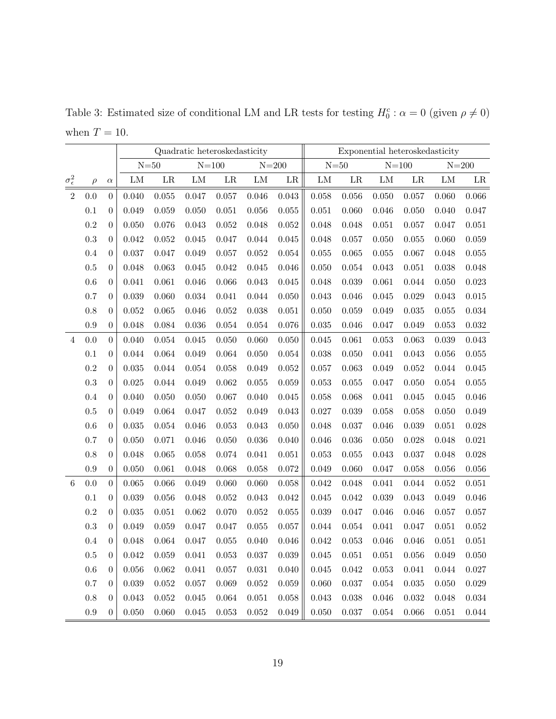|                       |           |                  |           |          | Quadratic heteroskedasticity |           |            |                     | Exponential heteroskedasticity |             |             |           |             |             |
|-----------------------|-----------|------------------|-----------|----------|------------------------------|-----------|------------|---------------------|--------------------------------|-------------|-------------|-----------|-------------|-------------|
|                       |           |                  |           | $N = 50$ | $N\!\!=\!\!100$              |           |            | $N = 200$           |                                | $N = 50$    | $N = 100$   |           | $N = 200$   |             |
| $\sigma^2_{\epsilon}$ | $\rho$    | $\alpha$         | LM        | $\rm LR$ | ${\rm LM}$                   | LR        | ${\rm LM}$ | $\operatorname{LR}$ | ${\rm LM}$                     | LR          | ${\rm LM}$  | $\rm LR$  | LM          | LR          |
| $\overline{2}$        | $0.0\,$   | $\boldsymbol{0}$ | 0.040     | 0.055    | 0.047                        | 0.057     | 0.046      | 0.043               | 0.058                          | $0.056\,$   | 0.050       | 0.057     | 0.060       | $0.066\,$   |
|                       | 0.1       | $\boldsymbol{0}$ | 0.049     | 0.059    | 0.050                        | 0.051     | 0.056      | 0.055               | 0.051                          | 0.060       | 0.046       | 0.050     | 0.040       | 0.047       |
|                       | $\rm 0.2$ | $\overline{0}$   | 0.050     | 0.076    | 0.043                        | 0.052     | 0.048      | 0.052               | 0.048                          | 0.048       | 0.051       | 0.057     | 0.047       | 0.051       |
|                       | $\rm 0.3$ | $\theta$         | 0.042     | 0.052    | 0.045                        | 0.047     | 0.044      | 0.045               | 0.048                          | 0.057       | 0.050       | 0.055     | 0.060       | $\,0.059\,$ |
|                       | $0.4\,$   | $\boldsymbol{0}$ | 0.037     | 0.047    | 0.049                        | 0.057     | 0.052      | 0.054               | 0.055                          | 0.065       | 0.055       | 0.067     | 0.048       | $0.055\,$   |
|                       | $0.5\,$   | $\overline{0}$   | 0.048     | 0.063    | 0.045                        | 0.042     | 0.045      | 0.046               | 0.050                          | 0.054       | 0.043       | 0.051     | 0.038       | 0.048       |
|                       | $0.6\,$   | $\boldsymbol{0}$ | 0.041     | 0.061    | 0.046                        | 0.066     | 0.043      | $0.045\,$           | 0.048                          | 0.039       | 0.061       | 0.044     | 0.050       | 0.023       |
|                       | 0.7       | $\boldsymbol{0}$ | 0.039     | 0.060    | 0.034                        | 0.041     | 0.044      | 0.050               | 0.043                          | 0.046       | 0.045       | 0.029     | 0.043       | $\,0.015\,$ |
|                       | 0.8       | $\overline{0}$   | 0.052     | 0.065    | 0.046                        | 0.052     | 0.038      | 0.051               | 0.050                          | 0.059       | 0.049       | 0.035     | 0.055       | $\,0.034\,$ |
|                       | $\rm 0.9$ | $\boldsymbol{0}$ | 0.048     | 0.084    | 0.036                        | 0.054     | 0.054      | 0.076               | 0.035                          | 0.046       | 0.047       | 0.049     | 0.053       | $\,0.032\,$ |
| $\overline{4}$        | 0.0       | $\theta$         | 0.040     | 0.054    | 0.045                        | 0.050     | 0.060      | 0.050               | 0.045                          | 0.061       | 0.053       | 0.063     | 0.039       | 0.043       |
|                       | 0.1       | $\theta$         | 0.044     | 0.064    | 0.049                        | 0.064     | 0.050      | $\,0.054\,$         | 0.038                          | 0.050       | 0.041       | 0.043     | 0.056       | $0.055\,$   |
|                       | $\rm 0.2$ | $\boldsymbol{0}$ | 0.035     | 0.044    | 0.054                        | 0.058     | 0.049      | 0.052               | 0.057                          | 0.063       | 0.049       | 0.052     | 0.044       | 0.045       |
|                       | $\rm 0.3$ | $\overline{0}$   | 0.025     | 0.044    | 0.049                        | 0.062     | 0.055      | 0.059               | 0.053                          | 0.055       | 0.047       | 0.050     | $\,0.054\,$ | $0.055\,$   |
|                       | $0.4\,$   | $\theta$         | 0.040     | 0.050    | 0.050                        | 0.067     | 0.040      | 0.045               | 0.058                          | 0.068       | 0.041       | 0.045     | 0.045       | 0.046       |
|                       | $0.5\,$   | $\theta$         | 0.049     | 0.064    | 0.047                        | 0.052     | 0.049      | 0.043               | 0.027                          | 0.039       | 0.058       | 0.058     | 0.050       | 0.049       |
|                       | $0.6\,$   | $\boldsymbol{0}$ | 0.035     | 0.054    | 0.046                        | 0.053     | 0.043      | 0.050               | 0.048                          | 0.037       | 0.046       | 0.039     | 0.051       | 0.028       |
|                       | 0.7       | $\boldsymbol{0}$ | 0.050     | 0.071    | 0.046                        | 0.050     | 0.036      | 0.040               | 0.046                          | 0.036       | 0.050       | 0.028     | 0.048       | 0.021       |
|                       | $0.8\,$   | $\boldsymbol{0}$ | 0.048     | 0.065    | 0.058                        | 0.074     | 0.041      | 0.051               | 0.053                          | 0.055       | 0.043       | 0.037     | 0.048       | $0.028\,$   |
|                       | $\rm 0.9$ | $\boldsymbol{0}$ | 0.050     | 0.061    | 0.048                        | 0.068     | 0.058      | 0.072               | 0.049                          | 0.060       | 0.047       | 0.058     | 0.056       | $0.056\,$   |
| $6\phantom{.}6$       | $0.0\,$   | $\theta$         | 0.065     | 0.066    | 0.049                        | 0.060     | 0.060      | 0.058               | 0.042                          | 0.048       | 0.041       | 0.044     | 0.052       | 0.051       |
|                       | 0.1       | $\boldsymbol{0}$ | 0.039     | 0.056    | 0.048                        | 0.052     | 0.043      | 0.042               | 0.045                          | 0.042       | 0.039       | 0.043     | 0.049       | 0.046       |
|                       | $\rm 0.2$ | $\theta$         | 0.035     | 0.051    | 0.062                        | 0.070     | 0.052      | 0.055               | 0.039                          | 0.047       | 0.046       | 0.046     | 0.057       | 0.057       |
|                       | $\rm 0.3$ | $\boldsymbol{0}$ | 0.049     | 0.059    | 0.047                        | 0.047     | 0.055      | 0.057               | 0.044                          | 0.054       | 0.041       | 0.047     | 0.051       | 0.052       |
|                       | 0.4       | $\boldsymbol{0}$ | 0.048     | 0.064    | 0.047                        | 0.055     | 0.040      | 0.046               | 0.042                          | 0.053       | 0.046       | 0.046     | 0.051       | 0.051       |
|                       | $0.5\,$   | $\overline{0}$   | 0.042     | 0.059    | 0.041                        | 0.053     | 0.037      | 0.039               | $\,0.045\,$                    | 0.051       | 0.051       | $0.056\,$ | 0.049       | 0.050       |
|                       | $0.6\,$   | $\boldsymbol{0}$ | $0.056\,$ | 0.062    | 0.041                        | $0.057\,$ | 0.031      | 0.040               | 0.045                          | $\,0.042\,$ | 0.053       | 0.041     | $\,0.044\,$ | 0.027       |
|                       | $0.7\,$   | $\boldsymbol{0}$ | 0.039     | 0.052    | 0.057                        | 0.069     | $0.052\,$  | 0.059               | 0.060                          | 0.037       | $\,0.054\,$ | 0.035     | 0.050       | 0.029       |
|                       | $0.8\,$   | $\overline{0}$   | 0.043     | 0.052    | 0.045                        | 0.064     | 0.051      | 0.058               | 0.043                          | 0.038       | 0.046       | 0.032     | 0.048       | 0.034       |
|                       | $\rm 0.9$ | $\boldsymbol{0}$ | 0.050     | 0.060    | 0.045                        | 0.053     | $0.052\,$  | 0.049               | 0.050                          | 0.037       | 0.054       | 0.066     | 0.051       | $\,0.044\,$ |

Table 3: Estimated size of conditional LM and LR tests for testing  $H_0^c$ :  $\alpha = 0$  (given  $\rho \neq 0$ ) when  $T = 10$ .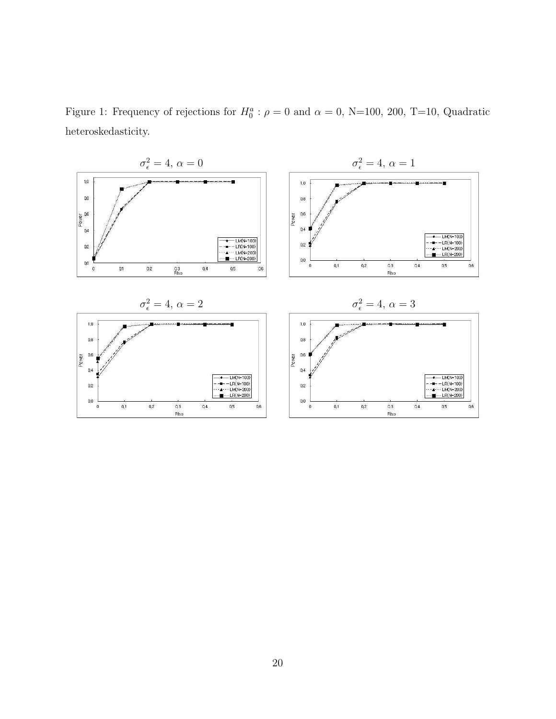Figure 1: Frequency of rejections for  $H_0^a$ :  $\rho = 0$  and  $\alpha = 0$ , N=100, 200, T=10, Quadratic heteroskedasticity.

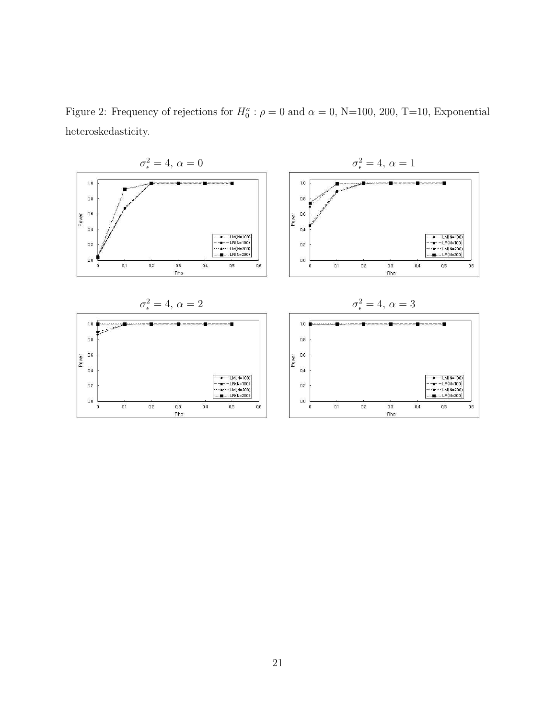Figure 2: Frequency of rejections for  $H_0^a$ :  $\rho = 0$  and  $\alpha = 0$ , N=100, 200, T=10, Exponential heteroskedasticity.

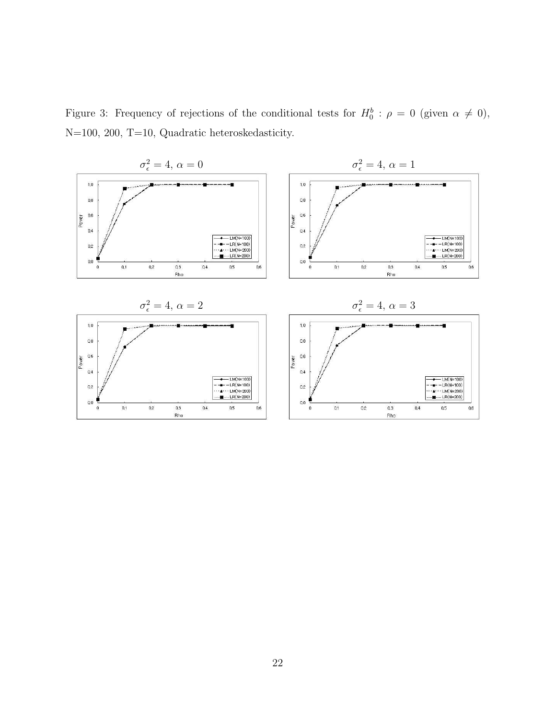Figure 3: Frequency of rejections of the conditional tests for  $H_0^b$ :  $\rho = 0$  (given  $\alpha \neq 0$ ), N=100, 200, T=10, Quadratic heteroskedasticity.

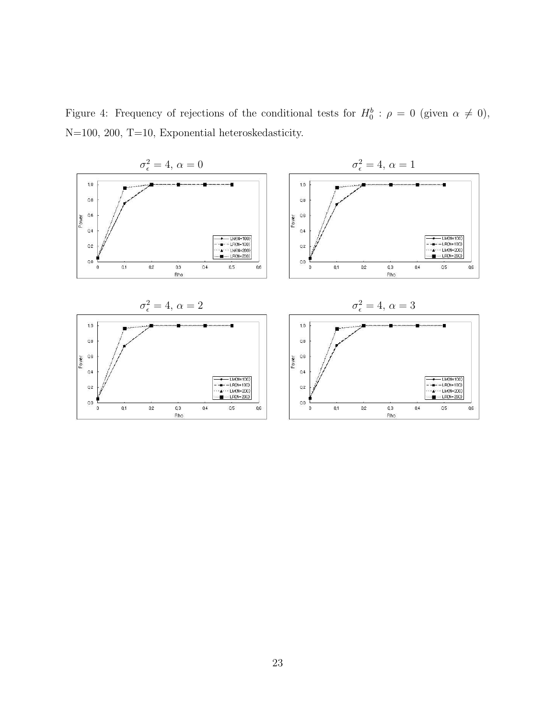Figure 4: Frequency of rejections of the conditional tests for  $H_0^b$ :  $\rho = 0$  (given  $\alpha \neq 0$ ), N=100, 200, T=10, Exponential heteroskedasticity.

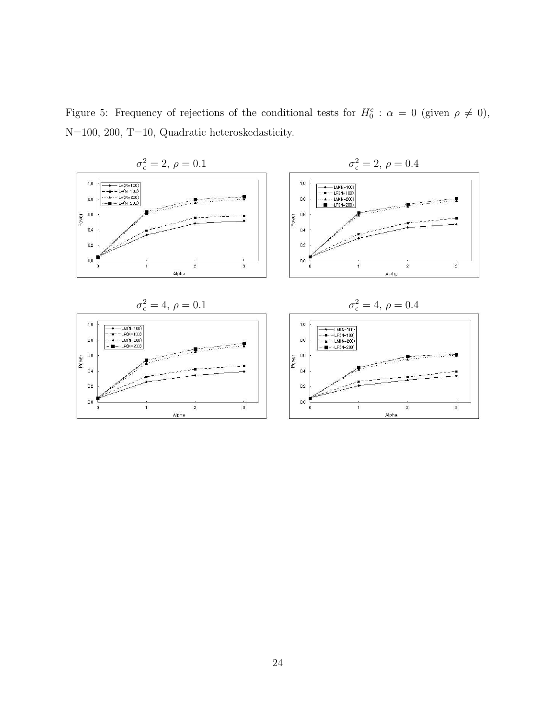Figure 5: Frequency of rejections of the conditional tests for  $H_0^c$ :  $\alpha = 0$  (given  $\rho \neq 0$ ), N=100, 200, T=10, Quadratic heteroskedasticity.

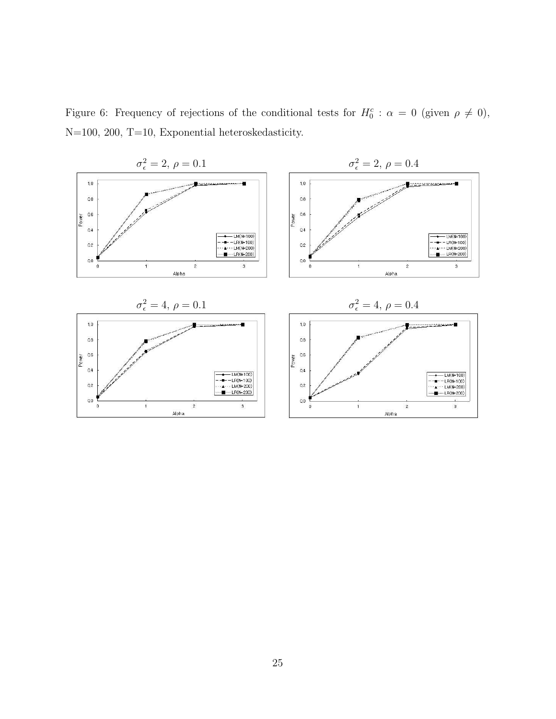Figure 6: Frequency of rejections of the conditional tests for  $H_0^c$ :  $\alpha = 0$  (given  $\rho \neq 0$ ), N=100, 200, T=10, Exponential heteroskedasticity.

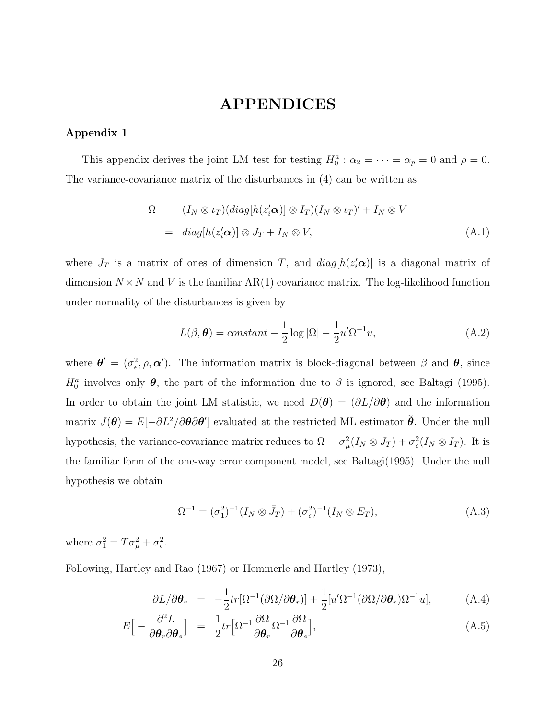# APPENDICES

#### Appendix 1

This appendix derives the joint LM test for testing  $H_0^a: \alpha_2 = \cdots = \alpha_p = 0$  and  $\rho = 0$ . The variance-covariance matrix of the disturbances in (4) can be written as

$$
\Omega = (I_N \otimes \iota_T)(diag[h(z_i'\mathbf{\alpha})] \otimes I_T)(I_N \otimes \iota_T)' + I_N \otimes V
$$
  
=  $diag[h(z_i'\mathbf{\alpha})] \otimes J_T + I_N \otimes V,$  (A.1)

where  $J_T$  is a matrix of ones of dimension T, and  $diag[h(z_i'\boldsymbol{\alpha})]$  is a diagonal matrix of dimension  $N \times N$  and V is the familiar AR(1) covariance matrix. The log-likelihood function under normality of the disturbances is given by

$$
L(\beta, \theta) = constant -\frac{1}{2}\log|\Omega| - \frac{1}{2}u'\Omega^{-1}u,
$$
\n(A.2)

where  $\boldsymbol{\theta}' = (\sigma_{\epsilon}^2, \rho, \boldsymbol{\alpha}')$ . The information matrix is block-diagonal between  $\beta$  and  $\boldsymbol{\theta}$ , since  $H_0^a$  involves only  $\theta$ , the part of the information due to  $\beta$  is ignored, see Baltagi (1995). In order to obtain the joint LM statistic, we need  $D(\theta) = (\partial L/\partial \theta)$  and the information matrix  $J(\theta) = E[-\partial L^2/\partial \theta \partial \theta']$  evaluated at the restricted ML estimator  $\tilde{\theta}$ . Under the null hypothesis, the variance-covariance matrix reduces to  $\Omega = \sigma_\mu^2 (I_N \otimes J_T) + \sigma_\epsilon^2 (I_N \otimes I_T)$ . It is the familiar form of the one-way error component model, see Baltagi(1995). Under the null hypothesis we obtain

$$
\Omega^{-1} = (\sigma_1^2)^{-1} (I_N \otimes \bar{J}_T) + (\sigma_\epsilon^2)^{-1} (I_N \otimes E_T), \tag{A.3}
$$

where  $\sigma_1^2 = T \sigma_\mu^2 + \sigma_\epsilon^2$ .

Following, Hartley and Rao (1967) or Hemmerle and Hartley (1973),

$$
\partial L/\partial \boldsymbol{\theta}_r = -\frac{1}{2}tr[\Omega^{-1}(\partial \Omega/\partial \boldsymbol{\theta}_r)] + \frac{1}{2}[u'\Omega^{-1}(\partial \Omega/\partial \boldsymbol{\theta}_r)\Omega^{-1}u], \tag{A.4}
$$

$$
E\Big[-\frac{\partial^2 L}{\partial \theta_r \partial \theta_s}\Big] = \frac{1}{2}tr\Big[\Omega^{-1}\frac{\partial \Omega}{\partial \theta_r} \Omega^{-1}\frac{\partial \Omega}{\partial \theta_s}\Big],\tag{A.5}
$$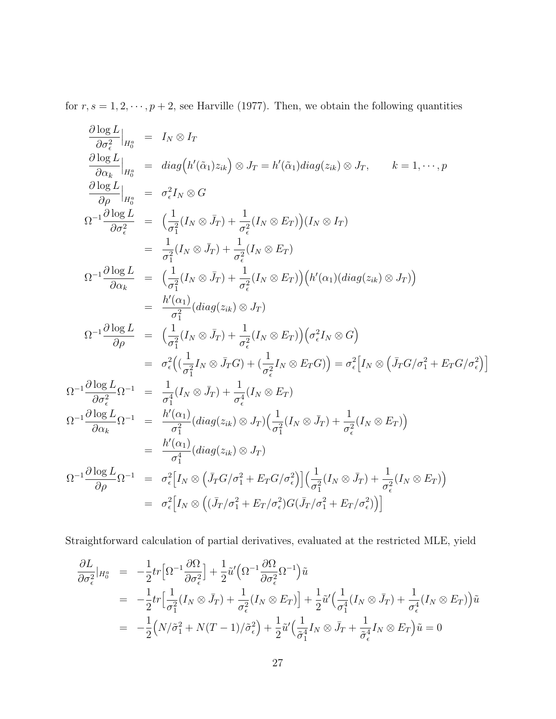for  $r, s = 1, 2, \dots, p + 2$ , see Harville (1977). Then, we obtain the following quantities

$$
\frac{\partial \log L}{\partial \sigma_{\epsilon}^{2}}|_{H_{0}^{a}} = I_{N} \otimes I_{T}
$$
\n
$$
\frac{\partial \log L}{\partial \alpha_{k}}|_{H_{0}^{a}} = diag(h'(\tilde{\alpha}_{1})z_{ik}) \otimes J_{T} = h'(\tilde{\alpha}_{1})diag(z_{ik}) \otimes J_{T}, \qquad k = 1, \dots, p
$$
\n
$$
\frac{\partial \log L}{\partial \rho}|_{H_{0}^{a}} = \sigma_{\epsilon}^{2}I_{N} \otimes G
$$
\n
$$
\Omega^{-1} \frac{\partial \log L}{\partial \sigma_{\epsilon}^{2}} = \left(\frac{1}{\sigma_{1}^{2}}(I_{N} \otimes \bar{J}_{T}) + \frac{1}{\sigma_{\epsilon}^{2}}(I_{N} \otimes E_{T})\right)(I_{N} \otimes I_{T})
$$
\n
$$
= \frac{1}{\sigma_{1}^{2}}(I_{N} \otimes \bar{J}_{T}) + \frac{1}{\sigma_{\epsilon}^{2}}(I_{N} \otimes E_{T})
$$
\n
$$
\Omega^{-1} \frac{\partial \log L}{\partial \alpha_{k}} = \left(\frac{1}{\sigma_{1}^{2}}(I_{N} \otimes \bar{J}_{T}) + \frac{1}{\sigma_{\epsilon}^{2}}(I_{N} \otimes E_{T})\right)(h'(\alpha_{1})(diag(z_{ik}) \otimes J_{T}))
$$
\n
$$
= \frac{h'(\alpha_{1})}{\sigma_{1}^{2}}(diag(z_{ik}) \otimes J_{T})
$$
\n
$$
\Omega^{-1} \frac{\partial \log L}{\partial \rho} = \left(\frac{1}{\sigma_{1}^{2}}(I_{N} \otimes \bar{J}_{T}) + \frac{1}{\sigma_{\epsilon}^{2}}(I_{N} \otimes E_{T})\right)(\sigma_{\epsilon}^{2}I_{N} \otimes G)
$$
\n
$$
= \sigma_{\epsilon}^{2}\left((\frac{1}{\sigma_{1}^{2}}I_{N} \otimes \bar{J}_{T}G) + (\frac{1}{\sigma_{\epsilon}^{2}}I_{N} \otimes E_{T}G)\right) = \sigma_{\epsilon}^{2}\left[I_{N} \otimes (I_{T}G/\sigma_{1}^{2} + E_{T}G/\sigma_{\epsilon}^{2})\right]
$$
\n
$$
\Omega^{-1} \frac{\partial \log L}{\partial
$$

Straightforward calculation of partial derivatives, evaluated at the restricted MLE, yield

$$
\frac{\partial L}{\partial \sigma_{\epsilon}^{2}}|_{H_{0}^{a}} = -\frac{1}{2}tr\Big[\Omega^{-1}\frac{\partial \Omega}{\partial \sigma_{\epsilon}^{2}}\Big] + \frac{1}{2}\tilde{u}'\Big(\Omega^{-1}\frac{\partial \Omega}{\partial \sigma_{\epsilon}^{2}}\Omega^{-1}\Big)\tilde{u}
$$
\n
$$
= -\frac{1}{2}tr\Big[\frac{1}{\sigma_{1}^{2}}(I_{N}\otimes \bar{J}_{T}) + \frac{1}{\sigma_{\epsilon}^{2}}(I_{N}\otimes E_{T})\Big] + \frac{1}{2}\tilde{u}'\Big(\frac{1}{\sigma_{1}^{4}}(I_{N}\otimes \bar{J}_{T}) + \frac{1}{\sigma_{\epsilon}^{4}}(I_{N}\otimes E_{T})\Big)\tilde{u}
$$
\n
$$
= -\frac{1}{2}\Big(N/\tilde{\sigma}_{1}^{2} + N(T-1)/\tilde{\sigma}_{\epsilon}^{2}\Big) + \frac{1}{2}\tilde{u}'\Big(\frac{1}{\tilde{\sigma}_{1}^{4}}I_{N}\otimes \bar{J}_{T} + \frac{1}{\tilde{\sigma}_{\epsilon}^{4}}I_{N}\otimes E_{T}\Big)\tilde{u} = 0
$$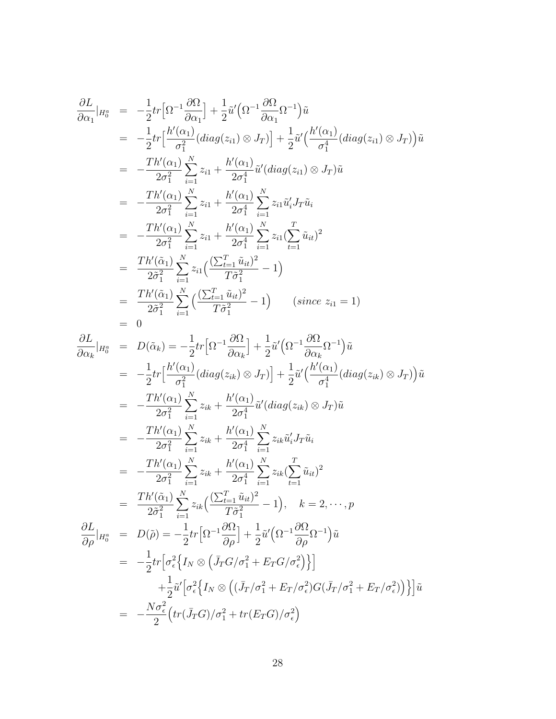$$
\frac{\partial L}{\partial \alpha_{1}}|_{H_{0}^{a}} = -\frac{1}{2}tr\Big[\Omega^{-1}\frac{\partial \Omega}{\partial \alpha_{1}}\Big] + \frac{1}{2}\tilde{u}'\Big(\Omega^{-1}\frac{\partial \Omega}{\partial \alpha_{1}}\Omega^{-1}\Big)\tilde{u}
$$
\n
$$
= -\frac{1}{2}tr\Big[\frac{h'(\alpha_{1})}{\sigma_{1}^{2}}(diag(z_{i1})\otimes J_{T})\Big] + \frac{1}{2}\tilde{u}'\Big(\frac{h'(\alpha_{1})}{\sigma_{1}^{4}}(diag(z_{i1})\otimes J_{T})\Big)\tilde{u}
$$
\n
$$
= -\frac{Th'(\alpha_{1})}{2\sigma_{1}^{2}}\sum_{i=1}^{N}z_{i1} + \frac{h'(\alpha_{1})}{2\sigma_{1}^{4}}\tilde{u}'(diag(z_{i1})\otimes J_{T})\tilde{u}
$$
\n
$$
= -\frac{Th'(\alpha_{1})}{2\sigma_{1}^{2}}\sum_{i=1}^{N}z_{i1} + \frac{h'(\alpha_{1})}{2\sigma_{1}^{4}}\sum_{i=1}^{N}z_{i1}\tilde{u}'_{i}J_{T}\tilde{u}_{i}
$$
\n
$$
= -\frac{Th'(\alpha_{1})}{2\sigma_{1}^{2}}\sum_{i=1}^{N}z_{i1} + \frac{h'(\alpha_{1})}{2\sigma_{1}^{4}}\sum_{i=1}^{N}z_{i1}(\sum_{t=1}^{T}\tilde{u}_{it})^{2}
$$
\n
$$
= \frac{Th'(\tilde{\alpha}_{1})}{2\tilde{\sigma}_{1}^{2}}\sum_{i=1}^{N}z_{i1}(\frac{(\sum_{t=1}^{T}\tilde{u}_{it})^{2}}{T\tilde{\sigma}_{1}^{2}} - 1)
$$
\n
$$
= \frac{Th'(\tilde{\alpha}_{1})}{2\tilde{\sigma}_{1}^{2}}\sum_{i=1}^{N}(\frac{(\sum_{t=1}^{T}\tilde{u}_{it})^{2}}{T\tilde{\sigma}_{1}^{2}} - 1) \qquad (since \ z_{i1} = 1)
$$
\n
$$
= 0
$$

$$
\frac{\partial L}{\partial \alpha_k}|_{H_0^a} = D(\tilde{\alpha}_k) = -\frac{1}{2}tr\Big[\Omega^{-1}\frac{\partial \Omega}{\partial \alpha_k}\Big] + \frac{1}{2}\tilde{u}'\Big(\Omega^{-1}\frac{\partial \Omega}{\partial \alpha_k}\Omega^{-1}\Big)\tilde{u}
$$
\n
$$
= -\frac{1}{2}tr\Big[\frac{h'(\alpha_1)}{\sigma_1^2}(diag(z_{ik}) \otimes J_T)\Big] + \frac{1}{2}\tilde{u}'\Big(\frac{h'(\alpha_1)}{\sigma_1^4}(diag(z_{ik}) \otimes J_T)\Big)\tilde{u}
$$
\n
$$
= -\frac{Th'(\alpha_1)}{2\sigma_1^2}\sum_{i=1}^N z_{ik} + \frac{h'(\alpha_1)}{2\sigma_1^4}\tilde{u}'(diag(z_{ik}) \otimes J_T)\tilde{u}
$$
\n
$$
= -\frac{Th'(\alpha_1)}{2\sigma_1^2}\sum_{i=1}^N z_{ik} + \frac{h'(\alpha_1)}{2\sigma_1^4}\sum_{i=1}^N z_{ik}\tilde{u}'_iJ_T\tilde{u}_i
$$
\n
$$
= -\frac{Th'(\alpha_1)}{2\sigma_1^2}\sum_{i=1}^N z_{ik} + \frac{h'(\alpha_1)}{2\sigma_1^4}\sum_{i=1}^N z_{ik}(\sum_{t=1}^T \tilde{u}_{it})^2
$$
\n
$$
= \frac{Th'(\tilde{\alpha}_1)}{2\tilde{\sigma}_1^2}\sum_{i=1}^N z_{ik}\Big(\frac{(\sum_{t=1}^T \tilde{u}_{it})^2}{T\tilde{\sigma}_1^2} - 1\Big), \quad k = 2, \cdots, p
$$
\n
$$
\frac{\partial L}{\partial \rho}|_{H_0^a} = D(\tilde{\rho}) = -\frac{1}{2}tr\Big[\Omega^{-1}\frac{\partial \Omega}{\partial \rho}\Big] + \frac{1}{2}\tilde{u}'\Big(\Omega^{-1}\frac{\partial \Omega}{\partial \rho}\Omega^{-1}\Big)\tilde{u}
$$
\n
$$
= -\frac{1}{2}tr\Big[\sigma_{\epsilon}^2\Big\{I_N \otimes \Big(\tilde{J}_T G/\sigma_1^2 + E_T G/\sigma_{\epsilon}^2\Big)\Big\}\Big]
$$
\n $$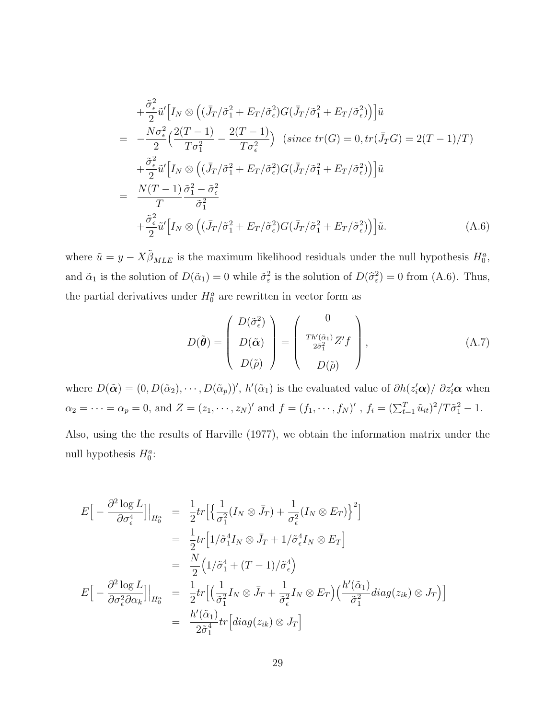$$
+\frac{\tilde{\sigma}_{\epsilon}^{2}}{2}\tilde{u}'\Big[I_{N}\otimes \Big((\bar{J}_{T}/\tilde{\sigma}_{1}^{2}+E_{T}/\tilde{\sigma}_{\epsilon}^{2})G(\bar{J}_{T}/\tilde{\sigma}_{1}^{2}+E_{T}/\tilde{\sigma}_{\epsilon}^{2})\Big)\Big]\tilde{u}
$$
  
\n
$$
=\frac{N\sigma_{\epsilon}^{2}}{2}\Big(\frac{2(T-1)}{T\sigma_{1}^{2}}-\frac{2(T-1)}{T\sigma_{\epsilon}^{2}}\Big)\text{ (since }tr(G)=0, tr(\bar{J}_{T}G)=2(T-1)/T)
$$
  
\n
$$
+\frac{\tilde{\sigma}_{\epsilon}^{2}}{2}\tilde{u}'\Big[I_{N}\otimes\Big((\bar{J}_{T}/\tilde{\sigma}_{1}^{2}+E_{T}/\tilde{\sigma}_{\epsilon}^{2})G(\bar{J}_{T}/\tilde{\sigma}_{1}^{2}+E_{T}/\tilde{\sigma}_{\epsilon}^{2})\Big)\Big]\tilde{u}
$$
  
\n
$$
=\frac{N(T-1)}{T}\frac{\tilde{\sigma}_{1}^{2}-\tilde{\sigma}_{\epsilon}^{2}}{\tilde{\sigma}_{1}^{2}}
$$
  
\n
$$
+\frac{\tilde{\sigma}_{\epsilon}^{2}}{2}\tilde{u}'\Big[I_{N}\otimes\Big((\bar{J}_{T}/\tilde{\sigma}_{1}^{2}+E_{T}/\tilde{\sigma}_{\epsilon}^{2})G(\bar{J}_{T}/\tilde{\sigma}_{1}^{2}+E_{T}/\tilde{\sigma}_{\epsilon}^{2})\Big)\Big]\tilde{u}.
$$
  
\n(A.6)

where  $\tilde{u} = y - X \tilde{\beta}_{MLE}$  is the maximum likelihood residuals under the null hypothesis  $H_0^a$ , and  $\tilde{\alpha}_1$  is the solution of  $D(\tilde{\alpha}_1) = 0$  while  $\tilde{\sigma}_{\varepsilon}^2$  is the solution of  $D(\hat{\sigma}_{\varepsilon}^2) = 0$  from (A.6). Thus, the partial derivatives under  $H_0^a$  are rewritten in vector form as

$$
D(\tilde{\boldsymbol{\theta}}) = \begin{pmatrix} D(\tilde{\sigma}_{\epsilon}^2) \\ D(\tilde{\boldsymbol{\alpha}}) \\ D(\tilde{\boldsymbol{\rho}}) \end{pmatrix} = \begin{pmatrix} 0 \\ \frac{Th'(\tilde{\alpha}_1)}{2\tilde{\sigma}_1^2} Z'f \\ D(\tilde{\boldsymbol{\rho}}) \end{pmatrix},
$$
(A.7)

where  $D(\tilde{\boldsymbol{\alpha}}) = (0, D(\tilde{\alpha}_2), \cdots, D(\tilde{\alpha}_p))'$ ,  $h'(\tilde{\alpha}_1)$  is the evaluated value of  $\partial h(z_i'\boldsymbol{\alpha})/\partial z_i'\boldsymbol{\alpha}$  when  $\alpha_2 = \cdots = \alpha_p = 0$ , and  $Z = (z_1, \dots, z_N)'$  and  $f = (f_1, \dots, f_N)'$ ,  $f_i = (\sum_{t=1}^T \tilde{u}_{it})^2 / T \tilde{\sigma}_1^2 - 1$ .

Also, using the the results of Harville (1977), we obtain the information matrix under the null hypothesis  $H_0^a$ :

$$
E\Big[-\frac{\partial^2 \log L}{\partial \sigma_\epsilon^4}\Big]\Big|_{H_0^a} = \frac{1}{2}tr\Big[\Big{\frac{1}{\sigma_1^2}(I_N \otimes \bar{J}_T) + \frac{1}{\sigma_\epsilon^2}(I_N \otimes E_T)\Big}^2\Big]
$$
  
\n
$$
= \frac{1}{2}tr\Big[1/\tilde{\sigma}_1^4 I_N \otimes \bar{J}_T + 1/\tilde{\sigma}_\epsilon^4 I_N \otimes E_T\Big]
$$
  
\n
$$
= \frac{N}{2}\Big(1/\tilde{\sigma}_1^4 + (T - 1)/\tilde{\sigma}_\epsilon^4\Big)
$$
  
\n
$$
E\Big[-\frac{\partial^2 \log L}{\partial \sigma_\epsilon^2 \partial \alpha_k}\Big]\Big|_{H_0^a} = \frac{1}{2}tr\Big[\Big(\frac{1}{\tilde{\sigma}_1^2}I_N \otimes \bar{J}_T + \frac{1}{\tilde{\sigma}_\epsilon^2}I_N \otimes E_T\Big)\Big(\frac{h'(\tilde{\alpha}_1)}{\tilde{\sigma}_1^2}diag(z_{ik}) \otimes J_T\Big)\Big]
$$
  
\n
$$
= \frac{h'(\tilde{\alpha}_1)}{2\tilde{\sigma}_1^4}tr\Big[diag(z_{ik}) \otimes J_T\Big]
$$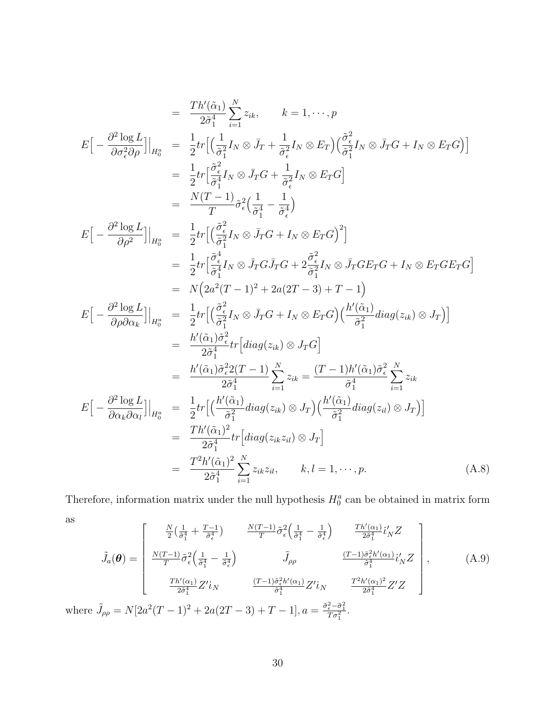$$
= \frac{Th'(\tilde{\alpha}_1)}{2\tilde{\sigma}_1^4} \sum_{i=1}^{N} z_{ik}, \qquad k = 1, \dots, p
$$
  
\n
$$
E\left[-\frac{\partial^2 \log L}{\partial \sigma_i^2 \partial \rho}\right] \Big|_{H_0^a} = \frac{1}{2} tr \Big[\Big(\frac{1}{\tilde{\sigma}_1^2} I_N \otimes \bar{J}_T + \frac{1}{\tilde{\sigma}_\epsilon^2} I_N \otimes E_T\Big) \Big(\frac{\tilde{\sigma}_\epsilon^2}{\tilde{\sigma}_1^2} I_N \otimes \bar{J}_T G + I_N \otimes E_T G\Big)\Big]
$$
  
\n
$$
= \frac{1}{2} tr \Big[\frac{\tilde{\sigma}_\epsilon^2}{\tilde{\sigma}_1^4} I_N \otimes \bar{J}_T G + \frac{1}{\tilde{\sigma}_\epsilon^2} I_N \otimes E_T G\Big]
$$
  
\n
$$
= \frac{N(T-1)}{T} \tilde{\sigma}_\epsilon^2 \Big(\frac{1}{\tilde{\sigma}_1^4} - \frac{1}{\tilde{\sigma}_\epsilon^4}\Big)
$$
  
\n
$$
E\Big[-\frac{\partial^2 \log L}{\partial \rho^2}\Big] \Big|_{H_0^a} = \frac{1}{2} tr \Big[\Big(\frac{\tilde{\sigma}_\epsilon^2}{\tilde{\sigma}_1^4} I_N \otimes \bar{J}_T G + I_N \otimes E_T G\Big)^2\Big]
$$
  
\n
$$
= \frac{1}{2} tr \Big[\frac{\tilde{\sigma}_\epsilon^4}{\tilde{\sigma}_1^4} I_N \otimes \bar{J}_T G \bar{J}_T G + 2 \frac{\tilde{\sigma}_\epsilon^2}{\tilde{\sigma}_1^2} I_N \otimes \bar{J}_T G E_T G + I_N \otimes E_T G E_T G\Big]
$$
  
\n
$$
= N\Big(2a^2(T-1)^2 + 2a(2T-3) + T - 1\Big)
$$
  
\n
$$
E\Big[-\frac{\partial^2 \log L}{\partial \rho \partial \alpha_k}\Big] \Big|_{H_0^a} = \frac{1}{2} tr \Big[\Big(\frac{\tilde{\sigma}_\epsilon^2}{\tilde{\sigma}_1^2} I_N \otimes \bar{J}_T G + I_N \otimes E_T G\Big)\Big(\frac{h'(\til
$$

Therefore, information matrix under the null hypothesis  $H_0^a$  can be obtained in matrix form as  $\mathsf{r}$  $\overline{1}$ 

as  
\n
$$
\tilde{J}_a(\theta) = \begin{bmatrix}\n\frac{N}{2} \left( \frac{1}{\tilde{\sigma}_1^4} + \frac{T-1}{\tilde{\sigma}_\epsilon^4} \right) & \frac{N(T-1)}{T} \tilde{\sigma}_\epsilon^2 \left( \frac{1}{\tilde{\sigma}_1^4} - \frac{1}{\tilde{\sigma}_\epsilon^4} \right) & \frac{T h'(a_1)}{2 \tilde{\sigma}_1^4} i'_N Z \\
\frac{N(T-1)}{T} \tilde{\sigma}_\epsilon^2 \left( \frac{1}{\tilde{\sigma}_1^4} - \frac{1}{\tilde{\sigma}_\epsilon^4} \right) & \tilde{J}_{\rho \rho} & \frac{(T-1) \tilde{\sigma}_\epsilon^2 h'(a_1)}{\tilde{\sigma}_1^4} i'_N Z \\
\frac{T h'(a_1)}{2 \tilde{\sigma}_1^4} Z' i_N & \frac{(T-1) \tilde{\sigma}_\epsilon^2 h'(a_1)}{\tilde{\sigma}_1^4} Z' i_N & \frac{T^2 h'(a_1)^2}{2 \tilde{\sigma}_1^4} Z' Z\n\end{bmatrix},
$$
\n(A.9)  
\nwhere  $\tilde{J}_{\rho \rho} = N \left[ 2a^2 (T-1)^2 + 2a (2T-3) + T - 1 \right], a = \frac{\tilde{\sigma}_\epsilon^2 - \tilde{\sigma}_1^2}{T \sigma_1^2}.$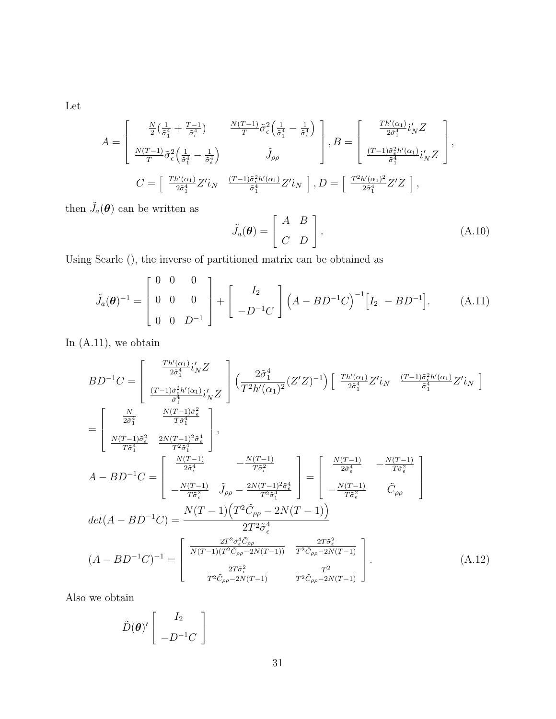Let

$$
A = \begin{bmatrix} \frac{N}{2} \left( \frac{1}{\tilde{\sigma}_{1}^{4}} + \frac{T-1}{\tilde{\sigma}_{\epsilon}^{4}} \right) & \frac{N(T-1)}{T} \tilde{\sigma}_{\epsilon}^{2} \left( \frac{1}{\tilde{\sigma}_{1}^{4}} - \frac{1}{\tilde{\sigma}_{\epsilon}^{4}} \right) \\ \frac{N(T-1)}{T} \tilde{\sigma}_{\epsilon}^{2} \left( \frac{1}{\tilde{\sigma}_{1}^{4}} - \frac{1}{\tilde{\sigma}_{\epsilon}^{4}} \right) & \tilde{J}_{\rho\rho} \end{bmatrix}, B = \begin{bmatrix} \frac{Th'(\alpha_{1})}{2\tilde{\sigma}_{1}^{4}} i'_{N} Z \\ \frac{(T-1)\tilde{\sigma}_{\epsilon}^{2} h'(\alpha_{1})}{\tilde{\sigma}_{1}^{4}} i'_{N} Z \end{bmatrix},
$$
  

$$
C = \begin{bmatrix} \frac{Th'(\alpha_{1})}{2\tilde{\sigma}_{1}^{4}} Z' i_{N} & \frac{(T-1)\tilde{\sigma}_{\epsilon}^{2} h'(\alpha_{1})}{\tilde{\sigma}_{1}^{4}} Z' i_{N} \end{bmatrix}, D = \begin{bmatrix} \frac{T^{2} h'(\alpha_{1})^{2}}{2\tilde{\sigma}_{1}^{4}} Z' Z \end{bmatrix},
$$

then  $\tilde{J}_a(\boldsymbol{\theta})$  can be written as

$$
\tilde{J}_a(\theta) = \begin{bmatrix} A & B \\ C & D \end{bmatrix}.
$$
 (A.10)

Using Searle (), the inverse of partitioned matrix can be obtained as

$$
\tilde{J}_a(\theta)^{-1} = \begin{bmatrix} 0 & 0 & 0 \\ 0 & 0 & 0 \\ 0 & 0 & D^{-1} \end{bmatrix} + \begin{bmatrix} I_2 \\ -D^{-1}C \end{bmatrix} (A - BD^{-1}C)^{-1} [I_2 - BD^{-1}]. \tag{A.11}
$$

In  $(A.11)$ , we obtain

$$
BD^{-1}C = \begin{bmatrix} \frac{Th'(\alpha_1)}{2\tilde{\sigma}_1^4} i'_N Z \\ \frac{(T-1)\tilde{\sigma}_\epsilon^2 h'(\alpha_1)}{\tilde{\sigma}_1^4} i'_N Z \end{bmatrix} \left( \frac{2\tilde{\sigma}_1^4}{T^2 h'(\alpha_1)^2} (Z'Z)^{-1} \right) \left[ \frac{Th'(\alpha_1)}{2\tilde{\sigma}_1^4} Z' i_N \right. \frac{(T-1)\tilde{\sigma}_\epsilon^2 h'(\alpha_1)}{\tilde{\sigma}_1^4} Z' i_N \right]
$$
  
\n
$$
= \begin{bmatrix} \frac{N}{2\tilde{\sigma}_1^4} & \frac{N(T-1)\tilde{\sigma}_\epsilon^2}{T^2 \tilde{\sigma}_1^4} \\ \frac{N(T-1)\tilde{\sigma}_\epsilon^2}{T\tilde{\sigma}_1^4} & \frac{2N(T-1)^2 \tilde{\sigma}_\epsilon^4}{T^2 \tilde{\sigma}_1^4} \end{bmatrix},
$$
  
\n
$$
A - BD^{-1}C = \begin{bmatrix} \frac{N(T-1)}{2\tilde{\sigma}_\epsilon^4} & -\frac{N(T-1)}{T\tilde{\sigma}_\epsilon^2} \\ -\frac{N(T-1)}{T\tilde{\sigma}_\epsilon^2} & \tilde{J}_{\rho\rho} - \frac{2N(T-1)^2 \tilde{\sigma}_\epsilon^4}{T^2 \tilde{\sigma}_1^4} \end{bmatrix} = \begin{bmatrix} \frac{N(T-1)}{2\tilde{\sigma}_\epsilon^4} & -\frac{N(T-1)}{T\tilde{\sigma}_\epsilon^2} \\ -\frac{N(T-1)}{T\tilde{\sigma}_\epsilon^2} & \tilde{C}_{\rho\rho} \end{bmatrix}
$$
  
\n
$$
det(A - BD^{-1}C) = \frac{N(T-1)\left(T^2 \tilde{C}_{\rho\rho} - 2N(T-1)\right)}{2T^2 \tilde{\sigma}_\epsilon^4}
$$
  
\n
$$
\frac{2T^2 \tilde{\sigma}_\epsilon^4 \tilde{C}_{\rho\rho}}{T^2 \tilde{C}_{\rho\rho} - 2N(T-1)} = \begin{bmatrix} \frac{2T^2 \tilde{\sigma}_\epsilon^2 \tilde{C}_{\rho\rho}}}{N(T-1)(T^2 \tilde{C}_{\rho\rho} - 2N
$$

Also we obtain

$$
\tilde{D}(\boldsymbol{\theta})'\left[\begin{array}{c}I_2\\-D^{-1}C\end{array}\right]
$$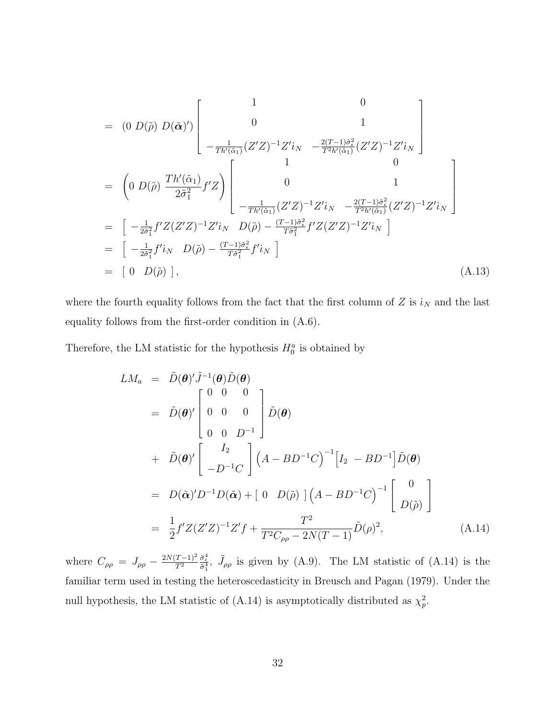$$
= (0 D(\tilde{\rho}) D(\tilde{\alpha})') \begin{bmatrix} 1 & 0 \\ 0 & 1 \\ -\frac{1}{Th'(\tilde{\alpha}_{1})} (Z'Z)^{-1} Z' i_{N} & -\frac{2(T-1)\tilde{\sigma}_{\epsilon}^{2}}{T^{2}h'(\tilde{\alpha}_{1})} (Z'Z)^{-1} Z' i_{N} \end{bmatrix}
$$
  
\n
$$
= (0 D(\tilde{\rho}) \frac{Th'(\tilde{\alpha}_{1})}{2\tilde{\sigma}_{1}^{2}} f'Z) \begin{bmatrix} 1 & 0 \\ 0 & 1 \\ -\frac{1}{Th'(\tilde{\alpha}_{1})} (Z'Z)^{-1} Z' i_{N} & -\frac{2(T-1)\tilde{\sigma}_{\epsilon}^{2}}{T^{2}h'(\tilde{\alpha}_{1})} (Z'Z)^{-1} Z' i_{N} \end{bmatrix}
$$
  
\n
$$
= [-\frac{1}{2\tilde{\sigma}_{1}^{2}} f' Z (Z'Z)^{-1} Z' i_{N} D(\tilde{\rho}) - \frac{(T-1)\tilde{\sigma}_{\epsilon}^{2}}{T\tilde{\sigma}_{1}^{2}} f' Z (Z'Z)^{-1} Z' i_{N}]
$$
  
\n
$$
= [-\frac{1}{2\tilde{\sigma}_{1}^{2}} f' i_{N} D(\tilde{\rho}) - \frac{(T-1)\tilde{\sigma}_{\epsilon}^{2}}{T\tilde{\sigma}_{1}^{2}} f' i_{N}]
$$
  
\n
$$
= [0 D(\tilde{\rho})], \qquad (A.13)
$$

where the fourth equality follows from the fact that the first column of Z is  $i_N$  and the last equality follows from the first-order condition in (A.6).

Therefore, the LM statistic for the hypothesis  $H_0^a$  is obtained by

$$
LM_a = \tilde{D}(\theta)'\tilde{J}^{-1}(\theta)\tilde{D}(\theta)
$$
  
\n
$$
= \tilde{D}(\theta)'\begin{bmatrix} 0 & 0 & 0 \\ 0 & 0 & 0 \\ 0 & 0 & D^{-1} \end{bmatrix}\tilde{D}(\theta)
$$
  
\n
$$
+ \tilde{D}(\theta)'\begin{bmatrix} I_2 \\ -D^{-1}C \end{bmatrix} (A - BD^{-1}C)^{-1} [I_2 - BD^{-1}]\tilde{D}(\theta)
$$
  
\n
$$
= D(\tilde{\alpha})'D^{-1}D(\tilde{\alpha}) + [0 D(\tilde{\rho})](A - BD^{-1}C)^{-1} \begin{bmatrix} 0 \\ D(\tilde{\rho}) \end{bmatrix}
$$
  
\n
$$
= \frac{1}{2}f'Z(Z'Z)^{-1}Z'f + \frac{T^2}{T^2C_{\rho\rho} - 2N(T - 1)}\tilde{D}(\rho)^2,
$$
 (A.14)

where  $C_{\rho\rho} = J_{\rho\rho} - \frac{2N(T-1)^2}{T^2}$  $\overline{T^2}$  $\frac{\tilde{\sigma}_{\epsilon}^4}{\tilde{\sigma}_{1}^4}$ ,  $\tilde{J}_{\rho\rho}$  is given by (A.9). The LM statistic of (A.14) is the familiar term used in testing the heteroscedasticity in Breusch and Pagan (1979). Under the null hypothesis, the LM statistic of (A.14) is asymptotically distributed as  $\chi_p^2$ .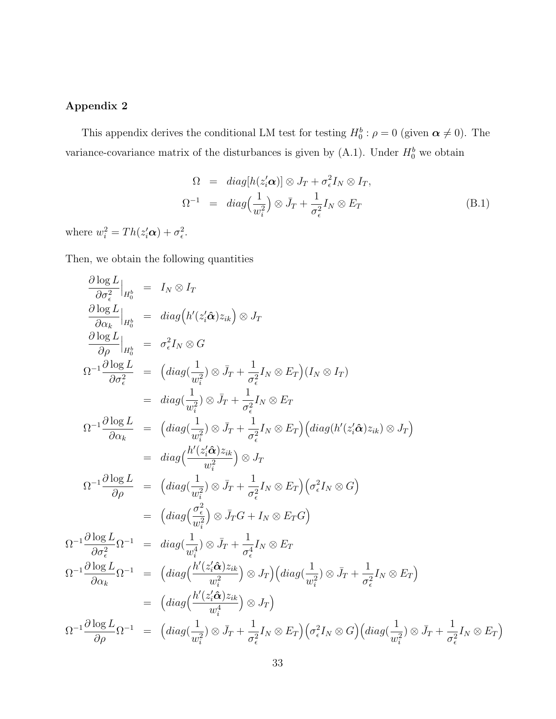### Appendix 2

This appendix derives the conditional LM test for testing  $H_0^b: \rho = 0$  (given  $\alpha \neq 0$ ). The variance-covariance matrix of the disturbances is given by  $(A.1)$ . Under  $H_0^b$  we obtain

$$
\Omega = diag[h(z_i'\mathbf{\alpha})] \otimes J_T + \sigma_\epsilon^2 I_N \otimes I_T, \n\Omega^{-1} = diag\left(\frac{1}{w_i^2}\right) \otimes \bar{J}_T + \frac{1}{\sigma_\epsilon^2} I_N \otimes E_T
$$
\n(B.1)

where  $w_i^2 = Th(z_i'\boldsymbol{\alpha}) + \sigma_{\epsilon}^2$ .

Then, we obtain the following quantities

$$
\frac{\partial \log L}{\partial \sigma_{\epsilon}^{2}}|_{H_{0}^{k}} = I_{N} \otimes I_{T}
$$
\n
$$
\frac{\partial \log L}{\partial \alpha_{k}}|_{H_{0}^{k}} = diag(h'(z_{i}'\hat{\alpha})z_{ik}) \otimes J_{T}
$$
\n
$$
\frac{\partial \log L}{\partial \rho}|_{H_{0}^{k}} = \sigma_{\epsilon}^{2}I_{N} \otimes G
$$
\n
$$
\Omega^{-1} \frac{\partial \log L}{\partial \sigma_{\epsilon}^{2}} = (diag(\frac{1}{w_{i}^{2}}) \otimes \bar{J}_{T} + \frac{1}{\sigma_{\epsilon}^{2}}I_{N} \otimes E_{T})(I_{N} \otimes I_{T})
$$
\n
$$
= diag(\frac{1}{w_{i}^{2}}) \otimes \bar{J}_{T} + \frac{1}{\sigma_{\epsilon}^{2}}I_{N} \otimes E_{T}
$$
\n
$$
\Omega^{-1} \frac{\partial \log L}{\partial \alpha_{k}} = (diag(\frac{1}{w_{i}^{2}}) \otimes \bar{J}_{T} + \frac{1}{\sigma_{\epsilon}^{2}}I_{N} \otimes E_{T})(diag(h'(z_{i}'\hat{\alpha})z_{ik}) \otimes J_{T})
$$
\n
$$
= diag(\frac{h'(z_{i}'\hat{\alpha})z_{ik}}{w_{i}^{2}}) \otimes J_{T}
$$
\n
$$
\Omega^{-1} \frac{\partial \log L}{\partial \rho} = (diag(\frac{1}{w_{i}^{2}}) \otimes \bar{J}_{T} + \frac{1}{\sigma_{\epsilon}^{2}}I_{N} \otimes E_{T})(\sigma_{\epsilon}^{2}I_{N} \otimes G)
$$
\n
$$
= (diag(\frac{\sigma_{\epsilon}^{2}}{w_{i}^{2}}) \otimes \bar{J}_{T}G + I_{N} \otimes E_{T}G)
$$
\n
$$
\Omega^{-1} \frac{\partial \log L}{\partial \sigma_{\epsilon}^{2}} \Omega^{-1} = diag(\frac{1}{w_{i}^{4}}) \otimes \bar{J}_{T} + \frac{1}{\sigma_{\epsilon}^{4}}I_{N} \otimes E_{T}
$$
\n
$$
\Omega^{-1} \frac{\partial \log L}{\partial \alpha_{k}} \Omega^{-1} = (diag(\frac{h'(z_{i}'\hat{\alpha})z_{ik}}{w_{i}^{2}}) \otimes J_{T})(
$$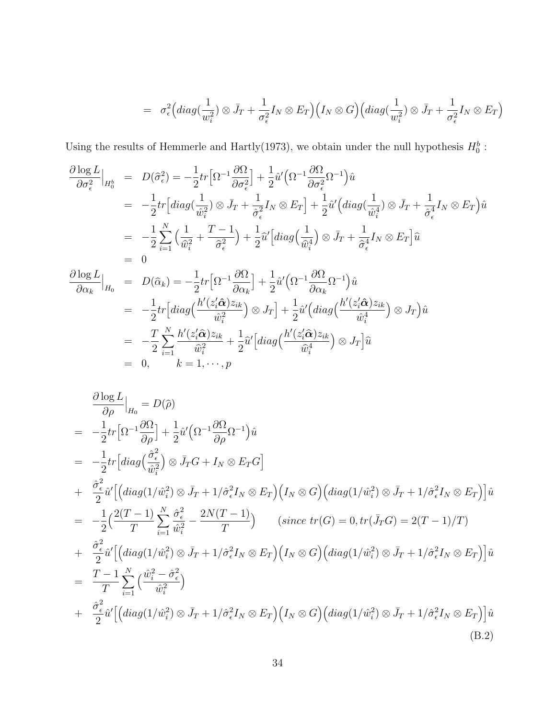$$
= \sigma_{\epsilon}^{2} \Big( diag(\frac{1}{w_{i}^{2}}) \otimes \bar{J}_{T} + \frac{1}{\sigma_{\epsilon}^{2}} I_{N} \otimes E_{T} \Big) \Big( I_{N} \otimes G \Big) \Big( diag(\frac{1}{w_{i}^{2}}) \otimes \bar{J}_{T} + \frac{1}{\sigma_{\epsilon}^{2}} I_{N} \otimes E_{T} \Big)
$$

Using the results of Hemmerle and Hartly(1973), we obtain under the null hypothesis  $H_0^b$ :

$$
\frac{\partial \log L}{\partial \sigma_{\epsilon}^{2}}\Big|_{H_{0}^{k}} = D(\hat{\sigma}_{\epsilon}^{2}) = -\frac{1}{2}tr\Big[\Omega^{-1}\frac{\partial \Omega}{\partial \sigma_{\epsilon}^{2}}\Big] + \frac{1}{2}\hat{u}'\Big(\Omega^{-1}\frac{\partial \Omega}{\partial \sigma_{\epsilon}^{2}}\Omega^{-1}\Big)\hat{u}
$$
\n
$$
= -\frac{1}{2}tr\Big[diag(\frac{1}{\hat{w}_{i}^{2}}) \otimes \bar{J}_{T} + \frac{1}{\hat{\sigma}_{\epsilon}^{2}}I_{N} \otimes E_{T}\Big] + \frac{1}{2}\hat{u}'\Big(diag(\frac{1}{\hat{w}_{i}^{4}}) \otimes \bar{J}_{T} + \frac{1}{\hat{\sigma}_{\epsilon}^{4}}I_{N} \otimes E_{T}\Big)\hat{u}
$$
\n
$$
= -\frac{1}{2}\sum_{i=1}^{N}\Big(\frac{1}{\hat{w}_{i}^{2}} + \frac{T-1}{\hat{\sigma}_{\epsilon}^{2}}\Big) + \frac{1}{2}\hat{u}'\Big[diag(\frac{1}{\hat{w}_{i}^{4}}) \otimes \bar{J}_{T} + \frac{1}{\hat{\sigma}_{\epsilon}^{4}}I_{N} \otimes E_{T}\Big]\hat{u}
$$
\n
$$
= 0
$$
\n
$$
\frac{\partial \log L}{\partial \alpha_{k}}\Big|_{H_{0}} = D(\hat{\alpha}_{k}) = -\frac{1}{2}tr\Big[\Omega^{-1}\frac{\partial \Omega}{\partial \alpha_{k}}\Big] + \frac{1}{2}\hat{u}'\Big(\Omega^{-1}\frac{\partial \Omega}{\partial \alpha_{k}}\Omega^{-1}\Big)\hat{u}
$$
\n
$$
= -\frac{1}{2}tr\Big[diag(\frac{h'(z_{i}'\hat{\alpha})z_{ik}}{\hat{w}_{i}^{2}}) \otimes J_{T}\Big] + \frac{1}{2}\hat{u}'\Big(diag(\frac{h'(z_{i}'\hat{\alpha})z_{ik}}{\hat{w}_{i}^{4}}) \otimes J_{T}\Big)\hat{u}
$$
\n
$$
= -\frac{T}{2}\sum_{i=1}^{N}\frac{h'(z_{i}'\hat{\alpha})z_{ik}}{\hat{w}_{i}^{2}} + \frac{1}{2}\hat{u}'\Big[diag(\frac{h'(z_{i}'\hat{\alpha})z_{ik}}{\hat{
$$

$$
\frac{\partial \log L}{\partial \rho}\Big|_{H_0} = D(\hat{\rho})
$$
\n
$$
= -\frac{1}{2}tr\Big[\Omega^{-1}\frac{\partial \Omega}{\partial \rho}\Big] + \frac{1}{2}\hat{u}'\Big(\Omega^{-1}\frac{\partial \Omega}{\partial \rho}\Omega^{-1}\Big)\hat{u}
$$
\n
$$
= -\frac{1}{2}tr\Big[diag\Big(\frac{\hat{\sigma}_{\epsilon}^2}{\hat{w}_{i}^2}\Big) \otimes \bar{J}_T G + I_N \otimes E_T G\Big]
$$
\n
$$
+ \frac{\hat{\sigma}_{\epsilon}^2}{2}\hat{u}'\Big[\Big(diag(1/\hat{w}_{i}^2) \otimes \bar{J}_T + 1/\hat{\sigma}_{\epsilon}^2 I_N \otimes E_T\Big)\Big(I_N \otimes G\Big)\Big(diag(1/\hat{w}_{i}^2) \otimes \bar{J}_T + 1/\hat{\sigma}_{\epsilon}^2 I_N \otimes E_T\Big)\Big]\hat{u}
$$
\n
$$
= -\frac{1}{2}\Big(\frac{2(T-1)}{T}\sum_{i=1}^N \frac{\hat{\sigma}_{\epsilon}^2}{\hat{u}_{i}^2} - \frac{2N(T-1)}{T}\Big) \qquad (since \ tr(G) = 0, tr(\bar{J}_T G) = 2(T-1)/T)
$$
\n
$$
+ \frac{\hat{\sigma}_{\epsilon}^2}{2}\hat{u}'\Big[\Big(diag(1/\hat{w}_{i}^2) \otimes \bar{J}_T + 1/\hat{\sigma}_{\epsilon}^2 I_N \otimes E_T\Big)\Big(I_N \otimes G\Big)\Big(diag(1/\hat{w}_{i}^2) \otimes \bar{J}_T + 1/\hat{\sigma}_{\epsilon}^2 I_N \otimes E_T\Big)\Big]\hat{u}
$$
\n
$$
= \frac{T-1}{T}\sum_{i=1}^N \Big(\frac{\hat{w}_{i}^2 - \hat{\sigma}_{\epsilon}^2}{\hat{u}_{i}^2}\Big)
$$
\n
$$
+ \frac{\hat{\sigma}_{\epsilon}^2}{2}\hat{u}'\Big[\Big(diag(1/\hat{w}_{i}^2) \otimes \bar{J}_T + 1/\hat{\sigma}_{\epsilon}^2 I_N \otimes E_T\Big)\Big(I_N \otimes G\Big)\Big(diag(1/\hat{w}_{i}^2) \otimes \bar{J}_T + 1/\hat{\sigma}_{\epsilon}^2 I
$$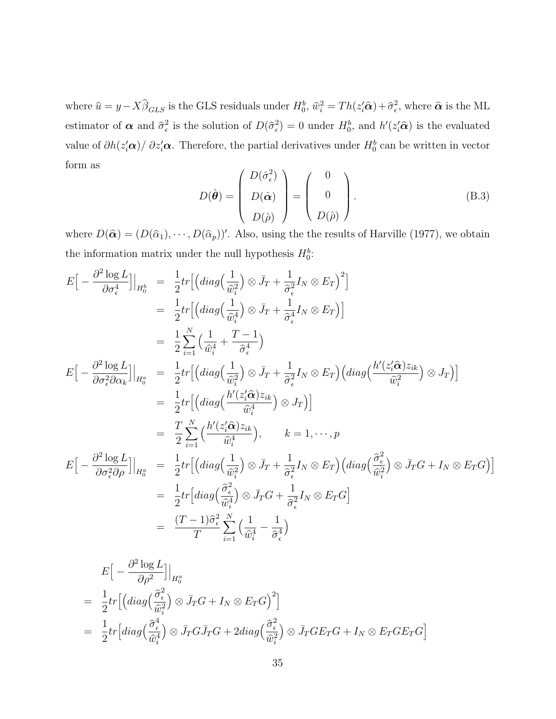where  $\hat{u} = y - X\hat{\beta}_{GLS}$  is the GLS residuals under  $H_0^b$ ,  $\hat{w}_i^2 = Th(z_i'\hat{\alpha}) + \hat{\sigma}_\epsilon^2$ , where  $\hat{\alpha}$  is the ML estimator of  $\alpha$  and  $\hat{\sigma}_{\epsilon}^2$  is the solution of  $D(\hat{\sigma}_{\epsilon}^2) = 0$  under  $H_0^b$ , and  $h'(z_i'\hat{\alpha})$  is the evaluated value of  $\partial h(z_i'\alpha)/\partial z_i'\alpha$ . Therefore, the partial derivatives under  $H_0^b$  can be written in vector form as  $\overline{\phantom{a}}$  $\mathbf{r}$ 

$$
D(\hat{\boldsymbol{\theta}}) = \begin{pmatrix} D(\hat{\sigma}_{\epsilon}^2) \\ D(\hat{\boldsymbol{\alpha}}) \\ D(\hat{\rho}) \end{pmatrix} = \begin{pmatrix} 0 \\ 0 \\ D(\hat{\rho}) \end{pmatrix}.
$$
 (B.3)

where  $D(\hat{\alpha}) = (D(\hat{\alpha}_1), \cdots, D(\hat{\alpha}_p))'$ . Also, using the the results of Harville (1977), we obtain the information matrix under the null hypothesis  $H_0^b$ :

$$
E\left[-\frac{\partial^2 \log L}{\partial \sigma_{\epsilon}^4}\right]\Big|_{H_0^b} = \frac{1}{2}tr\left[\left(\operatorname{diag}\left(\frac{1}{\hat{w}_i^2}\right) \otimes \bar{J}_T + \frac{1}{\hat{\sigma}_{\epsilon}^2} I_N \otimes E_T\right)^2\right]
$$
  
\n
$$
= \frac{1}{2}tr\left[\left(\operatorname{diag}\left(\frac{1}{\hat{w}_i^4}\right) \otimes \bar{J}_T + \frac{1}{\hat{\sigma}_{\epsilon}^4} I_N \otimes E_T\right)\right]
$$
  
\n
$$
= \frac{1}{2} \sum_{i=1}^N \left(\frac{1}{\hat{w}_i^4} + \frac{T-1}{\hat{\sigma}_{\epsilon}^4}\right)
$$
  
\n
$$
E\left[-\frac{\partial^2 \log L}{\partial \sigma_{\epsilon}^2 \partial \alpha_k}\right]\Big|_{H_0^a} = \frac{1}{2}tr\left[\left(\operatorname{diag}\left(\frac{1}{\hat{w}_i^2}\right) \otimes \bar{J}_T + \frac{1}{\hat{\sigma}_{\epsilon}^2} I_N \otimes E_T\right)\left(\operatorname{diag}\left(\frac{h'(z_i'\hat{\alpha})z_{ik}}{\hat{w}_i^3}\right) \otimes J_T\right)\right]
$$
  
\n
$$
= \frac{1}{2}tr\left[\left(\operatorname{diag}\left(\frac{h'(z_i'\hat{\alpha})z_{ik}}{\hat{w}_i^4}\right) \otimes J_T\right)\right]
$$
  
\n
$$
= \frac{T}{2} \sum_{i=1}^N \left(\frac{h'(z_i'\hat{\alpha})z_{ik}}{\hat{w}_i^4}\right), \qquad k = 1, \cdots, p
$$
  
\n
$$
E\left[-\frac{\partial^2 \log L}{\partial \sigma_{\epsilon}^2 \partial \rho}\right]\Big|_{H_0^a} = \frac{1}{2}tr\left[\left(\operatorname{diag}\left(\frac{1}{\hat{w}_i^2}\right) \otimes \bar{J}_T + \frac{1}{\hat{\sigma}_{\epsilon}^2} I_N \otimes E_T\right)\left(\operatorname{diag}\left(\frac{\hat{\sigma}_{\epsilon}^2}{\hat{w}_i^2}\right) \otimes \bar{J}_T G + I_N \otimes E_T G\right)\right]
$$
  
\n
$$
=
$$

$$
E\Big[-\frac{\partial^2 \log L}{\partial \rho^2}\Big]\Big|_{H_0^a}
$$
  
=  $\frac{1}{2}tr\Big[\Big(idiag\Big(\frac{\hat{\sigma}^2_{\epsilon}}{\hat{w}_i^2}\Big)\otimes \bar{J}_TG + I_N \otimes E_TG\Big)^2\Big]$   
=  $\frac{1}{2}tr\Big[diag\Big(\frac{\hat{\sigma}^4_{\epsilon}}{\hat{w}_i^4}\Big)\otimes \bar{J}_TG\bar{J}_TG + 2diag\Big(\frac{\hat{\sigma}^2_{\epsilon}}{\hat{w}_i^2}\Big)\otimes \bar{J}_TGE_TG + I_N \otimes E_TGE_TG\Big]$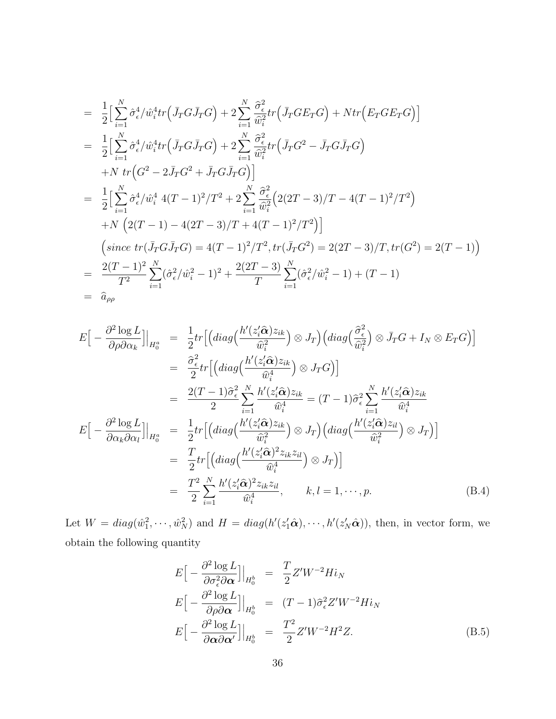$$
= \frac{1}{2} \Big[ \sum_{i=1}^{N} \hat{\sigma}_{\epsilon}^{4} / \hat{w}_{i}^{4} tr \Big( \bar{J}_{T} G \bar{J}_{T} G \Big) + 2 \sum_{i=1}^{N} \frac{\hat{\sigma}_{\epsilon}^{2}}{\hat{w}_{i}^{2}} tr \Big( \bar{J}_{T} G E_{T} G \Big) + N tr \Big( E_{T} G E_{T} G \Big) \Big]
$$
  
\n
$$
= \frac{1}{2} \Big[ \sum_{i=1}^{N} \hat{\sigma}_{\epsilon}^{4} / \hat{w}_{i}^{4} tr \Big( \bar{J}_{T} G \bar{J}_{T} G \Big) + 2 \sum_{i=1}^{N} \frac{\hat{\sigma}_{\epsilon}^{2}}{\hat{w}_{i}^{2}} tr \Big( \bar{J}_{T} G^{2} - \bar{J}_{T} G \bar{J}_{T} G \Big)
$$
  
\n
$$
+ N tr \Big( G^{2} - 2 \bar{J}_{T} G^{2} + \bar{J}_{T} G \bar{J}_{T} G \Big) \Big]
$$
  
\n
$$
= \frac{1}{2} \Big[ \sum_{i=1}^{N} \hat{\sigma}_{\epsilon}^{4} / \hat{w}_{i}^{4} (T - 1)^{2} / T^{2} + 2 \sum_{i=1}^{N} \frac{\hat{\sigma}_{\epsilon}^{2}}{\hat{w}_{i}^{2}} \Big( 2(2T - 3) / T - 4(T - 1)^{2} / T^{2} \Big)
$$
  
\n
$$
+ N \Big( 2(T - 1) - 4(2T - 3) / T + 4(T - 1)^{2} / T^{2} \Big) \Big]
$$
  
\n
$$
\Big( since \ tr (\bar{J}_{T} G \bar{J}_{T} G) = 4(T - 1)^{2} / T^{2}, \ tr (\bar{J}_{T} G^{2}) = 2(2T - 3) / T, \ tr (G^{2}) = 2(T - 1) \Big)
$$
  
\n
$$
= \frac{2(T - 1)^{2}}{T^{2}} \sum_{i=1}^{N} (\hat{\sigma}_{\epsilon}^{2} / \hat{w}_{i}^{2} - 1)^{2} + \frac{2(2T - 3)}{T} \sum_{i=1}^{N} (\hat{\sigma}_{\epsilon}^{2} / \hat{w}_{i}^{2} - 1) + (T
$$

$$
E\left[-\frac{\partial^2 \log L}{\partial \rho \partial \alpha_k}\right]\Big|_{H_0^a} = \frac{1}{2}tr\Big[\Big(\operatorname{diag}\Big(\frac{h'(z_i'\hat{\alpha})z_{ik}}{\hat{w}_i^2}\Big) \otimes J_T\Big) \Big(\operatorname{diag}\Big(\frac{\hat{\sigma}_\epsilon^2}{\hat{w}_i^2}\Big) \otimes \bar{J}_T G + I_N \otimes E_T G\Big)\Big]
$$
  
\n
$$
= \frac{\hat{\sigma}_\epsilon^2}{2} tr\Big[\Big(\operatorname{diag}\Big(\frac{h'(z_i'\hat{\alpha})z_{ik}}{\hat{w}_i^4}\Big) \otimes J_T G\Big)\Big]
$$
  
\n
$$
= \frac{2(T-1)\hat{\sigma}_\epsilon^2}{2} \sum_{i=1}^N \frac{h'(z_i'\hat{\alpha})z_{ik}}{\hat{w}_i^4} = (T-1)\hat{\sigma}_\epsilon^2 \sum_{i=1}^N \frac{h'(z_i'\hat{\alpha})z_{ik}}{\hat{w}_i^4}
$$
  
\n
$$
E\Big[-\frac{\partial^2 \log L}{\partial \alpha_k \partial \alpha_l}\Big]\Big|_{H_0^a} = \frac{1}{2} tr\Big[\Big(\operatorname{diag}\Big(\frac{h'(z_i'\hat{\alpha})z_{ik}}{\hat{w}_i^2}\Big) \otimes J_T\Big) \Big(\operatorname{diag}\Big(\frac{h'(z_i'\hat{\alpha})z_{il}}{\hat{w}_i^2}\Big) \otimes J_T\Big)\Big]
$$
  
\n
$$
= \frac{T}{2} tr\Big[\Big(\operatorname{diag}\Big(\frac{h'(z_i'\hat{\alpha})^2 z_{ik}z_{il}}{\hat{w}_i^4}\Big) \otimes J_T\Big)\Big]
$$
  
\n
$$
= \frac{T^2}{2} \sum_{i=1}^N \frac{h'(z_i'\hat{\alpha})^2 z_{ik}z_{il}}{\hat{w}_i^4}, \qquad k, l = 1, \dots, p.
$$
 (B.4)

Let  $W = diag(\hat{w}_1^2, \dots, \hat{w}_N^2)$  and  $H = diag(h'(z_1'\hat{\boldsymbol{\alpha}}), \dots, h'(z_N'\hat{\boldsymbol{\alpha}}))$ , then, in vector form, we obtain the following quantity

$$
E\left[-\frac{\partial^2 \log L}{\partial \sigma_\epsilon^2 \partial \alpha}\right]\Big|_{H_0^b} = \frac{T}{2} Z' W^{-2} H i_N
$$
  
\n
$$
E\left[-\frac{\partial^2 \log L}{\partial \rho \partial \alpha}\right]\Big|_{H_0^b} = (T-1)\hat{\sigma}_\epsilon^2 Z' W^{-2} H i_N
$$
  
\n
$$
E\left[-\frac{\partial^2 \log L}{\partial \alpha \partial \alpha'}\right]\Big|_{H_0^b} = \frac{T^2}{2} Z' W^{-2} H^2 Z.
$$
 (B.5)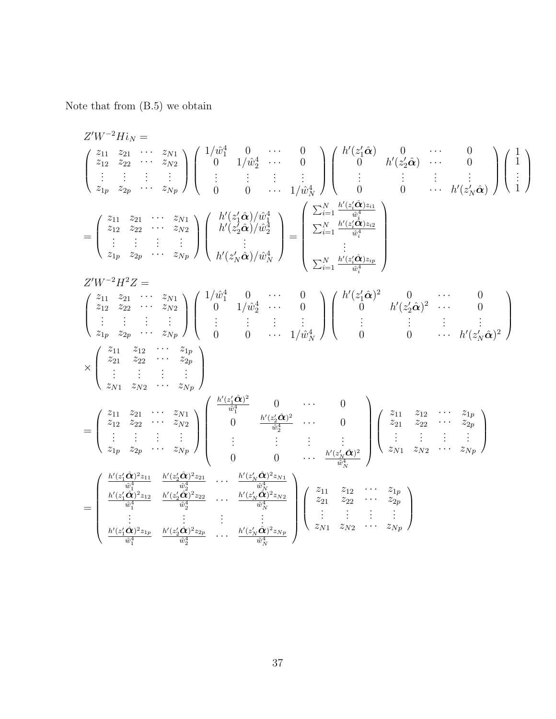Note that from (B.5) we obtain

$$
Z'W^{-2}Hi_N =\n\begin{pmatrix}\nz_{11} & z_{21} & \cdots & z_{N1} \\
z_{12} & z_{22} & \cdots & z_{N2} \\
\vdots & \vdots & \vdots & \vdots & \vdots \\
z_{1p} & z_{2p} & \cdots & z_{Np}\n\end{pmatrix}\n\begin{pmatrix}\n1/\hat{w}_1^4 & 0 & \cdots & 0 \\
0 & 1/\hat{w}_2^4 & \cdots & 0 \\
\vdots & \vdots & \vdots & \vdots & \vdots \\
0 & 0 & \cdots & 1/\hat{w}_N^4\n\end{pmatrix}\n\begin{pmatrix}\nh'(z_1'\hat{\alpha}) & 0 & \cdots & 0 \\
0 & \cdots & \vdots \\
0 & 0 & \cdots & 1/\hat{w}_N^4\n\end{pmatrix}\n\begin{pmatrix}\nh'(z_1'\hat{\alpha}) & 0 & \cdots & 0 \\
\vdots & \vdots & \vdots & \vdots \\
0 & 0 & \cdots & 1/\hat{w}_N^4\n\end{pmatrix}\n\begin{pmatrix}\nh'(z_1'\hat{\alpha})\hat{w}_1^4 \\
0 & \ddots & \vdots \\
0 & 0 & \cdots & 1/\hat{w}_N^4\n\end{pmatrix}
$$
\n
$$
=\n\begin{pmatrix}\nz_{11} & z_{21} & \cdots & z_{N1} \\
z_{12} & z_{22} & \cdots & z_{Np} \\
z_{1p} & z_{2p} & \cdots & z_{Np}\n\end{pmatrix}\n\begin{pmatrix}\nh'(z_1'\hat{\alpha})/\hat{w}_1^4 \\
h'(z_2'\hat{\alpha})/\hat{w}_2^4 \\
0 & \ddots & \vdots \\
0 & 0 & \cdots & 1/\hat{w}_N^4\n\end{pmatrix} =\n\begin{pmatrix}\nN'(z_1'\hat{\alpha})^2 & 0 & \cdots & 0 \\
\sum_{i=1}^N \frac{h'(z_i'\hat{\alpha})z_i}{\hat{w}_i^4} \\
0 & 0 & \cdots & 1/\hat{w}_N^4\n\end{pmatrix}
$$
\n
$$
\times\n\begin{pmatrix}\nz_{11} & z_{11} & z_{11} & \cdots & z_{N1} \\
z_{12} & z_{22} & \cdots & z_{Np} \\
\vdots & \vdots & \vdots & \vdots \\
z_{1p} & z_{2p} & \cd
$$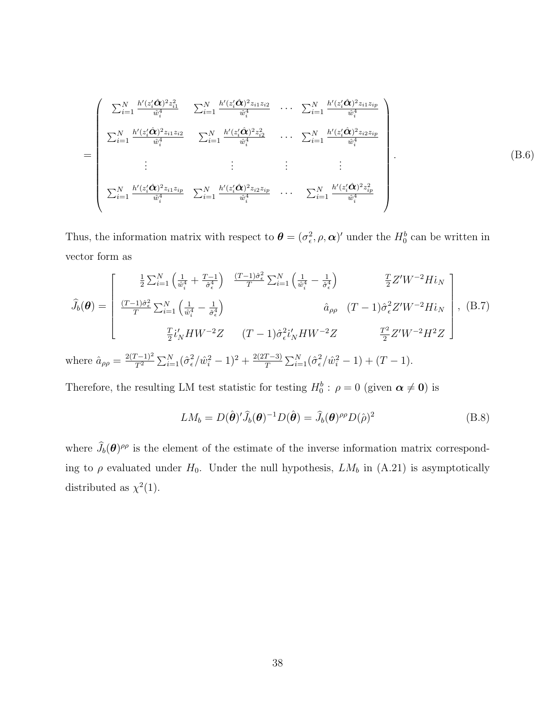$$
= \begin{pmatrix} \sum_{i=1}^{N} \frac{h'(z_i'\hat{\mathbf{\alpha}})^2 z_{i1}^2}{\hat{w}_i^4} & \sum_{i=1}^{N} \frac{h'(z_i'\hat{\mathbf{\alpha}})^2 z_{i1} z_{i2}}{\hat{w}_i^4} & \cdots & \sum_{i=1}^{N} \frac{h'(z_i'\hat{\mathbf{\alpha}})^2 z_{i1} z_{ip}}{\hat{w}_i^4} \\ \sum_{i=1}^{N} \frac{h'(z_i'\hat{\mathbf{\alpha}})^2 z_{i1} z_{i2}}{\hat{w}_i^4} & \sum_{i=1}^{N} \frac{h'(z_i'\hat{\mathbf{\alpha}})^2 z_{i2}^2}{\hat{w}_i^4} & \cdots & \sum_{i=1}^{N} \frac{h'(z_i'\hat{\mathbf{\alpha}})^2 z_{i2} z_{ip}}{\hat{w}_i^4} \\ \vdots & \vdots & \ddots & \vdots \\ \sum_{i=1}^{N} \frac{h'(z_i'\hat{\mathbf{\alpha}})^2 z_{i1} z_{ip}}{\hat{w}_i^4} & \sum_{i=1}^{N} \frac{h'(z_i'\hat{\mathbf{\alpha}})^2 z_{i2} z_{ip}}{\hat{w}_i^4} & \cdots & \sum_{i=1}^{N} \frac{h'(z_i'\hat{\mathbf{\alpha}})^2 z_{ip}^2}{\hat{w}_i^4} \end{pmatrix}
$$
(B.6)

Thus, the information matrix with respect to  $\boldsymbol{\theta} = (\sigma_{\epsilon}^2, \rho, \boldsymbol{\alpha})'$  under the  $H_0^b$  can be written in vector form as

$$
\hat{J}_{b}(\theta) = \begin{bmatrix} \frac{1}{2} \sum_{i=1}^{N} \left( \frac{1}{\hat{w}_{i}^{4}} + \frac{T-1}{\hat{\sigma}_{\epsilon}^{4}} \right) & \frac{(T-1)\hat{\sigma}_{\epsilon}^{2}}{T} \sum_{i=1}^{N} \left( \frac{1}{\hat{w}_{i}^{4}} - \frac{1}{\hat{\sigma}_{\epsilon}^{4}} \right) & \frac{T}{2} Z' W^{-2} H i_{N} \\ \frac{(T-1)\hat{\sigma}_{\epsilon}^{2}}{T} \sum_{i=1}^{N} \left( \frac{1}{\hat{w}_{i}^{4}} - \frac{1}{\hat{\sigma}_{\epsilon}^{4}} \right) & \hat{a}_{\rho\rho} & (T-1)\hat{\sigma}_{\epsilon}^{2} Z' W^{-2} H i_{N} \\ \frac{T}{2} i'_{N} H W^{-2} Z & (T-1)\hat{\sigma}_{\epsilon}^{2} i'_{N} H W^{-2} Z & \frac{T^{2}}{2} Z' W^{-2} H^{2} Z \end{bmatrix}, (B.7)
$$

where  $\hat{a}_{\rho\rho} = \frac{2(T-1)^2}{T^2}$  $\overline{T^2}$  $\sum_{i=1}^{N}(\hat{\sigma}_{\epsilon}^{2})$  $\frac{2}{\epsilon}/\hat{w}_i^2 - 1)^2 + \frac{2(2T-3)}{T}$ T  $\sum_{i=1}^{N}(\hat{\sigma}_{\epsilon}^{2})$  $\frac{2}{\epsilon}/\hat{w}_i^2-1$  +  $(T-1)$ .

Therefore, the resulting LM test statistic for testing  $H_0^b$ :  $\rho = 0$  (given  $\alpha \neq 0$ ) is

$$
LM_b = D(\hat{\boldsymbol{\theta}})' \hat{J}_b(\boldsymbol{\theta})^{-1} D(\hat{\boldsymbol{\theta}}) = \hat{J}_b(\boldsymbol{\theta})^{\rho \rho} D(\hat{\rho})^2
$$
(B.8)

where  $\hat{J}_b(\theta)$ <sup> $\rho\rho$ </sup> is the element of the estimate of the inverse information matrix corresponding to  $\rho$  evaluated under  $H_0$ . Under the null hypothesis,  $LM_b$  in (A.21) is asymptotically distributed as  $\chi^2(1)$ .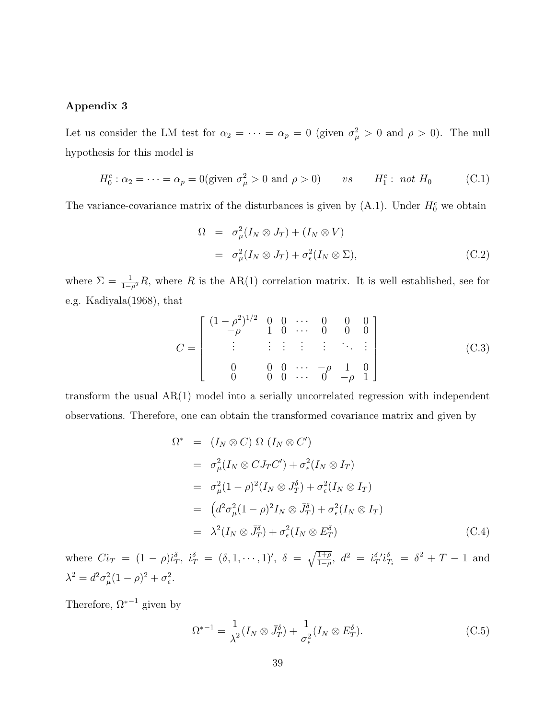#### Appendix 3

Let us consider the LM test for  $\alpha_2 = \cdots = \alpha_p = 0$  (given  $\sigma_\mu^2 > 0$  and  $\rho > 0$ ). The null hypothesis for this model is

$$
H_0^c: \alpha_2 = \dots = \alpha_p = 0 \text{ (given } \sigma_\mu^2 > 0 \text{ and } \rho > 0 \text{)} \qquad vs \qquad H_1^c: \text{ not } H_0 \tag{C.1}
$$

The variance-covariance matrix of the disturbances is given by  $(A.1)$ . Under  $H_0^c$  we obtain

$$
\Omega = \sigma_{\mu}^{2}(I_{N} \otimes J_{T}) + (I_{N} \otimes V)
$$
  
=  $\sigma_{\mu}^{2}(I_{N} \otimes J_{T}) + \sigma_{\epsilon}^{2}(I_{N} \otimes \Sigma),$  (C.2)

where  $\Sigma = \frac{1}{1-\rho^2}R$ , where R is the AR(1) correlation matrix. It is well established, see for e.g. Kadiyala(1968), that

$$
C = \begin{bmatrix} (1 - \rho^2)^{1/2} & 0 & 0 & \cdots & 0 & 0 & 0 \\ -\rho & 1 & 0 & \cdots & 0 & 0 & 0 \\ \vdots & \vdots & \vdots & \vdots & \vdots & \ddots & \vdots \\ 0 & 0 & 0 & \cdots & -\rho & 1 & 0 \\ 0 & 0 & 0 & \cdots & 0 & -\rho & 1 \end{bmatrix}
$$
(C.3)

transform the usual AR(1) model into a serially uncorrelated regression with independent observations. Therefore, one can obtain the transformed covariance matrix and given by

$$
\Omega^* = (I_N \otimes C) \Omega (I_N \otimes C')
$$
  
\n
$$
= \sigma_\mu^2 (I_N \otimes C J_T C') + \sigma_\epsilon^2 (I_N \otimes I_T)
$$
  
\n
$$
= \sigma_\mu^2 (1 - \rho)^2 (I_N \otimes J_T^{\delta}) + \sigma_\epsilon^2 (I_N \otimes I_T)
$$
  
\n
$$
= (d^2 \sigma_\mu^2 (1 - \rho)^2 I_N \otimes J_T^{\delta}) + \sigma_\epsilon^2 (I_N \otimes I_T)
$$
  
\n
$$
= \lambda^2 (I_N \otimes J_T^{\delta}) + \sigma_\epsilon^2 (I_N \otimes E_T^{\delta})
$$
 (C.4)

where  $Ci_T = (1 - \rho)i_T^{\delta}$ ,  $i_T^{\delta} = (\delta, 1, \dots, 1)'$ ,  $\delta = \sqrt{\frac{1 + \rho}{1 - \rho}}$  $\frac{\overline{1+\rho}}{1-\rho}$ ,  $d^2 = i_T^{\delta} i_T^{\delta}$ ,  $\delta^2 + T - 1$  and  $\lambda^2 = d^2 \sigma_\mu^2 (1 - \rho)^2 + \sigma_\epsilon^2$ .

Therefore,  $\Omega^{*-1}$  given by

$$
\Omega^{*-1} = \frac{1}{\lambda^2} (I_N \otimes \bar{J}_T^{\delta}) + \frac{1}{\sigma_{\epsilon}^2} (I_N \otimes E_T^{\delta}).
$$
\n(C.5)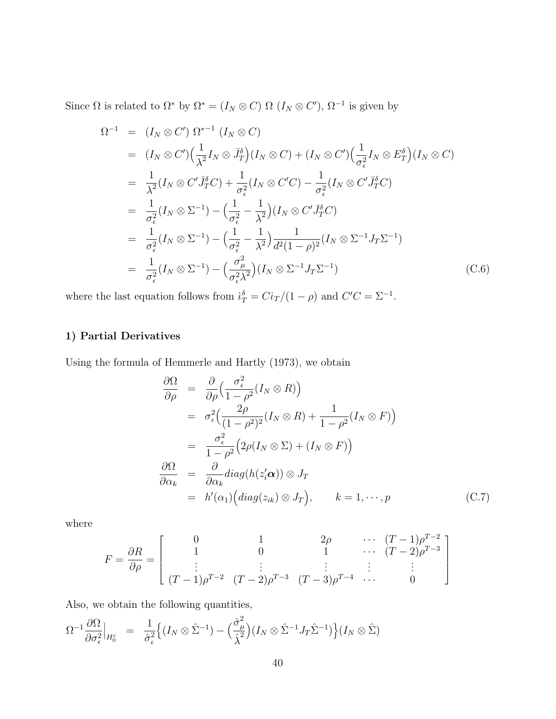Since  $\Omega$  is related to  $\Omega^*$  by  $\Omega^* = (I_N \otimes C) \Omega$   $(I_N \otimes C')$ ,  $\Omega^{-1}$  is given by

$$
\Omega^{-1} = (I_N \otimes C') \Omega^{*-1} (I_N \otimes C)
$$
\n
$$
= (I_N \otimes C') \Big(\frac{1}{\lambda^2} I_N \otimes \bar{J}_T^{\delta}\Big) (I_N \otimes C) + (I_N \otimes C') \Big(\frac{1}{\sigma_\epsilon^2} I_N \otimes E_T^{\delta}\Big) (I_N \otimes C)
$$
\n
$$
= \frac{1}{\lambda^2} (I_N \otimes C' \bar{J}_T^{\delta} C) + \frac{1}{\sigma_\epsilon^2} (I_N \otimes C' C) - \frac{1}{\sigma_\epsilon^2} (I_N \otimes C' \bar{J}_T^{\delta} C)
$$
\n
$$
= \frac{1}{\sigma_\epsilon^2} (I_N \otimes \Sigma^{-1}) - \Big(\frac{1}{\sigma_\epsilon^2} - \frac{1}{\lambda^2}\Big) (I_N \otimes C' \bar{J}_T^{\delta} C)
$$
\n
$$
= \frac{1}{\sigma_\epsilon^2} (I_N \otimes \Sigma^{-1}) - \Big(\frac{1}{\sigma_\epsilon^2} - \frac{1}{\lambda^2}\Big) \frac{1}{d^2 (1 - \rho)^2} (I_N \otimes \Sigma^{-1} J_T \Sigma^{-1})
$$
\n
$$
= \frac{1}{\sigma_\epsilon^2} (I_N \otimes \Sigma^{-1}) - \Big(\frac{\sigma_\mu^2}{\sigma_\epsilon^2 \lambda^2}\Big) (I_N \otimes \Sigma^{-1} J_T \Sigma^{-1}) \tag{C.6}
$$

where the last equation follows from  $i_T^{\delta} = Ci_T/(1-\rho)$  and  $C'C = \Sigma^{-1}$ .

### 1) Partial Derivatives

Using the formula of Hemmerle and Hartly (1973), we obtain

$$
\frac{\partial \Omega}{\partial \rho} = \frac{\partial}{\partial \rho} \Big( \frac{\sigma_{\epsilon}^2}{1 - \rho^2} (I_N \otimes R) \Big) \n= \sigma_{\epsilon}^2 \Big( \frac{2\rho}{(1 - \rho^2)^2} (I_N \otimes R) + \frac{1}{1 - \rho^2} (I_N \otimes F) \Big) \n= \frac{\sigma_{\epsilon}^2}{1 - \rho^2} \Big( 2\rho (I_N \otimes \Sigma) + (I_N \otimes F) \Big) \n\frac{\partial \Omega}{\partial \alpha_k} = \frac{\partial}{\partial \alpha_k} diag(h(z_i' \alpha)) \otimes J_T \n= h'(\alpha_1) \Big( diag(z_{ik}) \otimes J_T \Big), \qquad k = 1, \dots, p
$$
\n(C.7)

where

$$
F = \frac{\partial R}{\partial \rho} = \begin{bmatrix} 0 & 1 & 2\rho & \cdots & (T-1)\rho^{T-2} \\ 1 & 0 & 1 & \cdots & (T-2)\rho^{T-3} \\ \vdots & \vdots & \ddots & \vdots & \vdots \\ (T-1)\rho^{T-2} & (T-2)\rho^{T-3} & (T-3)\rho^{T-4} & \cdots & 0 \end{bmatrix}
$$

Also, we obtain the following quantities,

$$
\Omega^{-1}\frac{\partial\Omega}{\partial \sigma_{\epsilon}^2}\Big|_{H_0^c} = \frac{1}{\hat{\sigma}_{\epsilon}^2}\Big\{ (I_N \otimes \hat{\Sigma}^{-1}) - \Big(\frac{\hat{\sigma}_{\mu}^2}{\hat{\lambda}^2}\Big)(I_N \otimes \hat{\Sigma}^{-1}J_T\hat{\Sigma}^{-1})\Big\} (I_N \otimes \hat{\Sigma})
$$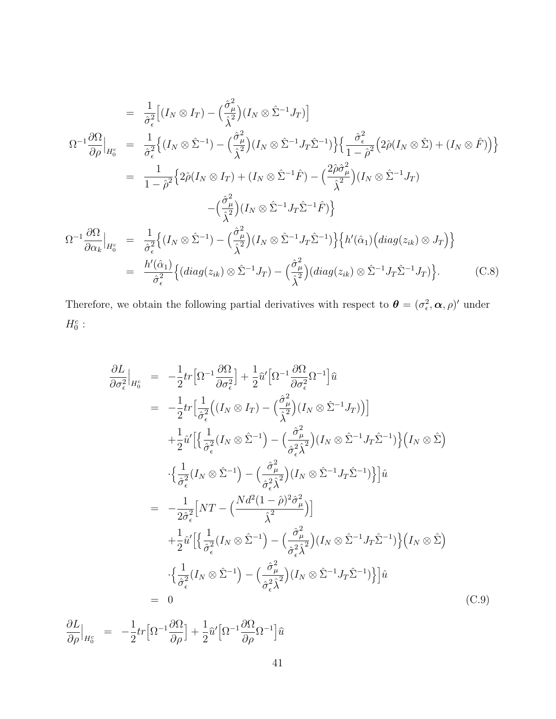$$
= \frac{1}{\hat{\sigma}_{\epsilon}^{2}} \Big[ (I_{N} \otimes I_{T}) - (\frac{\hat{\sigma}_{\mu}^{2}}{\hat{\lambda}^{2}}) (I_{N} \otimes \hat{\Sigma}^{-1} J_{T}) \Big] \n\Omega^{-1} \frac{\partial \Omega}{\partial \rho} \Big|_{H_{0}^{c}} = \frac{1}{\hat{\sigma}_{\epsilon}^{2}} \Big\{ (I_{N} \otimes \hat{\Sigma}^{-1}) - (\frac{\hat{\sigma}_{\mu}^{2}}{\hat{\lambda}^{2}}) (I_{N} \otimes \hat{\Sigma}^{-1} J_{T} \hat{\Sigma}^{-1}) \Big\} \Big\{ \frac{\hat{\sigma}_{\epsilon}^{2}}{1 - \hat{\rho}^{2}} \Big( 2\hat{\rho} (I_{N} \otimes \hat{\Sigma}) + (I_{N} \otimes \hat{F}) \Big) \Big\} \n= \frac{1}{1 - \hat{\rho}^{2}} \Big\{ 2\hat{\rho} (I_{N} \otimes I_{T}) + (I_{N} \otimes \hat{\Sigma}^{-1} \hat{F}) - (\frac{2\hat{\rho} \hat{\sigma}_{\mu}^{2}}{\hat{\lambda}^{2}}) (I_{N} \otimes \hat{\Sigma}^{-1} J_{T}) \n- (\frac{\hat{\sigma}_{\mu}^{2}}{\hat{\lambda}^{2}}) (I_{N} \otimes \hat{\Sigma}^{-1} J_{T} \hat{\Sigma}^{-1} \hat{F}) \Big\} \n\Omega^{-1} \frac{\partial \Omega}{\partial \alpha_{k}} \Big|_{H_{0}^{c}} = \frac{1}{\hat{\sigma}_{\epsilon}^{2}} \Big\{ (I_{N} \otimes \hat{\Sigma}^{-1}) - (\frac{\hat{\sigma}_{\mu}^{2}}{\hat{\lambda}^{2}}) (I_{N} \otimes \hat{\Sigma}^{-1} J_{T} \hat{\Sigma}^{-1}) \Big\} \Big\{ h'(\hat{\alpha}_{1}) \Big( diag(z_{ik}) \otimes J_{T} \Big) \Big\} \n= \frac{h'(\hat{\alpha}_{1})}{\hat{\sigma}_{\epsilon}^{2}} \Big\{ (diag(z_{ik}) \otimes \hat{\Sigma}^{-1} J_{T}) - (\frac{\hat{\sigma}_{\mu}^{2}}{\hat{\lambda}^{2}}) (diag(z_{ik}) \otimes \hat{\Sigma}^{-1} J_{T} \hat{\Sigma}^{-1} J_{T}) \Big\}.
$$
\n(C.8)

Therefore, we obtain the following partial derivatives with respect to  $\boldsymbol{\theta} = (\sigma_{\epsilon}^2, \boldsymbol{\alpha}, \rho)'$  under  $H_0^c$ :

$$
\frac{\partial L}{\partial \sigma_{\epsilon}^{2}}|_{H_{0}^{c}} = -\frac{1}{2}tr\left[\Omega^{-1}\frac{\partial\Omega}{\partial \sigma_{\epsilon}^{2}}\right] + \frac{1}{2}\hat{u}'\left[\Omega^{-1}\frac{\partial\Omega}{\partial \sigma_{\epsilon}^{2}}\Omega^{-1}\right]\hat{u}
$$
\n
$$
= -\frac{1}{2}tr\left[\frac{1}{\hat{\sigma}_{\epsilon}^{2}}\left((I_{N}\otimes I_{T}) - \left(\frac{\hat{\sigma}_{\mu}^{2}}{\hat{\lambda}^{2}}\right)(I_{N}\otimes \hat{\Sigma}^{-1}J_{T})\right)\right]
$$
\n
$$
+ \frac{1}{2}\hat{u}'\left[\left\{\frac{1}{\hat{\sigma}_{\epsilon}^{2}}(I_{N}\otimes \hat{\Sigma}^{-1}) - \left(\frac{\hat{\sigma}_{\mu}^{2}}{\hat{\sigma}_{\epsilon}^{2}\hat{\lambda}^{2}}\right)(I_{N}\otimes \hat{\Sigma}^{-1}J_{T}\hat{\Sigma}^{-1})\right\}\left(I_{N}\otimes \hat{\Sigma}\right)\right]
$$
\n
$$
\cdot\left\{\frac{1}{\hat{\sigma}_{\epsilon}^{2}}(I_{N}\otimes \hat{\Sigma}^{-1}) - \left(\frac{\hat{\sigma}_{\mu}^{2}}{\hat{\sigma}_{\epsilon}^{2}\hat{\lambda}^{2}}\right)(I_{N}\otimes \hat{\Sigma}^{-1}J_{T}\hat{\Sigma}^{-1})\right\}\right]\hat{u}
$$
\n
$$
= -\frac{1}{2\hat{\sigma}_{\epsilon}^{2}}\left[NT - \left(\frac{Nd^{2}(1-\hat{\rho})^{2}\hat{\sigma}_{\mu}^{2}}{\hat{\lambda}^{2}}\right)\right]
$$
\n
$$
+ \frac{1}{2}\hat{u}'\left[\left\{\frac{1}{\hat{\sigma}_{\epsilon}^{2}}(I_{N}\otimes \hat{\Sigma}^{-1}) - \left(\frac{\hat{\sigma}_{\mu}^{2}}{\hat{\sigma}_{\epsilon}^{2}\hat{\lambda}^{2}}\right)(I_{N}\otimes \hat{\Sigma}^{-1}J_{T}\hat{\Sigma}^{-1})\right\}\right]\hat{u}
$$
\n
$$
= 0
$$
\n(C.9)

∂L ∂ρ  $\Big|_{H_0^c}$ = − 1 2  $tr\left[\Omega^{-1}\frac{\partial\Omega}{\partial\Omega}\right]$ ∂ρ i  $+$ 1 2  $\hat{u}'$  $\Omega^{-1}\frac{\partial\Omega}{\partial\Omega}$  $\frac{\partial \Omega}{\partial \rho} \Omega^{-1}$ ]  $\widehat{u}$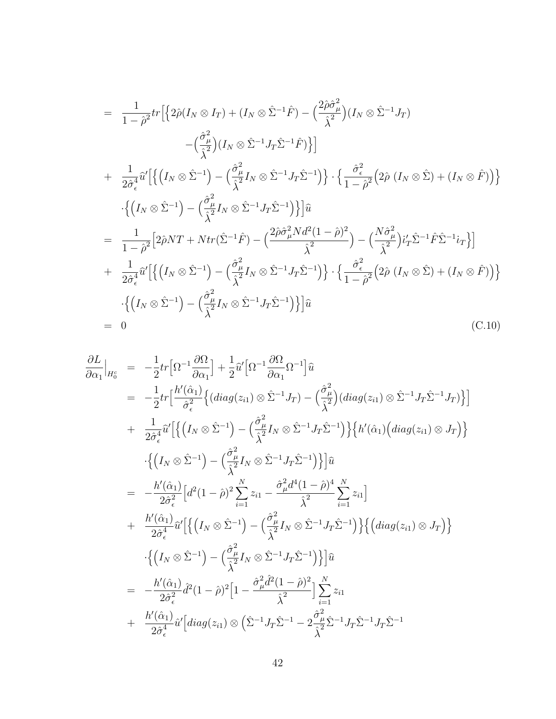$$
= \frac{1}{1-\hat{\rho}^2}tr\Big[\Big\{2\hat{\rho}(I_N \otimes I_T) + (I_N \otimes \hat{\Sigma}^{-1}\hat{F}) - \Big(\frac{2\hat{\rho}\hat{\sigma}_{\mu}^2}{\hat{\lambda}^2}\Big)(I_N \otimes \hat{\Sigma}^{-1}J_T) - \Big(\frac{\hat{\sigma}_{\mu}^2}{\hat{\lambda}^2}\Big)(I_N \otimes \hat{\Sigma}^{-1}J_T\hat{\Sigma}^{-1}\hat{F})\Big\}\Big] + \frac{1}{2\hat{\sigma}_{\epsilon}^4}\hat{u}'\Big[\Big\{\Big(I_N \otimes \hat{\Sigma}^{-1}\Big) - \Big(\frac{\hat{\sigma}_{\mu}^2}{\hat{\lambda}^2}I_N \otimes \hat{\Sigma}^{-1}J_T\hat{\Sigma}^{-1}\Big)\Big\} \cdot \Big\{\frac{\hat{\sigma}_{\epsilon}^2}{1-\hat{\rho}^2}\Big(2\hat{\rho}\Big(I_N \otimes \hat{\Sigma}\Big) + (I_N \otimes \hat{F})\Big)\Big\} - \Big\{\Big(I_N \otimes \hat{\Sigma}^{-1}\Big) - \Big(\frac{\hat{\sigma}_{\mu}^2}{\hat{\lambda}^2}I_N \otimes \hat{\Sigma}^{-1}J_T\hat{\Sigma}^{-1}\Big)\Big\}\Big]\hat{u} = \frac{1}{1-\hat{\rho}^2}\Big[2\hat{\rho}NT + Ntr(\hat{\Sigma}^{-1}\hat{F}) - \Big(\frac{2\hat{\rho}\hat{\sigma}_{\mu}^2Nd^2(1-\hat{\rho})^2}{\hat{\lambda}^2}\Big) - \Big(\frac{N\hat{\sigma}_{\mu}^2}{\hat{\lambda}^2}\Big)i'_T\hat{\Sigma}^{-1}\hat{F}\hat{\Sigma}^{-1}i_T\Big\}\Big] + \frac{1}{2\hat{\sigma}_{\epsilon}^4}\hat{u}'\Big[\Big\{\Big(I_N \otimes \hat{\Sigma}^{-1}\Big) - \Big(\frac{\hat{\sigma}_{\mu}^2}{\hat{\lambda}^2}I_N \otimes \hat{\Sigma}^{-1}J_T\hat{\Sigma}^{-1}\Big)\Big\} \cdot \Big\{\frac{\hat{\sigma}_{\epsilon}^2}{1-\hat{\rho}^2}\Big(2\hat{\rho}\Big(I_N \otimes \hat{\Sigma}\Big) + (I_N \otimes \hat{F})\Big)\Big\} - \Big\{\Big(I_N \otimes \hat{\Sigma}^{-1}\Big) - \Big(\frac{\hat{\sigma}_{\mu}^2}{\hat{\lambda}^2
$$

$$
\frac{\partial L}{\partial \alpha_{1}}|_{H_{0}^{c}} = -\frac{1}{2}tr\left[\Omega^{-1}\frac{\partial\Omega}{\partial\alpha_{1}}\right] + \frac{1}{2}\hat{u}^{r}\left[\Omega^{-1}\frac{\partial\Omega}{\partial\alpha_{1}}\Omega^{-1}\right]\hat{u}
$$
\n
$$
= -\frac{1}{2}tr\left[\frac{h'(\hat{\alpha}_{1})}{\hat{\sigma}_{\epsilon}^{2}}\left\{(diag(z_{i1})\otimes\hat{\Sigma}^{-1}J_{T}) - \left(\frac{\hat{\sigma}_{\mu}^{2}}{\hat{\lambda}^{2}}\right)(diag(z_{i1})\otimes\hat{\Sigma}^{-1}J_{T}\hat{\Sigma}^{-1}J_{T})\right\}\right]
$$
\n
$$
+ \frac{1}{2\hat{\sigma}_{\epsilon}^{4}}\hat{u}^{r}\left[\left\{\left(I_{N}\otimes\hat{\Sigma}^{-1}\right) - \left(\frac{\hat{\sigma}_{\mu}^{2}}{\hat{\lambda}^{2}}I_{N}\otimes\hat{\Sigma}^{-1}J_{T}\hat{\Sigma}^{-1}\right)\right\}\left\{h'(\hat{\alpha}_{1})\left(diag(z_{i1})\otimes J_{T}\right)\right\}
$$
\n
$$
\cdot\left\{\left(I_{N}\otimes\hat{\Sigma}^{-1}\right) - \left(\frac{\hat{\sigma}_{\mu}^{2}}{\hat{\lambda}^{2}}I_{N}\otimes\hat{\Sigma}^{-1}J_{T}\hat{\Sigma}^{-1}\right)\right\}\right]\hat{u}
$$
\n
$$
= -\frac{h'(\hat{\alpha}_{1})}{2\hat{\sigma}_{\epsilon}^{2}}\left[d^{2}(1-\hat{\rho})^{2}\sum_{i=1}^{N}z_{i1} - \frac{\hat{\sigma}_{\mu}^{2}d^{4}(1-\hat{\rho})^{4}}{\hat{\lambda}^{2}}\sum_{i=1}^{N}z_{i1}\right]
$$
\n
$$
+ \frac{h'(\hat{\alpha}_{1})}{2\hat{\sigma}_{\epsilon}^{4}}\hat{u}^{r}\left[\left\{\left(I_{N}\otimes\hat{\Sigma}^{-1}\right) - \left(\frac{\hat{\sigma}_{\mu}^{2}}{\hat{\lambda}^{2}}I_{N}\otimes\hat{\Sigma}^{-1}J_{T}\hat{\Sigma}^{-1}\right)\right\}\left\{\left(diag(z_{i1})\otimes J_{T}\right)\right\}
$$
\n
$$
\cdot\left\{\left(I_{N}\otimes\hat{\Sigma}^{-1}\right)
$$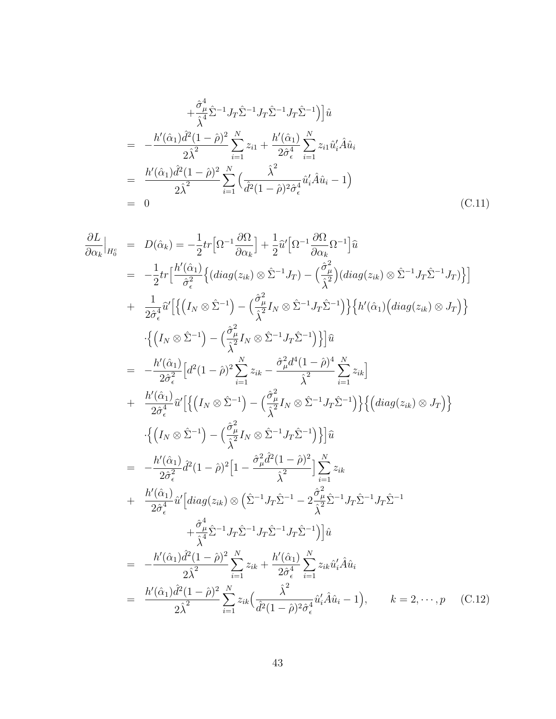$$
+\frac{\hat{\sigma}_{\mu}^{4}}{\hat{\lambda}^{4}}\hat{\Sigma}^{-1}J_{T}\hat{\Sigma}^{-1}J_{T}\hat{\Sigma}^{-1}J_{T}\hat{\Sigma}^{-1}\big)\big]\hat{u}
$$
  
= 
$$
-\frac{h'(\hat{\alpha}_{1})\hat{d}^{2}(1-\hat{\rho})^{2}}{2\hat{\lambda}^{2}}\sum_{i=1}^{N}z_{i1} + \frac{h'(\hat{\alpha}_{1})}{2\hat{\sigma}_{\epsilon}^{4}}\sum_{i=1}^{N}z_{i1}\hat{u}'_{i}\hat{A}\hat{u}_{i}
$$
  
= 
$$
\frac{h'(\hat{\alpha}_{1})\hat{d}^{2}(1-\hat{\rho})^{2}}{2\hat{\lambda}^{2}}\sum_{i=1}^{N}\left(\frac{\hat{\lambda}^{2}}{\hat{d}^{2}(1-\hat{\rho})^{2}\hat{\sigma}_{\epsilon}^{4}}\hat{u}'_{i}\hat{A}\hat{u}_{i}-1\right)
$$
  
= 0 (C.11)

$$
\frac{\partial L}{\partial \alpha_{k}}|_{H_{0}^{c}} = D(\hat{\alpha}_{k}) = -\frac{1}{2}tr\Big[\Omega^{-1}\frac{\partial\Omega}{\partial \alpha_{k}}\Big] + \frac{1}{2}\hat{u}'\Big[\Omega^{-1}\frac{\partial\Omega}{\partial \alpha_{k}}\Omega^{-1}\Big]\hat{u}
$$
\n
$$
= -\frac{1}{2}tr\Big[\frac{h'(\hat{\alpha}_{1})}{\hat{\sigma}_{\epsilon}^{2}}\Big\{ (diag(z_{ik}) \otimes \hat{\Sigma}^{-1}J_{T}) - (\frac{\hat{\sigma}_{\mu}^{2}}{\hat{\lambda}^{2}})(diag(z_{ik}) \otimes \hat{\Sigma}^{-1}J_{T}\hat{\Sigma}^{-1}J_{T}) \Big\} \Big]
$$
\n
$$
+ \frac{1}{2\hat{\sigma}_{\epsilon}^{4}}\hat{u}'\Big[\Big\{ \Big(I_{N} \otimes \hat{\Sigma}^{-1}\Big) - \Big(\frac{\hat{\sigma}_{\mu}^{2}}{\hat{\lambda}^{2}}I_{N} \otimes \hat{\Sigma}^{-1}J_{T}\hat{\Sigma}^{-1}\Big) \Big\} \Big\{ h'(\hat{\alpha}_{1}) \Big( diag(z_{ik}) \otimes J_{T} \Big) \Big\}
$$
\n
$$
+ \Big\{ \Big(I_{N} \otimes \hat{\Sigma}^{-1}\Big) - \Big(\frac{\hat{\sigma}_{\mu}^{2}}{\hat{\lambda}^{2}}I_{N} \otimes \hat{\Sigma}^{-1}J_{T}\hat{\Sigma}^{-1}\Big) \Big\} \Big]\hat{u}
$$
\n
$$
= -\frac{h'(\hat{\alpha}_{1})}{2\hat{\sigma}_{\epsilon}^{2}}\Big[d^{2}(1-\hat{\rho})^{2} \sum_{i=1}^{N} z_{ik} - \frac{\hat{\sigma}_{\mu}^{2}d^{4}(1-\hat{\rho})^{4}}{\hat{\lambda}^{2}} \sum_{i=1}^{N} z_{ik} \Big]
$$
\n
$$
+ \frac{h'(\hat{\alpha}_{1})}{2\hat{\sigma}_{\epsilon}^{4}}\hat{u}'\Big[\Big\{ \Big(I_{N} \otimes \hat{\Sigma}^{-1}\Big) - \Big(\frac{\hat{\sigma}_{\mu}^{2}}{\hat{\lambda}^{2}}I_{N} \otimes \hat{\Sigma}^{-1}J_{T}\hat{\Sigma}^{-1}\Big) \Big\} \Big\{ \Big( diag(z_{ik}) \otimes J_{T} \Big) \Big\}
$$
\n
$$
- \Big\{
$$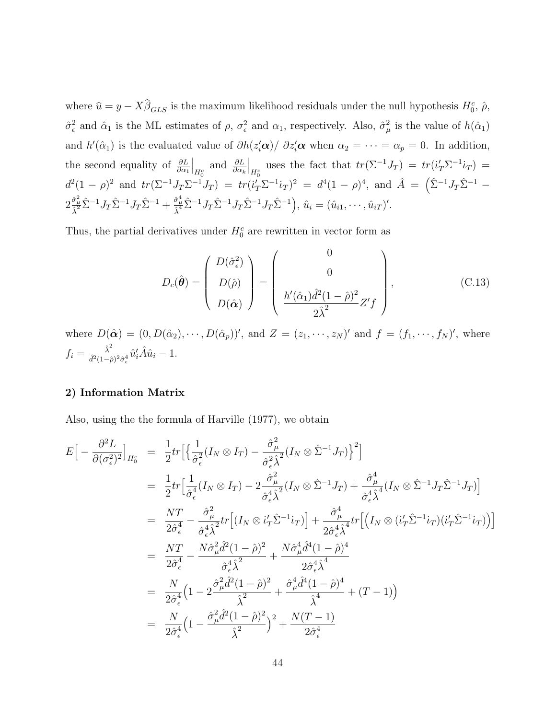where  $\hat{u} = y - X\hat{\beta}_{GLS}$  is the maximum likelihood residuals under the null hypothesis  $H_0^c$ ,  $\hat{\rho}$ ,  $\hat{\sigma}_{\epsilon}^2$ <sup>2</sup>/<sub> $\epsilon$ </sub> and  $\hat{\alpha}_1$  is the ML estimates of  $\rho$ ,  $\sigma_{\epsilon}^2$  and  $\alpha_1$ , respectively. Also,  $\hat{\sigma}_{\mu}^2$  $\frac{2}{\mu}$  is the value of  $h(\hat{\alpha}_1)$ and  $h'(\hat{\alpha}_1)$  is the evaluated value of  $\partial h(z_i'\alpha)/\partial z_i'\alpha$  when  $\alpha_2 = \cdots = \alpha_p = 0$ . In addition, the second equality of  $\frac{\partial L}{\partial \alpha_1}$  $\Big|_{H_0^c}$ and  $\frac{\partial L}{\partial \alpha_k}$  $\Big|_{H_0^c}$ uses the fact that  $tr(\Sigma^{-1}J_T) = tr(i'_T\Sigma^{-1}i_T) =$  $d^2(1-\rho)^2$  and  $tr(\Sigma^{-1}J_T\Sigma^{-1}J_T) = tr(i'_T\Sigma^{-1}i_T)^2 = d^4(1-\rho)^4$ , and  $\hat{A} = (\hat{\Sigma}^{-1}J_T\hat{\Sigma}^{-1} \overline{a}$  $2\frac{\hat{\sigma}_{\mu}^{2}}{\hat{\lambda}^{2}}\hat{\Sigma}^{-1}J_{T}\hat{\Sigma}^{-1}+\frac{\hat{\sigma}_{\mu}^{4}}{\hat{\lambda}^{4}}\hat{\Sigma}^{-1}J_{T}\hat{\Sigma}^{-1}J_{T}\hat{\Sigma}^{-1}J_{T}\hat{\Sigma}^{-1}\Big)$  $, \hat{u}_i = (\hat{u}_{i1}, \cdots, \hat{u}_{iT})'.$ 

Thus, the partial derivatives under  $H_0^c$  are rewritten in vector form as

$$
D_c(\hat{\boldsymbol{\theta}}) = \begin{pmatrix} D(\hat{\sigma}_\epsilon^2) \\ D(\hat{\rho}) \\ D(\hat{\alpha}) \end{pmatrix} = \begin{pmatrix} 0 \\ 0 \\ \frac{h'(\hat{\alpha}_1)\hat{d}^2(1-\hat{\rho})^2}{2\hat{\lambda}^2} Z'f \end{pmatrix},
$$
(C.13)

where  $D(\hat{\boldsymbol{\alpha}}) = (0, D(\hat{\alpha}_2), \cdots, D(\hat{\alpha}_p))'$ , and  $Z = (z_1, \cdots, z_N)'$  and  $f = (f_1, \cdots, f_N)'$ , where  $f_i = \frac{\hat{\lambda}^2}{\hat{d}^2(1-\hat{z})}$  $\frac{\hat{\lambda}^2}{\hat{d}^2(1-\hat{\rho})^2\hat{\sigma}^4_{\epsilon}}\hat{u}_i^{\prime}\hat{A}\hat{u}_i - 1.$ 

#### 2) Information Matrix

Also, using the the formula of Harville (1977), we obtain

$$
E\left[-\frac{\partial^2 L}{\partial(\sigma_{\epsilon}^2)^2}\right]_{H_0^c} = \frac{1}{2}tr\left[\left\{\frac{1}{\hat{\sigma}_{\epsilon}^2}(I_N \otimes I_T) - \frac{\hat{\sigma}_{\mu}^2}{\hat{\sigma}_{\epsilon}^2\hat{\lambda}^2}(I_N \otimes \hat{\Sigma}^{-1}J_T)\right\}^2\right]
$$
  
\n
$$
= \frac{1}{2}tr\left[\frac{1}{\hat{\sigma}_{\epsilon}^4}(I_N \otimes I_T) - 2\frac{\hat{\sigma}_{\mu}^2}{\hat{\sigma}_{\epsilon}^4\hat{\lambda}^2}(I_N \otimes \hat{\Sigma}^{-1}J_T) + \frac{\hat{\sigma}_{\mu}^4}{\hat{\sigma}_{\epsilon}^4\hat{\lambda}^4}(I_N \otimes \hat{\Sigma}^{-1}J_T\hat{\Sigma}^{-1}J_T)\right]
$$
  
\n
$$
= \frac{NT}{2\hat{\sigma}_{\epsilon}^4} - \frac{\hat{\sigma}_{\mu}^2}{\hat{\sigma}_{\epsilon}^4\hat{\lambda}^2}tr\left[(I_N \otimes i'_T\hat{\Sigma}^{-1}i_T)\right] + \frac{\hat{\sigma}_{\mu}^4}{2\hat{\sigma}_{\epsilon}^4\hat{\lambda}^4}tr\left[(I_N \otimes (i'_T\hat{\Sigma}^{-1}i_T)(i'_T\hat{\Sigma}^{-1}i_T))\right]
$$
  
\n
$$
= \frac{NT}{2\hat{\sigma}_{\epsilon}^4} - \frac{N\hat{\sigma}_{\mu}^2\hat{d}^2(1-\hat{\rho})^2}{\hat{\sigma}_{\epsilon}^4\hat{\lambda}^2} + \frac{N\hat{\sigma}_{\mu}^4\hat{d}^4(1-\hat{\rho})^4}{2\hat{\sigma}_{\epsilon}^4\hat{\lambda}^4}
$$
  
\n
$$
= \frac{N}{2\hat{\sigma}_{\epsilon}^4}\left(1 - 2\frac{\hat{\sigma}_{\mu}^2\hat{d}^2(1-\hat{\rho})^2}{\hat{\lambda}^2} + \frac{\hat{\sigma}_{\mu}^4\hat{d}^4(1-\hat{\rho})^4}{\hat{\lambda}^4} + (T - 1)\right)
$$
  
\n
$$
= \frac{N}{2\hat{\sigma}_{\epsilon}^4}\left(1 - \frac{\hat{\sigma}_{\mu}^2\hat{d}^2(1-\hat{\rho})^2}{\hat{\lambda
$$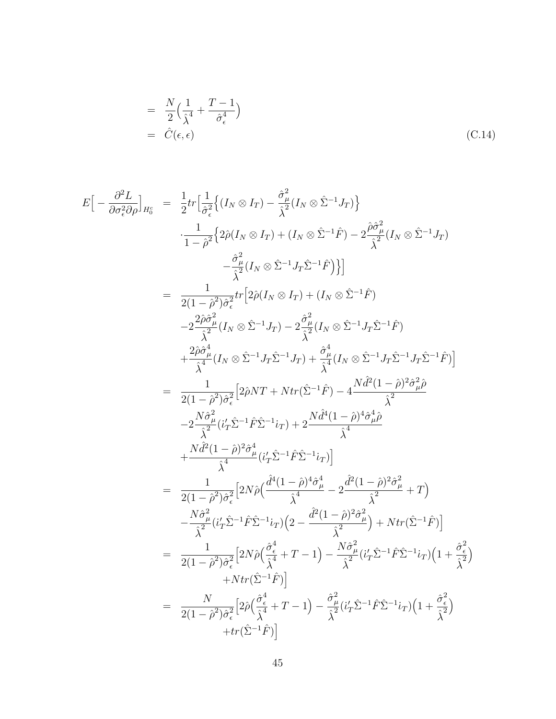$$
= \frac{N}{2} \left( \frac{1}{\hat{\lambda}^4} + \frac{T - 1}{\hat{\sigma}_{\epsilon}^4} \right)
$$
  

$$
= \hat{C}(\epsilon, \epsilon)
$$
 (C.14)

$$
E\left[-\frac{\partial^2 L}{\partial \sigma_e^2 \partial \rho}\right]_{H_0^c} = \frac{1}{2} tr \left[\frac{1}{\sigma_e^2} \left\{ (I_N \otimes I_T) - \frac{\hat{\sigma}_{\mu}^2}{\hat{\lambda}^2} (I_N \otimes \hat{\Sigma}^{-1} J_T) \right\} \right. \\ \left. \frac{1}{1 - \hat{\rho}^2} \left\{ 2\hat{\rho}(I_N \otimes I_T) + (I_N \otimes \hat{\Sigma}^{-1} \hat{F}) - 2\frac{\hat{\rho}\hat{\sigma}_{\mu}^2}{\hat{\lambda}^2} (I_N \otimes \hat{\Sigma}^{-1} J_T) \right.\right. \\ \left. - \frac{\hat{\sigma}_{\mu}^2}{\hat{\lambda}^2} (I_N \otimes \hat{\Sigma}^{-1} J_T \hat{\Sigma}^{-1} \hat{F}) \right\} \right] \right] \\ = \frac{1}{2(1 - \hat{\rho}^2) \hat{\sigma}_e^2} tr \left[ 2\hat{\rho}(I_N \otimes I_T) + (I_N \otimes \hat{\Sigma}^{-1} \hat{F}) \right. \\ \left. - 2\frac{2\hat{\rho}\hat{\sigma}_{\mu}^2}{\hat{\lambda}^2} (I_N \otimes \hat{\Sigma}^{-1} J_T) - 2\frac{\hat{\sigma}_{\mu}^2}{\hat{\lambda}^2} (I_N \otimes \hat{\Sigma}^{-1} J_T \hat{\Sigma}^{-1} \hat{F}) \right. \\ \left. + \frac{2\hat{\rho}\hat{\sigma}_{\mu}^4}{\hat{\lambda}^4} (I_N \otimes \hat{\Sigma}^{-1} J_T \hat{\Sigma}^{-1} J_T) + \frac{\hat{\sigma}_{\mu}^4}{\hat{\lambda}^4} (I_N \otimes \hat{\Sigma}^{-1} J_T \hat{\Sigma}^{-1} J_T \hat{\Sigma}^{-1} \hat{F}) \right] \\ = \frac{1}{2(1 - \hat{\rho}^2) \hat{\sigma}_e^2} \left[ 2\hat{\rho} NT + Ntr(\hat{\Sigma}^{-1} \hat{F}) - 4\frac{N \hat{d}^2 (1 - \hat{\rho})^2 \hat{\sigma}_{\mu}^2 \hat{\rho}}{\hat{\lambda}^2} \right. \\ \left. - 2\frac{N \hat{\sigma}_{\mu}^2}{\hat{\lambda}^2} (i_T' \hat{\Sigma}^{-1} \hat{F} \hat{\Sigma}^{-1} i_T) + 2\frac{N \hat
$$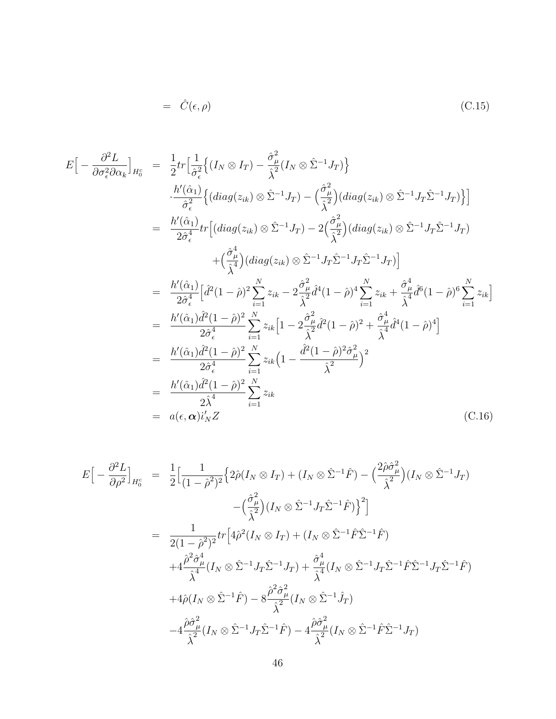$$
= \hat{C}(\epsilon, \rho) \tag{C.15}
$$

$$
E\left[-\frac{\partial^2 L}{\partial \sigma_\epsilon^2 \partial \alpha_k}\right]_{H_0^c} = \frac{1}{2} tr \Big[\frac{1}{\hat{\sigma}_\epsilon^2} \Big\{ (I_N \otimes I_T) - \frac{\hat{\sigma}_\mu^2}{\hat{\lambda}^2} (I_N \otimes \hat{\Sigma}^{-1} J_T) \Big\}
$$
  
\n
$$
\frac{h'(\hat{\alpha}_1)}{\hat{\sigma}_\epsilon^2} \Big\{ (diag(z_{ik}) \otimes \hat{\Sigma}^{-1} J_T) - \Big(\frac{\hat{\sigma}_\mu^2}{\hat{\lambda}^2}\Big) (diag(z_{ik}) \otimes \hat{\Sigma}^{-1} J_T \hat{\Sigma}^{-1} J_T) \Big\} \Big]
$$
  
\n
$$
= \frac{h'(\hat{\alpha}_1)}{2\hat{\sigma}_\epsilon^4} tr \Big[ (diag(z_{ik}) \otimes \hat{\Sigma}^{-1} J_T) - 2 \Big(\frac{\hat{\sigma}_\mu^2}{\hat{\lambda}^2}\Big) (diag(z_{ik}) \otimes \hat{\Sigma}^{-1} J_T \hat{\Sigma}^{-1} J_T) + \Big(\frac{\hat{\sigma}_\mu^4}{\hat{\lambda}^4}\Big) (diag(z_{ik}) \otimes \hat{\Sigma}^{-1} J_T \hat{\Sigma}^{-1} J_T) \Big]
$$
  
\n
$$
= \frac{h'(\hat{\alpha}_1)}{2\hat{\sigma}_\epsilon^4} \Big[\hat{d}^2 (1-\hat{\rho})^2 \sum_{i=1}^N z_{ik} - 2 \frac{\hat{\sigma}_\mu^2}{\hat{\lambda}^2} \hat{d}^4 (1-\hat{\rho})^4 \sum_{i=1}^N z_{ik} + \frac{\hat{\sigma}_\mu^4}{\hat{\lambda}^4} \hat{d}^6 (1-\hat{\rho})^6 \sum_{i=1}^N z_{ik} \Big]
$$
  
\n
$$
= \frac{h'(\hat{\alpha}_1) \hat{d}^2 (1-\hat{\rho})^2}{2\hat{\sigma}_\epsilon^4} \sum_{i=1}^N z_{ik} \Big[ 1 - 2 \frac{\hat{\sigma}_\mu^2}{\hat{\lambda}^2} \hat{d}^2 (1-\hat{\rho})^2 + \frac{\hat{\sigma}_\mu^4}{\hat{\lambda}^4} \hat{d}^4 (1-\hat{\rho})^4 \Big]
$$
  
\n
$$
= \frac{h'(\hat{\alpha}_1) \hat{d}
$$

$$
E\left[-\frac{\partial^2 L}{\partial \rho^2}\right]_{H_0^c} = \frac{1}{2}\left[\frac{1}{(1-\hat{\rho}^2)^2}\left\{2\hat{\rho}(I_N \otimes I_T) + (I_N \otimes \hat{\Sigma}^{-1}\hat{F}) - \left(\frac{2\hat{\rho}\hat{\sigma}_{\mu}^2}{\hat{\lambda}^2}\right)(I_N \otimes \hat{\Sigma}^{-1}J_T)\right.\right.\left. - \left(\frac{\hat{\sigma}_{\mu}^2}{\hat{\lambda}^2}\right)(I_N \otimes \hat{\Sigma}^{-1}J_T\hat{\Sigma}^{-1}\hat{F})\right\}^2\right]= \frac{1}{2(1-\hat{\rho}^2)^2}tr\left[4\hat{\rho}^2(I_N \otimes I_T) + (I_N \otimes \hat{\Sigma}^{-1}\hat{F}\hat{\Sigma}^{-1}\hat{F})\right.\left. + 4\frac{\hat{\rho}^2\hat{\sigma}_{\mu}^4}{\hat{\lambda}^4}(I_N \otimes \hat{\Sigma}^{-1}J_T\hat{\Sigma}^{-1}J_T) + \frac{\hat{\sigma}_{\mu}^4}{\hat{\lambda}^4}(I_N \otimes \hat{\Sigma}^{-1}J_T\hat{\Sigma}^{-1}\hat{F}\hat{\Sigma}^{-1}J_T\hat{\Sigma}^{-1}\hat{F})\right.\left. + 4\hat{\rho}(I_N \otimes \hat{\Sigma}^{-1}\hat{F}) - 8\frac{\hat{\rho}^2\hat{\sigma}_{\mu}^2}{\hat{\lambda}^2}(I_N \otimes \hat{\Sigma}^{-1}\hat{J}_T) - 4\frac{\hat{\rho}\hat{\sigma}_{\mu}^2}{\hat{\lambda}^2}(I_N \otimes \hat{\Sigma}^{-1}\hat{F}\hat{\Sigma}^{-1}J_T)\right]
$$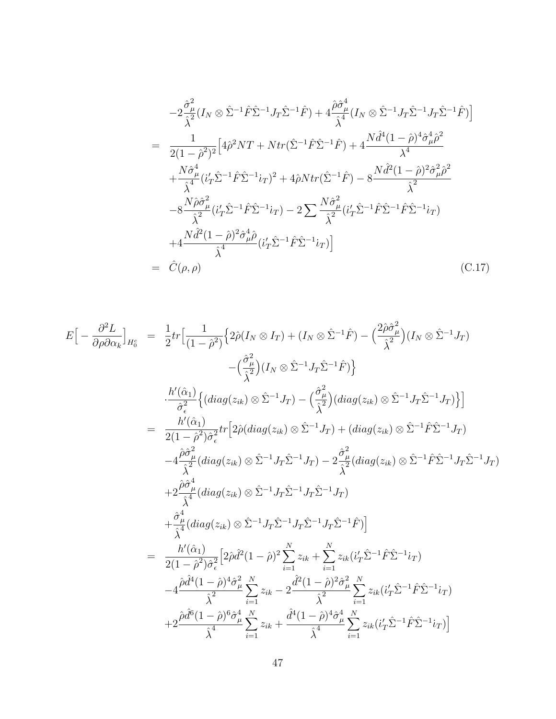$$
-2\frac{\hat{\sigma}_{\mu}^{2}}{\hat{\lambda}^{2}}(I_{N}\otimes \hat{\Sigma}^{-1}\hat{F}\hat{\Sigma}^{-1}J_{T}\hat{\Sigma}^{-1}\hat{F}) + 4\frac{\hat{\rho}\hat{\sigma}_{\mu}^{4}}{\hat{\lambda}^{4}}(I_{N}\otimes \hat{\Sigma}^{-1}J_{T}\hat{\Sigma}^{-1}J_{T}\hat{\Sigma}^{-1}\hat{F})
$$
\n
$$
= \frac{1}{2(1-\hat{\rho}^{2})^{2}}\Big[4\hat{\rho}^{2}NT + Ntr(\hat{\Sigma}^{-1}\hat{F}\hat{\Sigma}^{-1}\hat{F}) + 4\frac{N\hat{d}^{4}(1-\hat{\rho})^{4}\hat{\sigma}_{\mu}^{4}\hat{\rho}^{2}}{\lambda^{4}} + \frac{N\hat{\sigma}_{\mu}^{4}}{\hat{\lambda}^{4}}(i_{T}'\hat{\Sigma}^{-1}\hat{F}\hat{\Sigma}^{-1}i_{T})^{2} + 4\hat{\rho}Ntr(\hat{\Sigma}^{-1}\hat{F}) - 8\frac{N\hat{d}^{2}(1-\hat{\rho})^{2}\hat{\sigma}_{\mu}^{2}\hat{\rho}^{2}}{\hat{\lambda}^{2}} - 8\frac{N\hat{\rho}\hat{\sigma}_{\mu}^{2}}{\hat{\lambda}^{2}}(i_{T}'\hat{\Sigma}^{-1}\hat{F}\hat{\Sigma}^{-1}i_{T}) - 2\sum\frac{N\hat{\sigma}_{\mu}^{2}}{\hat{\lambda}^{2}}(i_{T}'\hat{\Sigma}^{-1}\hat{F}\hat{\Sigma}^{-1}\hat{F}\hat{\Sigma}^{-1}i_{T})
$$
\n
$$
+4\frac{N\hat{d}^{2}(1-\hat{\rho})^{2}\hat{\sigma}_{\mu}^{4}\hat{\rho}}{\hat{\lambda}^{4}}(i_{T}'\hat{\Sigma}^{-1}\hat{F}\hat{\Sigma}^{-1}i_{T})\Big]
$$
\n
$$
= \hat{C}(\rho,\rho) \tag{C.17}
$$

$$
E\left[-\frac{\partial^2 L}{\partial \rho \partial \alpha_k}\right]_{H_0^c} = \frac{1}{2}tr\left[\frac{1}{(1-\hat{\rho}^2)}\left\{2\hat{\rho}(I_N \otimes I_T) + (I_N \otimes \hat{\Sigma}^{-1}\hat{F}) - \left(\frac{2\hat{\rho}\hat{\sigma}_{\mu}^2}{\hat{\lambda}^2}\right)(I_N \otimes \hat{\Sigma}^{-1}J_T)\right\}\right] - \left(\frac{\hat{\sigma}_{\mu}^2}{\hat{\lambda}^2}\right)\left(I_N \otimes \hat{\Sigma}^{-1}J_T\hat{\Sigma}^{-1}\hat{F}\right)\right\} = \frac{h'(\hat{\alpha}_1)}{2(1-\hat{\rho}^2)\hat{\sigma}_{\epsilon}^2} \left\{ (diag(z_{ik}) \otimes \hat{\Sigma}^{-1}J_T) - \left(\frac{\hat{\sigma}_{\mu}^2}{\hat{\lambda}^2}\right)(diag(z_{ik}) \otimes \hat{\Sigma}^{-1}J_T\hat{\Sigma}^{-1}J_T)\right\} \right] = \frac{h'(\hat{\alpha}_1)}{2(1-\hat{\rho}^2)\hat{\sigma}_{\epsilon}^2} tr\left[2\hat{\rho}(diag(z_{ik}) \otimes \hat{\Sigma}^{-1}J_T) + (diag(z_{ik}) \otimes \hat{\Sigma}^{-1}\hat{F}\hat{\Sigma}^{-1}J_T)\right] - 4\frac{\hat{\rho}\hat{\sigma}_{\mu}^4}{\hat{\lambda}^2}(diag(z_{ik}) \otimes \hat{\Sigma}^{-1}J_T\hat{\Sigma}^{-1}J_T) - 2\frac{\hat{\sigma}_{\mu}^2}{\hat{\lambda}^2}(diag(z_{ik}) \otimes \hat{\Sigma}^{-1}\hat{F}\hat{\Sigma}^{-1}J_T\hat{\Sigma}^{-1}J_T)\right) + 2\frac{\hat{\rho}\hat{\sigma}_{\mu}^4}{\hat{\lambda}^4}(diag(z_{ik}) \otimes \hat{\Sigma}^{-1}J_T\hat{\Sigma}^{-1}J_T\hat{\Sigma}^{-1}J_T)\right] = \frac{h'(\hat{\alpha}_1)}{\hat{\lambda}^4} \left\{ \frac{\hat{\sigma}_{\mu}^4}{2(1-\hat{\rho}^2)\hat{\sigma}_{\epsilon}^2}\left[2\hat{\rho}\hat{d}^2(1-\hat{\rho})^2\sum_{i=1}^N z_{ik} + \sum_{i=1}^N z_{ik}(i'_T\hat{\Sigma}^{-1}\hat{F}\hat{\Sigma}^{-1}
$$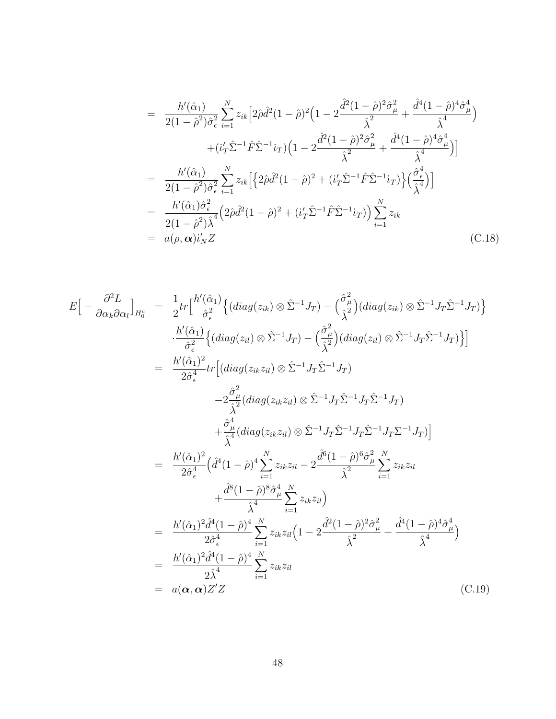$$
= \frac{h'(\hat{\alpha}_{1})}{2(1-\hat{\rho}^{2})\hat{\sigma}_{\epsilon}^{2}} \sum_{i=1}^{N} z_{ik} \left[ 2\hat{\rho}\hat{d}^{2}(1-\hat{\rho})^{2} \left( 1 - 2 \frac{\hat{d}^{2}(1-\hat{\rho})^{2} \hat{\sigma}_{\mu}^{2}}{\hat{\lambda}^{2}} + \frac{\hat{d}^{4}(1-\hat{\rho})^{4} \hat{\sigma}_{\mu}^{4}}{\hat{\lambda}^{4}} \right) \right] + (i'_{T}\hat{\Sigma}^{-1}\hat{F}\hat{\Sigma}^{-1}i_{T}) \left( 1 - 2 \frac{\hat{d}^{2}(1-\hat{\rho})^{2} \hat{\sigma}_{\mu}^{2}}{\hat{\lambda}^{2}} + \frac{\hat{d}^{4}(1-\hat{\rho})^{4} \hat{\sigma}_{\mu}^{4}}{\hat{\lambda}^{4}} \right) \right] = \frac{h'(\hat{\alpha}_{1})}{2(1-\hat{\rho}^{2})\hat{\sigma}_{\epsilon}^{2}} \sum_{i=1}^{N} z_{ik} \left[ \left\{ 2\hat{\rho}\hat{d}^{2}(1-\hat{\rho})^{2} + (i'_{T}\hat{\Sigma}^{-1}\hat{F}\hat{\Sigma}^{-1}i_{T}) \right\} \left( \frac{\hat{\sigma}_{\epsilon}^{4}}{\hat{\lambda}^{4}} \right) \right] = \frac{h'(\hat{\alpha}_{1})\hat{\sigma}_{\epsilon}^{2}}{2(1-\hat{\rho}^{2})\hat{\lambda}^{4}} \left( 2\hat{\rho}\hat{d}^{2}(1-\hat{\rho})^{2} + (i'_{T}\hat{\Sigma}^{-1}\hat{F}\hat{\Sigma}^{-1}i_{T}) \right) \sum_{i=1}^{N} z_{ik} = a(\rho, \alpha) i'_{N} Z
$$
 (C.18)

$$
E\left[-\frac{\partial^2 L}{\partial \alpha_k \partial \alpha_l}\right]_{H_0^c} = \frac{1}{2} tr \left[\frac{h'(\hat{\alpha}_1)}{\hat{\sigma}_\epsilon^2} \left\{ (diag(z_{ik}) \otimes \hat{\Sigma}^{-1} J_T) - \left(\frac{\hat{\sigma}_\mu^2}{\hat{\lambda}^2} \right) (diag(z_{ik}) \otimes \hat{\Sigma}^{-1} J_T \hat{\Sigma}^{-1} J_T) \right\} \right]
$$
  
\n
$$
-\frac{h'(\hat{\alpha}_1)}{\hat{\sigma}_\epsilon^2} \left\{ (diag(z_{il}) \otimes \hat{\Sigma}^{-1} J_T) - \left(\frac{\hat{\sigma}_\mu^2}{\hat{\lambda}^2} \right) (diag(z_{il}) \otimes \hat{\Sigma}^{-1} J_T \hat{\Sigma}^{-1} J_T) \right\} \right]
$$
  
\n
$$
= \frac{h'(\hat{\alpha}_1)^2}{2\hat{\sigma}_\epsilon^4} tr \left[ (diag(z_{ik}z_{il}) \otimes \hat{\Sigma}^{-1} J_T \hat{\Sigma}^{-1} J_T) \right]
$$
  
\n
$$
-2\frac{\hat{\sigma}_\mu^2}{\hat{\lambda}^2} (diag(z_{ik}z_{il}) \otimes \hat{\Sigma}^{-1} J_T \hat{\Sigma}^{-1} J_T \hat{\Sigma}^{-1} J_T) \right]
$$
  
\n
$$
+ \frac{\hat{\sigma}_\mu^4}{\hat{\lambda}^4} (diag(z_{ik}z_{il}) \otimes \hat{\Sigma}^{-1} J_T \hat{\Sigma}^{-1} J_T \hat{\Sigma}^{-1} J_T \Sigma^{-1} J_T) \right]
$$
  
\n
$$
= \frac{h'(\hat{\alpha}_1)^2}{2\hat{\sigma}_\epsilon^4} \left( \hat{d}^4 (1-\hat{\rho})^4 \sum_{i=1}^N z_{ik} z_{il} - 2 \frac{\hat{d}^6 (1-\hat{\rho})^6 \hat{\sigma}_\mu^2}{\hat{\lambda}^2} \sum_{i=1}^N z_{ik} z_{il} \right)
$$
  
\n
$$
= \frac{h'(\hat{\alpha}_1)^2 \hat{d}^4 (1-\hat{\rho})^4}{2\hat{\sigma}_\epsilon^4} \sum_{i=1}^N z_{ik} z_{il} \left( 1 - 2 \frac{\hat{d}^2 (1-\hat{\rho})^2 \hat{\sigma}_\mu^2}{\hat{\lambda}
$$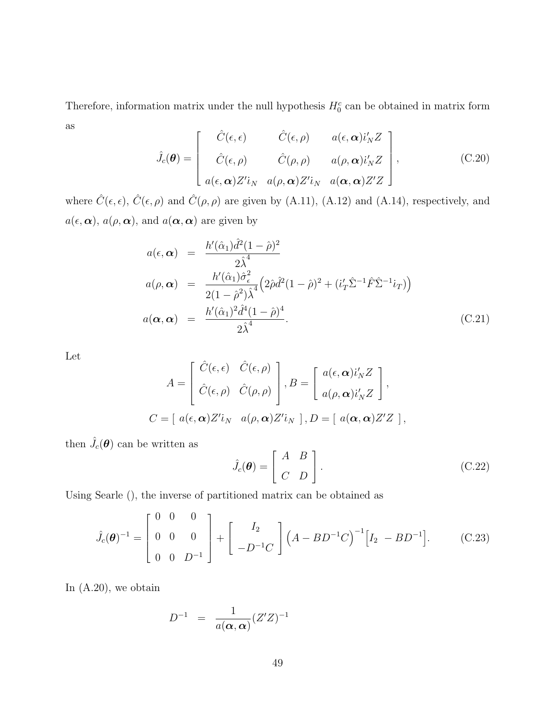Therefore, information matrix under the null hypothesis  $H_0^c$  can be obtained in matrix form as  $\overline{r}$  $\overline{a}$ 

$$
\hat{J}_{c}(\boldsymbol{\theta}) = \begin{bmatrix} \hat{C}(\epsilon, \epsilon) & \hat{C}(\epsilon, \rho) & a(\epsilon, \boldsymbol{\alpha})i'_{N}Z \\ \hat{C}(\epsilon, \rho) & \hat{C}(\rho, \rho) & a(\rho, \boldsymbol{\alpha})i'_{N}Z \\ a(\epsilon, \boldsymbol{\alpha})Z'i_{N} & a(\rho, \boldsymbol{\alpha})Z'i_{N} & a(\boldsymbol{\alpha}, \boldsymbol{\alpha})Z'Z \end{bmatrix},
$$
\n(C.20)

where  $\hat{C}(\epsilon, \epsilon)$ ,  $\hat{C}(\epsilon, \rho)$  and  $\hat{C}(\rho, \rho)$  are given by (A.11), (A.12) and (A.14), respectively, and  $a(\epsilon, \alpha)$ ,  $a(\rho, \alpha)$ , and  $a(\alpha, \alpha)$  are given by

$$
a(\epsilon, \alpha) = \frac{h'(\hat{\alpha}_1)\hat{d}^2(1-\hat{\rho})^2}{2\hat{\lambda}^4}
$$
  
\n
$$
a(\rho, \alpha) = \frac{h'(\hat{\alpha}_1)\hat{\sigma}^2_{\epsilon}}{2(1-\hat{\rho}^2)\hat{\lambda}^4} \left(2\hat{\rho}\hat{d}^2(1-\hat{\rho})^2 + (i'_T\hat{\Sigma}^{-1}\hat{F}\hat{\Sigma}^{-1}i_T)\right)
$$
  
\n
$$
a(\alpha, \alpha) = \frac{h'(\hat{\alpha}_1)^2\hat{d}^4(1-\hat{\rho})^4}{2\hat{\lambda}^4}.
$$
\n(C.21)

Let

$$
A = \begin{bmatrix} \hat{C}(\epsilon, \epsilon) & \hat{C}(\epsilon, \rho) \\ \hat{C}(\epsilon, \rho) & \hat{C}(\rho, \rho) \end{bmatrix}, B = \begin{bmatrix} a(\epsilon, \alpha) i'_N Z \\ a(\rho, \alpha) i'_N Z \end{bmatrix},
$$
  

$$
C = [ a(\epsilon, \alpha) Z' i_N \ a(\rho, \alpha) Z' i_N ], D = [ a(\alpha, \alpha) Z' Z ],
$$

then  $\hat{J_c}(\boldsymbol{\theta})$  can be written as

$$
\hat{J}_c(\boldsymbol{\theta}) = \begin{bmatrix} A & B \\ C & D \end{bmatrix}.
$$
 (C.22)

Using Searle (), the inverse of partitioned matrix can be obtained as

$$
\hat{J}_c(\theta)^{-1} = \begin{bmatrix} 0 & 0 & 0 \\ 0 & 0 & 0 \\ 0 & 0 & D^{-1} \end{bmatrix} + \begin{bmatrix} I_2 \\ -D^{-1}C \end{bmatrix} (A - BD^{-1}C)^{-1} [I_2 - BD^{-1}]. \tag{C.23}
$$

In (A.20), we obtain

$$
D^{-1} = \frac{1}{a(\boldsymbol{\alpha}, \boldsymbol{\alpha})} (Z'Z)^{-1}
$$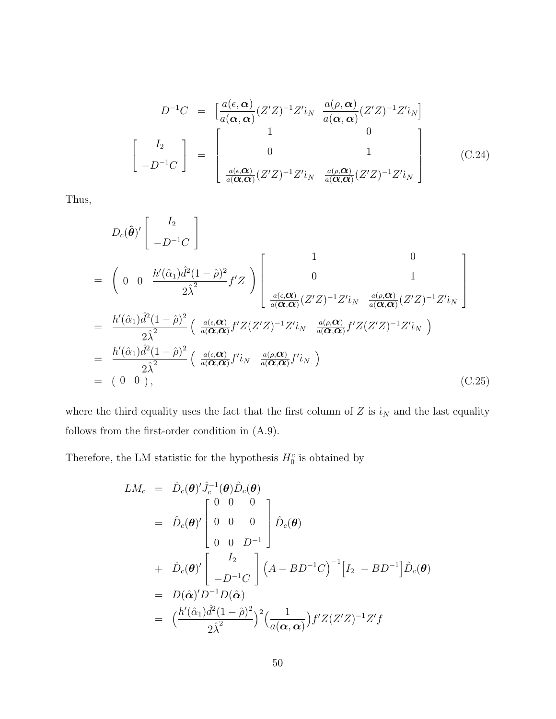$$
D^{-1}C = \begin{bmatrix} \frac{a(\epsilon, \alpha)}{a(\alpha, \alpha)} (Z'Z)^{-1} Z' i_N & \frac{a(\rho, \alpha)}{a(\alpha, \alpha)} (Z'Z)^{-1} Z' i_N \end{bmatrix}
$$

$$
\begin{bmatrix} I_2 \\ -D^{-1}C \end{bmatrix} = \begin{bmatrix} 1 & 0 \\ 0 & 1 \\ \frac{a(\epsilon, \alpha)}{a(\alpha, \alpha)} (Z'Z)^{-1} Z' i_N & \frac{a(\rho, \alpha)}{a(\alpha, \alpha)} (Z'Z)^{-1} Z' i_N \end{bmatrix}
$$
(C.24)

Thus,

$$
D_c(\hat{\boldsymbol{\theta}})' \begin{bmatrix} I_2 \\ -D^{-1}C \end{bmatrix}
$$
  
=  $\begin{pmatrix} 0 & 0 & \frac{h'(\hat{\alpha}_1)\hat{d}^2(1-\hat{\rho})^2}{2\hat{\lambda}^2} f'Z \end{pmatrix} \begin{bmatrix} 1 & 0 \\ 0 & 1 \\ \frac{a(\epsilon,\alpha)}{a(\alpha,\alpha)} (Z'Z)^{-1}Z' i_N & \frac{a(\rho,\alpha)}{a(\alpha,\alpha)} (Z'Z)^{-1}Z' i_N \end{bmatrix}$   
=  $\frac{h'(\hat{\alpha}_1)\hat{d}^2(1-\hat{\rho})^2}{2\hat{\lambda}^2} \begin{pmatrix} \frac{a(\epsilon,\alpha)}{a(\alpha,\alpha)} f'Z(Z'Z)^{-1}Z' i_N & \frac{a(\rho,\alpha)}{a(\alpha,\alpha)} f'Z(Z'Z)^{-1}Z' i_N \end{pmatrix}$   
=  $\frac{h'(\hat{\alpha}_1)\hat{d}^2(1-\hat{\rho})^2}{2\hat{\lambda}^2} \begin{pmatrix} \frac{a(\epsilon,\alpha)}{a(\alpha,\alpha)} f' i_N & \frac{a(\rho,\alpha)}{a(\alpha,\alpha)} f' i_N \end{pmatrix}$   
=  $(0, 0),$  (C.25)

where the third equality uses the fact that the first column of  $Z$  is  $i_N$  and the last equality follows from the first-order condition in (A.9).

Therefore, the LM statistic for the hypothesis  $H_0^c$  is obtained by

$$
LM_c = \hat{D}_c(\boldsymbol{\theta})' \hat{J}_c^{-1}(\boldsymbol{\theta}) \hat{D}_c(\boldsymbol{\theta})
$$
  
\n
$$
= \hat{D}_c(\boldsymbol{\theta})' \begin{bmatrix} 0 & 0 & 0 \\ 0 & 0 & 0 \\ 0 & 0 & D^{-1} \end{bmatrix} \hat{D}_c(\boldsymbol{\theta})
$$
  
\n
$$
+ \hat{D}_c(\boldsymbol{\theta})' \begin{bmatrix} I_2 \\ -D^{-1}C \end{bmatrix} (A - BD^{-1}C)^{-1} [I_2 - BD^{-1}] \hat{D}_c(\boldsymbol{\theta})
$$
  
\n
$$
= D(\hat{\boldsymbol{\alpha}})' D^{-1} D(\hat{\boldsymbol{\alpha}})
$$
  
\n
$$
= \left(\frac{h'(\hat{\alpha}_1) \hat{d}^2 (1 - \hat{\rho})^2}{2\hat{\lambda}^2}\right)^2 \left(\frac{1}{a(\boldsymbol{\alpha}, \boldsymbol{\alpha})}\right) f' Z(Z'Z)^{-1} Z' f
$$